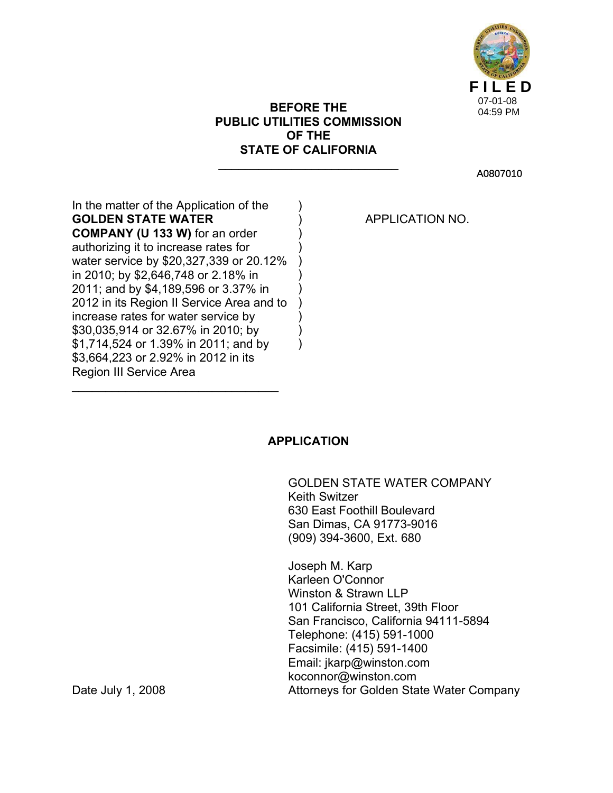

# **BEFORE THE PUBLIC UTILITIES COMMISSION OF THE STATE OF CALIFORNIA**

 $\overline{\phantom{a}}$  , where  $\overline{\phantom{a}}$  , where  $\overline{\phantom{a}}$  , where  $\overline{\phantom{a}}$ 

) ) ) ) ) ) ) ) ) ) A0807010

In the matter of the Application of the **GOLDEN STATE WATER COMPANY (U 133 W)** for an order authorizing it to increase rates for water service by \$20,327,339 or 20.12% in 2010; by \$2,646,748 or 2.18% in 2011; and by \$4,189,596 or 3.37% in 2012 in its Region II Service Area and to increase rates for water service by \$30,035,914 or 32.67% in 2010; by \$1,714,524 or 1.39% in 2011; and by \$3,664,223 or 2.92% in 2012 in its Region III Service Area )

 $\overline{\phantom{a}}$  , where  $\overline{\phantom{a}}$  , where  $\overline{\phantom{a}}$  , where  $\overline{\phantom{a}}$ 

APPLICATION NO.

# **APPLICATION**

 GOLDEN STATE WATER COMPANY Keith Switzer 630 East Foothill Boulevard San Dimas, CA 91773-9016 (909) 394-3600, Ext. 680

 Joseph M. Karp Karleen O'Connor Winston & Strawn LLP 101 California Street, 39th Floor San Francisco, California 94111-5894 Telephone: (415) 591-1000 Facsimile: (415) 591-1400 Email: jkarp@winston.com koconnor@winston.com Date July 1, 2008 **Date July 1, 2008** Attorneys for Golden State Water Company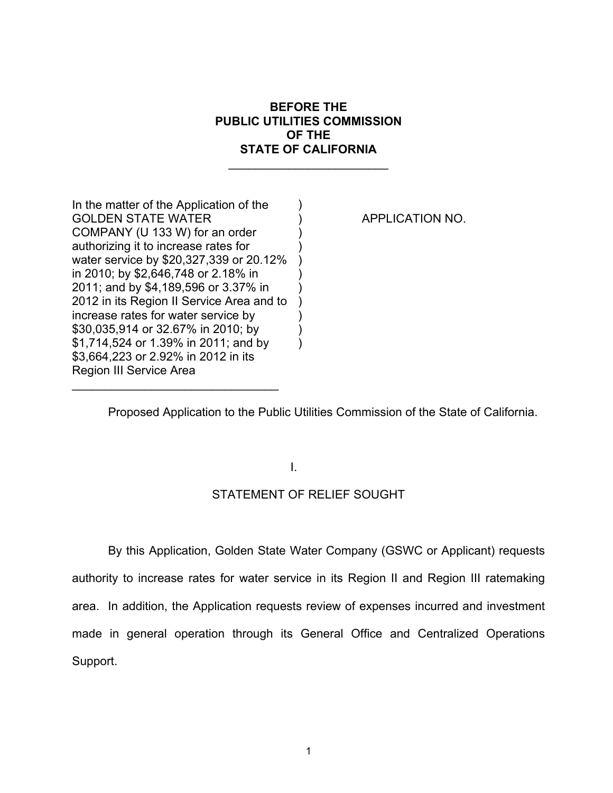# **BEFORE THE PUBLIC UTILITIES COMMISSION OF THE STATE OF CALIFORNIA**

 $\_$ 

) ) ) ) ) ) ) ) ) ) )

In the matter of the Application of the GOLDEN STATE WATER COMPANY (U 133 W) for an order authorizing it to increase rates for water service by \$20,327,339 or 20.12% in 2010; by \$2,646,748 or 2.18% in 2011; and by \$4,189,596 or 3.37% in 2012 in its Region II Service Area and to increase rates for water service by \$30,035,914 or 32.67% in 2010; by \$1,714,524 or 1.39% in 2011; and by \$3,664,223 or 2.92% in 2012 in its Region III Service Area

 $\mathcal{L}_\text{max}$  , where  $\mathcal{L}_\text{max}$  is the set of  $\mathcal{L}_\text{max}$ 

APPLICATION NO.

Proposed Application to the Public Utilities Commission of the State of California.

I.

# STATEMENT OF RELIEF SOUGHT

 By this Application, Golden State Water Company (GSWC or Applicant) requests authority to increase rates for water service in its Region II and Region III ratemaking area. In addition, the Application requests review of expenses incurred and investment made in general operation through its General Office and Centralized Operations Support.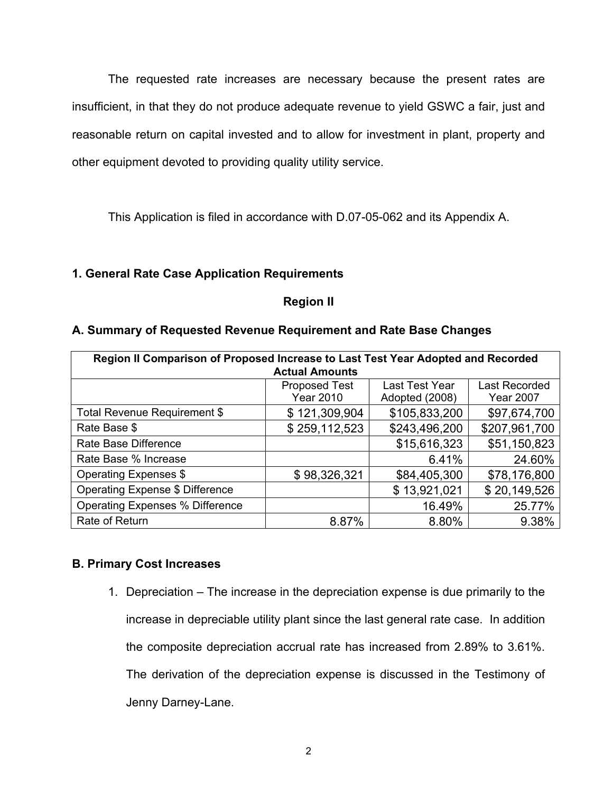The requested rate increases are necessary because the present rates are insufficient, in that they do not produce adequate revenue to yield GSWC a fair, just and reasonable return on capital invested and to allow for investment in plant, property and other equipment devoted to providing quality utility service.

This Application is filed in accordance with D.07-05-062 and its Appendix A.

# **1. General Rate Case Application Requirements**

# **Region II**

# **A. Summary of Requested Revenue Requirement and Rate Base Changes**

| Region II Comparison of Proposed Increase to Last Test Year Adopted and Recorded<br><b>Actual Amounts</b> |                                          |                                  |                                          |
|-----------------------------------------------------------------------------------------------------------|------------------------------------------|----------------------------------|------------------------------------------|
|                                                                                                           | <b>Proposed Test</b><br><b>Year 2010</b> | Last Test Year<br>Adopted (2008) | <b>Last Recorded</b><br><b>Year 2007</b> |
| Total Revenue Requirement \$                                                                              | \$121,309,904                            | \$105,833,200                    | \$97,674,700                             |
| Rate Base \$                                                                                              | \$259,112,523                            | \$243,496,200                    | \$207,961,700                            |
| Rate Base Difference                                                                                      |                                          | \$15,616,323                     | \$51,150,823                             |
| Rate Base % Increase                                                                                      |                                          | 6.41%                            | 24.60%                                   |
| Operating Expenses \$                                                                                     | \$98,326,321                             | \$84,405,300                     | \$78,176,800                             |
| Operating Expense \$ Difference                                                                           |                                          | \$13,921,021                     | \$20,149,526                             |
| <b>Operating Expenses % Difference</b>                                                                    |                                          | 16.49%                           | 25.77%                                   |
| Rate of Return                                                                                            | 8.87%                                    | 8.80%                            | 9.38%                                    |

# **B. Primary Cost Increases**

1. Depreciation – The increase in the depreciation expense is due primarily to the increase in depreciable utility plant since the last general rate case. In addition the composite depreciation accrual rate has increased from 2.89% to 3.61%. The derivation of the depreciation expense is discussed in the Testimony of Jenny Darney-Lane.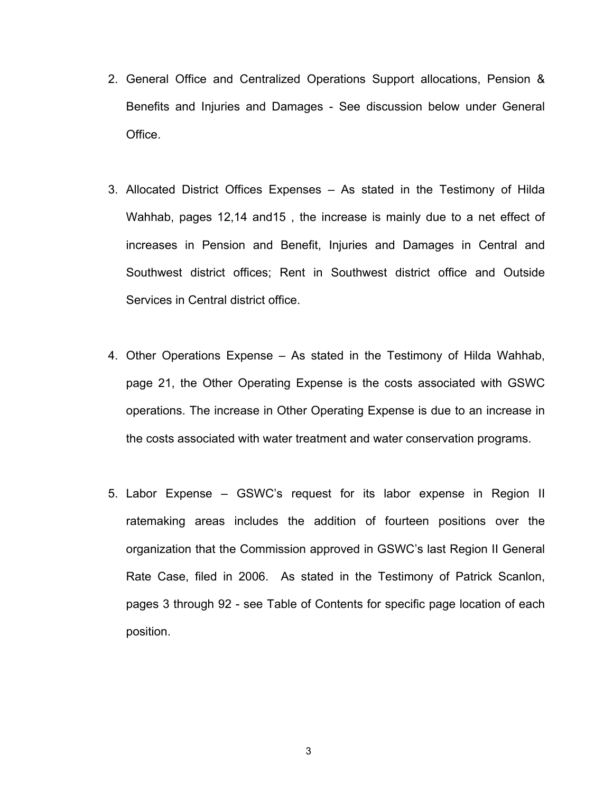- 2. General Office and Centralized Operations Support allocations, Pension & Benefits and Injuries and Damages - See discussion below under General Office.
- 3. Allocated District Offices Expenses As stated in the Testimony of Hilda Wahhab, pages 12,14 and15 , the increase is mainly due to a net effect of increases in Pension and Benefit, Injuries and Damages in Central and Southwest district offices; Rent in Southwest district office and Outside Services in Central district office.
- 4. Other Operations Expense As stated in the Testimony of Hilda Wahhab, page 21, the Other Operating Expense is the costs associated with GSWC operations. The increase in Other Operating Expense is due to an increase in the costs associated with water treatment and water conservation programs.
- 5. Labor Expense GSWC's request for its labor expense in Region II ratemaking areas includes the addition of fourteen positions over the organization that the Commission approved in GSWC's last Region II General Rate Case, filed in 2006. As stated in the Testimony of Patrick Scanlon, pages 3 through 92 - see Table of Contents for specific page location of each position.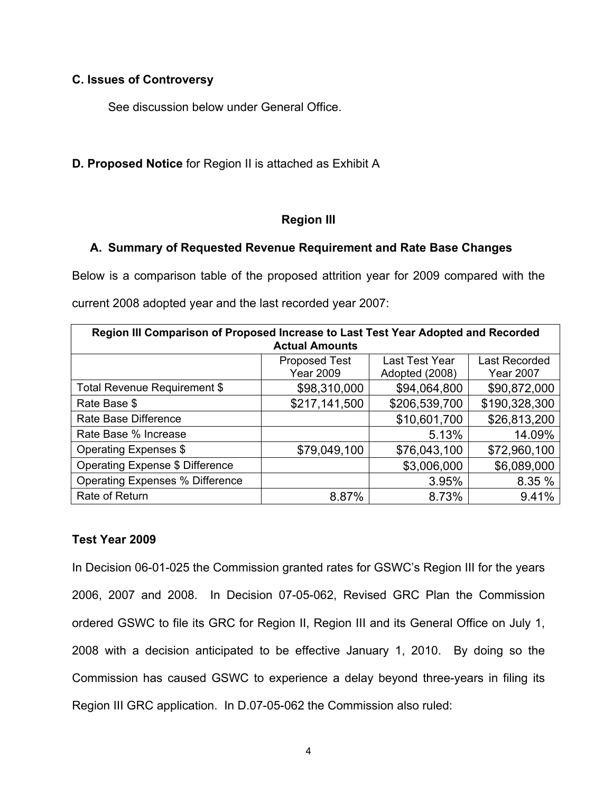# **C. Issues of Controversy**

See discussion below under General Office.

**D. Proposed Notice** for Region II is attached as Exhibit A

# **Region III**

# **A. Summary of Requested Revenue Requirement and Rate Base Changes**

Below is a comparison table of the proposed attrition year for 2009 compared with the current 2008 adopted year and the last recorded year 2007:

| Region III Comparison of Proposed Increase to Last Test Year Adopted and Recorded<br><b>Actual Amounts</b> |                                          |                                  |                                   |
|------------------------------------------------------------------------------------------------------------|------------------------------------------|----------------------------------|-----------------------------------|
|                                                                                                            | <b>Proposed Test</b><br><b>Year 2009</b> | Last Test Year<br>Adopted (2008) | Last Recorded<br><b>Year 2007</b> |
| Total Revenue Requirement \$                                                                               | \$98,310,000                             | \$94,064,800                     | \$90,872,000                      |
| Rate Base \$                                                                                               | \$217,141,500                            | \$206,539,700                    | \$190,328,300                     |
| Rate Base Difference                                                                                       |                                          | \$10,601,700                     | \$26,813,200                      |
| Rate Base % Increase                                                                                       |                                          | 5.13%                            | 14.09%                            |
| Operating Expenses \$                                                                                      | \$79,049,100                             | \$76,043,100                     | \$72,960,100                      |
| <b>Operating Expense \$ Difference</b>                                                                     |                                          | \$3,006,000                      | \$6,089,000                       |
| <b>Operating Expenses % Difference</b>                                                                     |                                          | 3.95%                            | 8.35 %                            |
| Rate of Return                                                                                             | 8.87%                                    | 8.73%                            | 9.41%                             |

# **Test Year 2009**

In Decision 06-01-025 the Commission granted rates for GSWC's Region III for the years 2006, 2007 and 2008. In Decision 07-05-062, Revised GRC Plan the Commission ordered GSWC to file its GRC for Region II, Region III and its General Office on July 1, 2008 with a decision anticipated to be effective January 1, 2010. By doing so the Commission has caused GSWC to experience a delay beyond three-years in filing its Region III GRC application. In D.07-05-062 the Commission also ruled: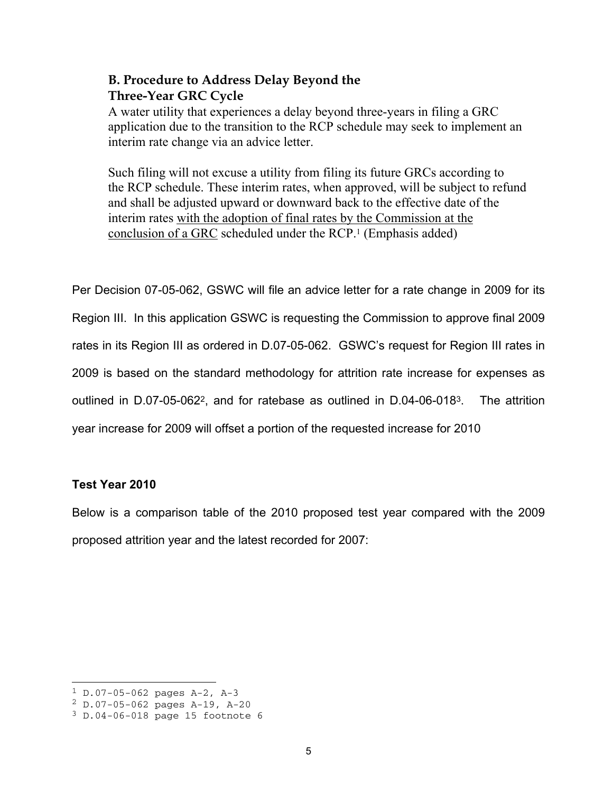# **B. Procedure to Address Delay Beyond the Three-Year GRC Cycle**

A water utility that experiences a delay beyond three-years in filing a GRC application due to the transition to the RCP schedule may seek to implement an interim rate change via an advice letter.

Such filing will not excuse a utility from filing its future GRCs according to the RCP schedule. These interim rates, when approved, will be subject to refund and shall be adjusted upward or downward back to the effective date of the interim rates with the adoption of final rates by the Commission at the conclusion of a GRC scheduled under the RCP.1 (Emphasis added)

Per Decision 07-05-062, GSWC will file an advice letter for a rate change in 2009 for its Region III. In this application GSWC is requesting the Commission to approve final 2009 rates in its Region III as ordered in D.07-05-062. GSWC's request for Region III rates in 2009 is based on the standard methodology for attrition rate increase for expenses as outlined in D.07-05-0622, and for ratebase as outlined in D.04-06-0183. The attrition year increase for 2009 will offset a portion of the requested increase for 2010

# **Test Year 2010**

Below is a comparison table of the 2010 proposed test year compared with the 2009 proposed attrition year and the latest recorded for 2007:

 $1 D.07-05-062$  pages A-2, A-3

<sup>2</sup> D.07-05-062 pages A-19, A-20

<sup>3</sup> D.04-06-018 page 15 footnote 6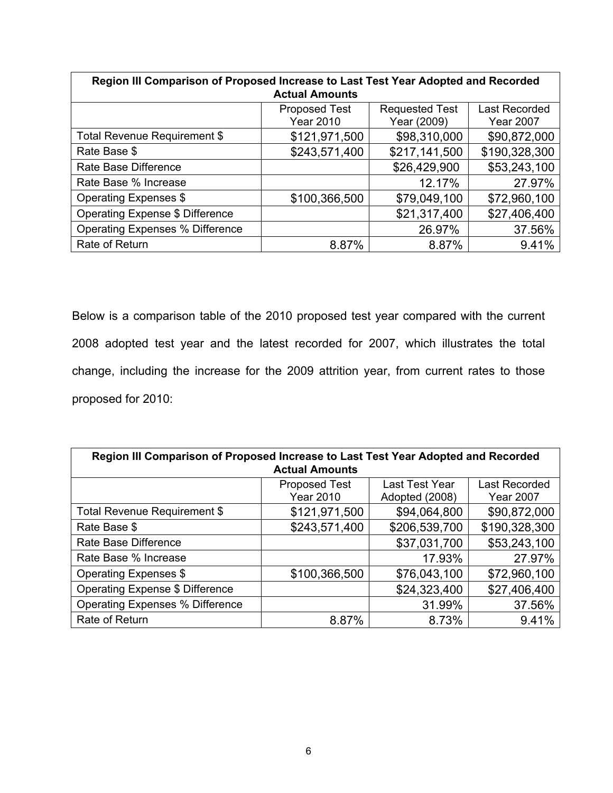| Region III Comparison of Proposed Increase to Last Test Year Adopted and Recorded<br><b>Actual Amounts</b> |                                          |                                      |                                          |
|------------------------------------------------------------------------------------------------------------|------------------------------------------|--------------------------------------|------------------------------------------|
|                                                                                                            | <b>Proposed Test</b><br><b>Year 2010</b> | <b>Requested Test</b><br>Year (2009) | <b>Last Recorded</b><br><b>Year 2007</b> |
| Total Revenue Requirement \$                                                                               | \$121,971,500                            | \$98,310,000                         | \$90,872,000                             |
| Rate Base \$                                                                                               | \$243,571,400                            | \$217,141,500                        | \$190,328,300                            |
| Rate Base Difference                                                                                       |                                          | \$26,429,900                         | \$53,243,100                             |
| Rate Base % Increase                                                                                       |                                          | 12.17%                               | 27.97%                                   |
| Operating Expenses \$                                                                                      | \$100,366,500                            | \$79,049,100                         | \$72,960,100                             |
| Operating Expense \$ Difference                                                                            |                                          | \$21,317,400                         | \$27,406,400                             |
| Operating Expenses % Difference                                                                            |                                          | 26.97%                               | 37.56%                                   |
| Rate of Return                                                                                             | 8.87%                                    | 8.87%                                | 9.41%                                    |

Below is a comparison table of the 2010 proposed test year compared with the current 2008 adopted test year and the latest recorded for 2007, which illustrates the total change, including the increase for the 2009 attrition year, from current rates to those proposed for 2010:

| Region III Comparison of Proposed Increase to Last Test Year Adopted and Recorded<br><b>Actual Amounts</b> |                                          |                                  |                                          |
|------------------------------------------------------------------------------------------------------------|------------------------------------------|----------------------------------|------------------------------------------|
|                                                                                                            | <b>Proposed Test</b><br><b>Year 2010</b> | Last Test Year<br>Adopted (2008) | <b>Last Recorded</b><br><b>Year 2007</b> |
| Total Revenue Requirement \$                                                                               | \$121,971,500                            | \$94,064,800                     | \$90,872,000                             |
| Rate Base \$                                                                                               | \$243,571,400                            | \$206,539,700                    | \$190,328,300                            |
| Rate Base Difference                                                                                       |                                          | \$37,031,700                     | \$53,243,100                             |
| Rate Base % Increase                                                                                       |                                          | 17.93%                           | 27.97%                                   |
| Operating Expenses \$                                                                                      | \$100,366,500                            | \$76,043,100                     | \$72,960,100                             |
| Operating Expense \$ Difference                                                                            |                                          | \$24,323,400                     | \$27,406,400                             |
| <b>Operating Expenses % Difference</b>                                                                     |                                          | 31.99%                           | 37.56%                                   |
| Rate of Return                                                                                             | 8.87%                                    | 8.73%                            | 9.41%                                    |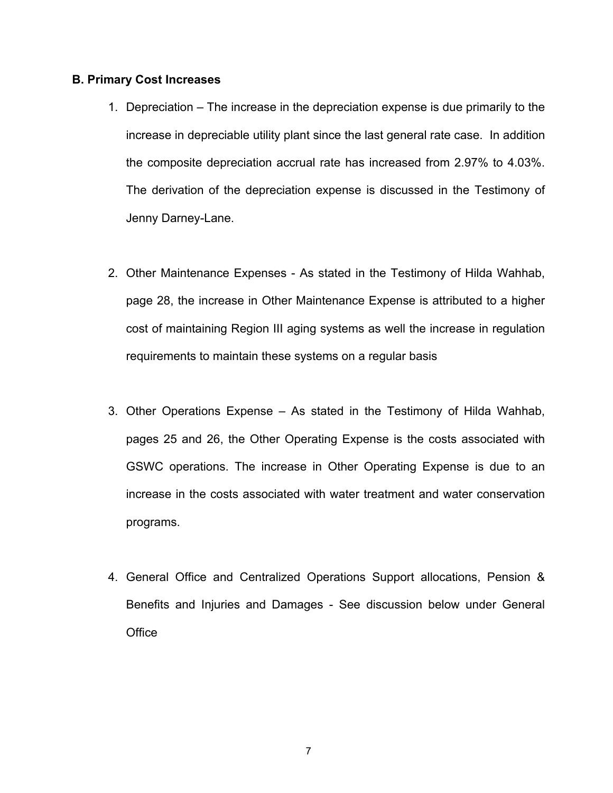# **B. Primary Cost Increases**

- 1. Depreciation The increase in the depreciation expense is due primarily to the increase in depreciable utility plant since the last general rate case. In addition the composite depreciation accrual rate has increased from 2.97% to 4.03%. The derivation of the depreciation expense is discussed in the Testimony of Jenny Darney-Lane.
- 2. Other Maintenance Expenses As stated in the Testimony of Hilda Wahhab, page 28, the increase in Other Maintenance Expense is attributed to a higher cost of maintaining Region III aging systems as well the increase in regulation requirements to maintain these systems on a regular basis
- 3. Other Operations Expense As stated in the Testimony of Hilda Wahhab, pages 25 and 26, the Other Operating Expense is the costs associated with GSWC operations. The increase in Other Operating Expense is due to an increase in the costs associated with water treatment and water conservation programs.
- 4. General Office and Centralized Operations Support allocations, Pension & Benefits and Injuries and Damages - See discussion below under General **Office**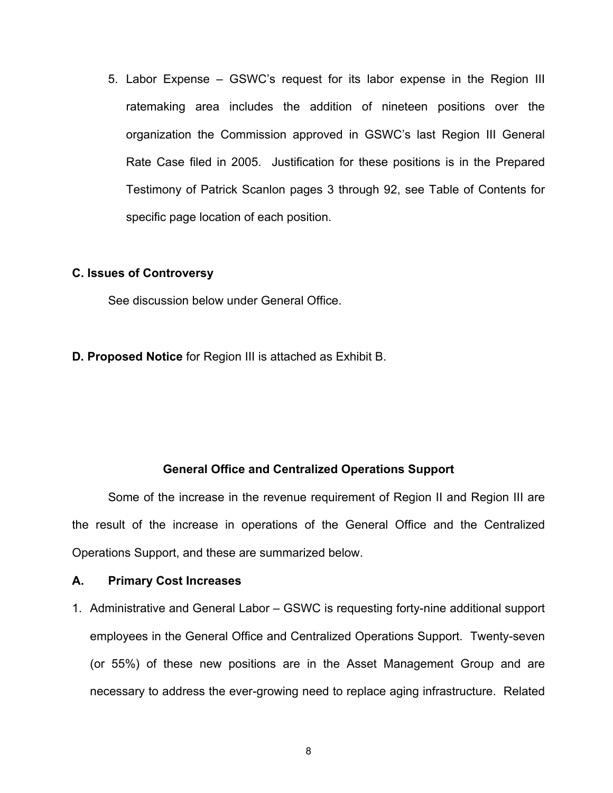5. Labor Expense – GSWC's request for its labor expense in the Region III ratemaking area includes the addition of nineteen positions over the organization the Commission approved in GSWC's last Region III General Rate Case filed in 2005. Justification for these positions is in the Prepared Testimony of Patrick Scanlon pages 3 through 92, see Table of Contents for specific page location of each position.

# **C. Issues of Controversy**

See discussion below under General Office.

**D. Proposed Notice** for Region III is attached as Exhibit B.

# **General Office and Centralized Operations Support**

Some of the increase in the revenue requirement of Region II and Region III are the result of the increase in operations of the General Office and the Centralized Operations Support, and these are summarized below.

# **A. Primary Cost Increases**

1. Administrative and General Labor – GSWC is requesting forty-nine additional support employees in the General Office and Centralized Operations Support. Twenty-seven (or 55%) of these new positions are in the Asset Management Group and are necessary to address the ever-growing need to replace aging infrastructure. Related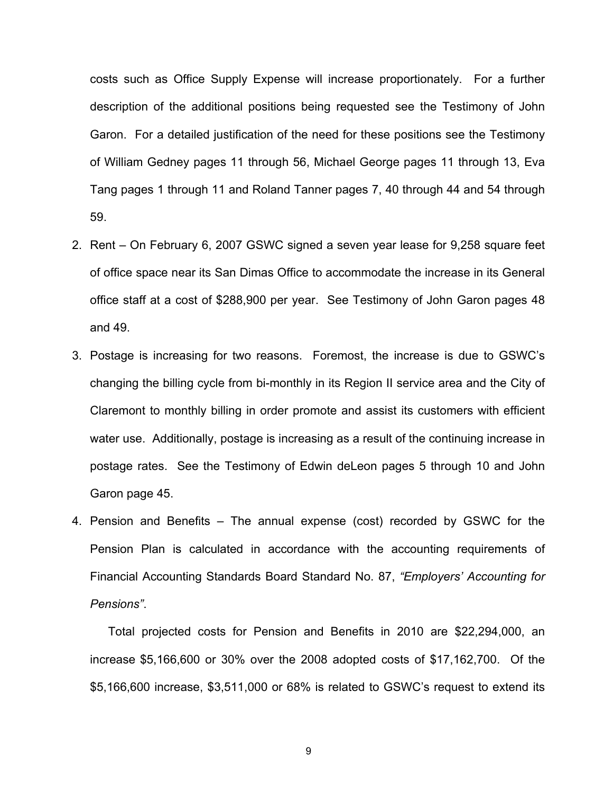costs such as Office Supply Expense will increase proportionately. For a further description of the additional positions being requested see the Testimony of John Garon. For a detailed justification of the need for these positions see the Testimony of William Gedney pages 11 through 56, Michael George pages 11 through 13, Eva Tang pages 1 through 11 and Roland Tanner pages 7, 40 through 44 and 54 through 59.

- 2. Rent On February 6, 2007 GSWC signed a seven year lease for 9,258 square feet of office space near its San Dimas Office to accommodate the increase in its General office staff at a cost of \$288,900 per year. See Testimony of John Garon pages 48 and 49.
- 3. Postage is increasing for two reasons. Foremost, the increase is due to GSWC's changing the billing cycle from bi-monthly in its Region II service area and the City of Claremont to monthly billing in order promote and assist its customers with efficient water use. Additionally, postage is increasing as a result of the continuing increase in postage rates. See the Testimony of Edwin deLeon pages 5 through 10 and John Garon page 45.
- 4. Pension and Benefits The annual expense (cost) recorded by GSWC for the Pension Plan is calculated in accordance with the accounting requirements of Financial Accounting Standards Board Standard No. 87, *"Employers' Accounting for Pensions"*.

Total projected costs for Pension and Benefits in 2010 are \$22,294,000, an increase \$5,166,600 or 30% over the 2008 adopted costs of \$17,162,700. Of the \$5,166,600 increase, \$3,511,000 or 68% is related to GSWC's request to extend its

9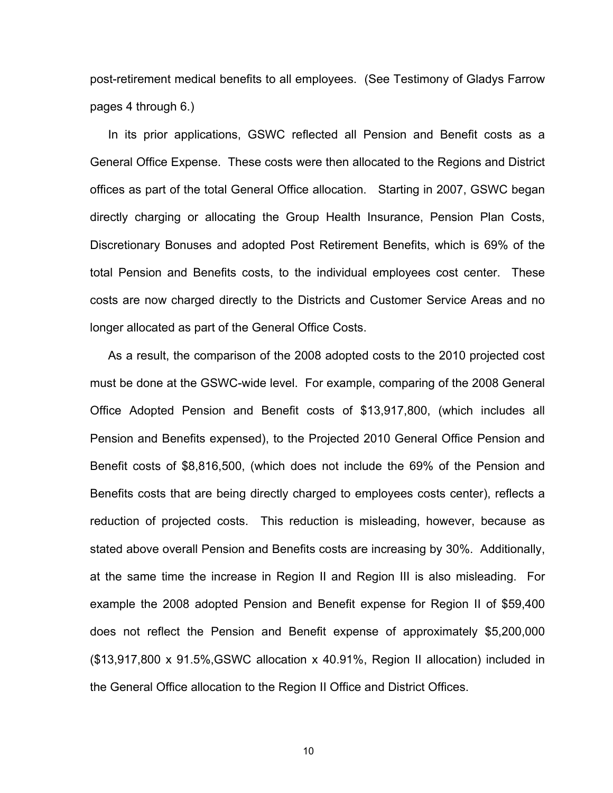post-retirement medical benefits to all employees. (See Testimony of Gladys Farrow pages 4 through 6.)

In its prior applications, GSWC reflected all Pension and Benefit costs as a General Office Expense. These costs were then allocated to the Regions and District offices as part of the total General Office allocation. Starting in 2007, GSWC began directly charging or allocating the Group Health Insurance, Pension Plan Costs, Discretionary Bonuses and adopted Post Retirement Benefits, which is 69% of the total Pension and Benefits costs, to the individual employees cost center. These costs are now charged directly to the Districts and Customer Service Areas and no longer allocated as part of the General Office Costs.

As a result, the comparison of the 2008 adopted costs to the 2010 projected cost must be done at the GSWC-wide level. For example, comparing of the 2008 General Office Adopted Pension and Benefit costs of \$13,917,800, (which includes all Pension and Benefits expensed), to the Projected 2010 General Office Pension and Benefit costs of \$8,816,500, (which does not include the 69% of the Pension and Benefits costs that are being directly charged to employees costs center), reflects a reduction of projected costs. This reduction is misleading, however, because as stated above overall Pension and Benefits costs are increasing by 30%. Additionally, at the same time the increase in Region II and Region III is also misleading. For example the 2008 adopted Pension and Benefit expense for Region II of \$59,400 does not reflect the Pension and Benefit expense of approximately \$5,200,000 (\$13,917,800 x 91.5%,GSWC allocation x 40.91%, Region II allocation) included in the General Office allocation to the Region II Office and District Offices.

10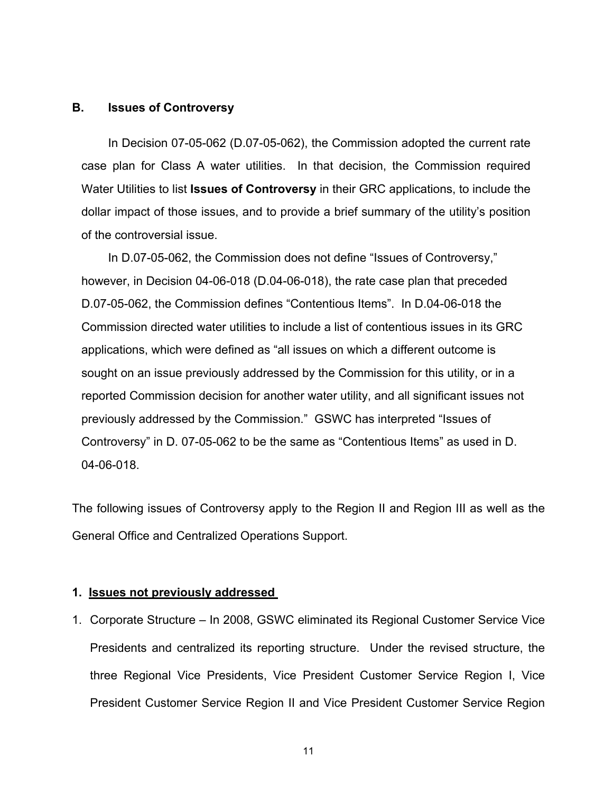# **B. Issues of Controversy**

 In Decision 07-05-062 (D.07-05-062), the Commission adopted the current rate case plan for Class A water utilities. In that decision, the Commission required Water Utilities to list **Issues of Controversy** in their GRC applications, to include the dollar impact of those issues, and to provide a brief summary of the utility's position of the controversial issue.

In D.07-05-062, the Commission does not define "Issues of Controversy," however, in Decision 04-06-018 (D.04-06-018), the rate case plan that preceded D.07-05-062, the Commission defines "Contentious Items". In D.04-06-018 the Commission directed water utilities to include a list of contentious issues in its GRC applications, which were defined as "all issues on which a different outcome is sought on an issue previously addressed by the Commission for this utility, or in a reported Commission decision for another water utility, and all significant issues not previously addressed by the Commission." GSWC has interpreted "Issues of Controversy" in D. 07-05-062 to be the same as "Contentious Items" as used in D. 04-06-018.

The following issues of Controversy apply to the Region II and Region III as well as the General Office and Centralized Operations Support.

# **1. Issues not previously addressed**

1. Corporate Structure – In 2008, GSWC eliminated its Regional Customer Service Vice Presidents and centralized its reporting structure. Under the revised structure, the three Regional Vice Presidents, Vice President Customer Service Region I, Vice President Customer Service Region II and Vice President Customer Service Region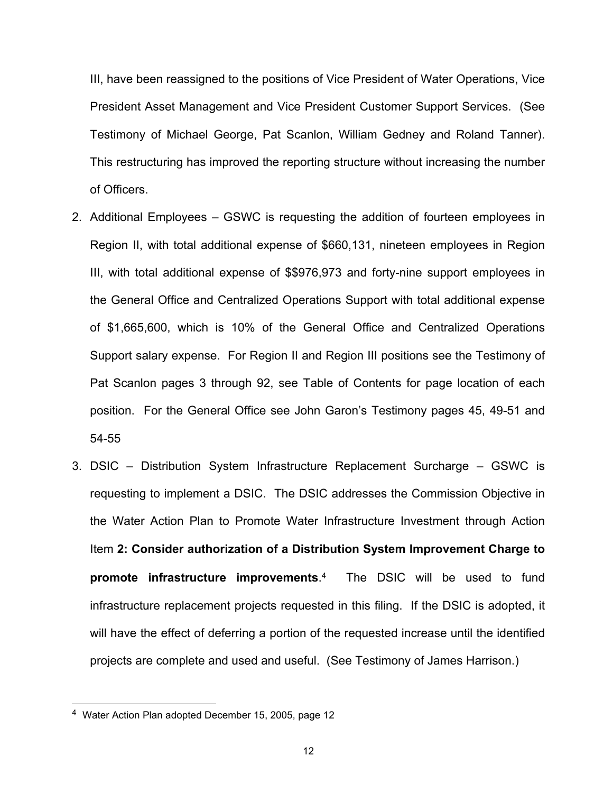III, have been reassigned to the positions of Vice President of Water Operations, Vice President Asset Management and Vice President Customer Support Services. (See Testimony of Michael George, Pat Scanlon, William Gedney and Roland Tanner). This restructuring has improved the reporting structure without increasing the number of Officers.

- 2. Additional Employees GSWC is requesting the addition of fourteen employees in Region II, with total additional expense of \$660,131, nineteen employees in Region III, with total additional expense of \$\$976,973 and forty-nine support employees in the General Office and Centralized Operations Support with total additional expense of \$1,665,600, which is 10% of the General Office and Centralized Operations Support salary expense. For Region II and Region III positions see the Testimony of Pat Scanlon pages 3 through 92, see Table of Contents for page location of each position. For the General Office see John Garon's Testimony pages 45, 49-51 and 54-55
- 3. DSIC Distribution System Infrastructure Replacement Surcharge GSWC is requesting to implement a DSIC. The DSIC addresses the Commission Objective in the Water Action Plan to Promote Water Infrastructure Investment through Action Item **2: Consider authorization of a Distribution System Improvement Charge to promote infrastructure improvements**.4 The DSIC will be used to fund infrastructure replacement projects requested in this filing. If the DSIC is adopted, it will have the effect of deferring a portion of the requested increase until the identified projects are complete and used and useful. (See Testimony of James Harrison.)

<sup>4</sup> Water Action Plan adopted December 15, 2005, page 12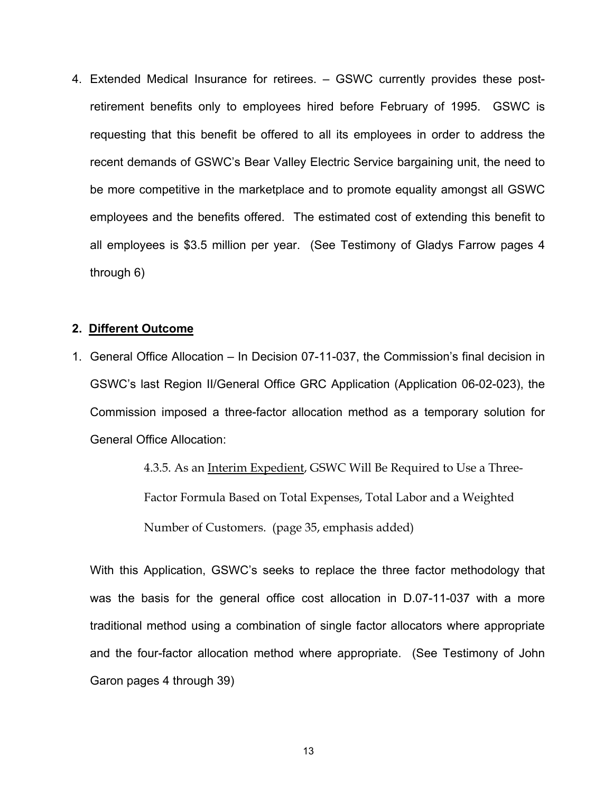4. Extended Medical Insurance for retirees. – GSWC currently provides these postretirement benefits only to employees hired before February of 1995. GSWC is requesting that this benefit be offered to all its employees in order to address the recent demands of GSWC's Bear Valley Electric Service bargaining unit, the need to be more competitive in the marketplace and to promote equality amongst all GSWC employees and the benefits offered. The estimated cost of extending this benefit to all employees is \$3.5 million per year. (See Testimony of Gladys Farrow pages 4 through 6)

# **2. Different Outcome**

1. General Office Allocation – In Decision 07-11-037, the Commission's final decision in GSWC's last Region II/General Office GRC Application (Application 06-02-023), the Commission imposed a three-factor allocation method as a temporary solution for General Office Allocation:

> 4.3.5. As an Interim Expedient, GSWC Will Be Required to Use a Three-Factor Formula Based on Total Expenses, Total Labor and a Weighted Number of Customers. (page 35, emphasis added)

With this Application, GSWC's seeks to replace the three factor methodology that was the basis for the general office cost allocation in D.07-11-037 with a more traditional method using a combination of single factor allocators where appropriate and the four-factor allocation method where appropriate. (See Testimony of John Garon pages 4 through 39)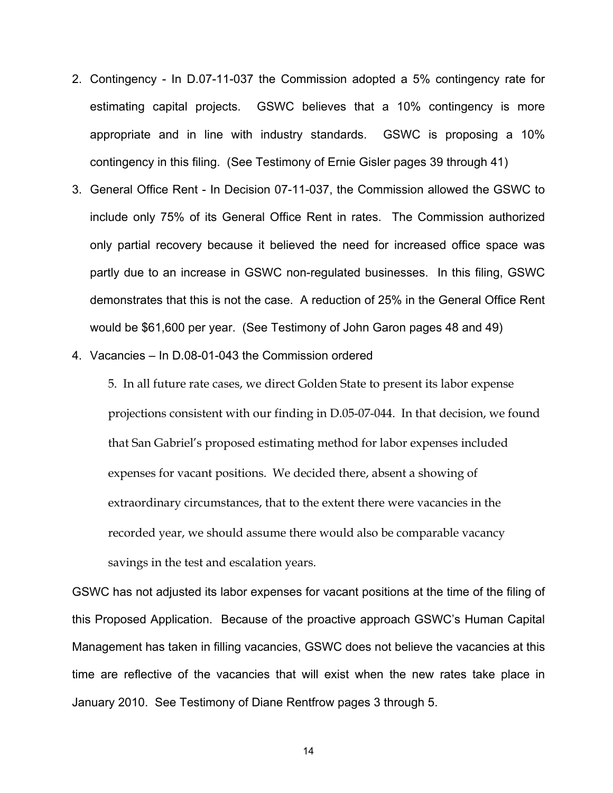- 2. Contingency In D.07-11-037 the Commission adopted a 5% contingency rate for estimating capital projects. GSWC believes that a 10% contingency is more appropriate and in line with industry standards. GSWC is proposing a 10% contingency in this filing. (See Testimony of Ernie Gisler pages 39 through 41)
- 3. General Office Rent In Decision 07-11-037, the Commission allowed the GSWC to include only 75% of its General Office Rent in rates. The Commission authorized only partial recovery because it believed the need for increased office space was partly due to an increase in GSWC non-regulated businesses. In this filing, GSWC demonstrates that this is not the case. A reduction of 25% in the General Office Rent would be \$61,600 per year. (See Testimony of John Garon pages 48 and 49)
- 4. Vacancies In D.08-01-043 the Commission ordered

5. In all future rate cases, we direct Golden State to present its labor expense projections consistent with our finding in D.05-07-044. In that decision, we found that San Gabriel's proposed estimating method for labor expenses included expenses for vacant positions. We decided there, absent a showing of extraordinary circumstances, that to the extent there were vacancies in the recorded year, we should assume there would also be comparable vacancy savings in the test and escalation years.

GSWC has not adjusted its labor expenses for vacant positions at the time of the filing of this Proposed Application. Because of the proactive approach GSWC's Human Capital Management has taken in filling vacancies, GSWC does not believe the vacancies at this time are reflective of the vacancies that will exist when the new rates take place in January 2010. See Testimony of Diane Rentfrow pages 3 through 5.

14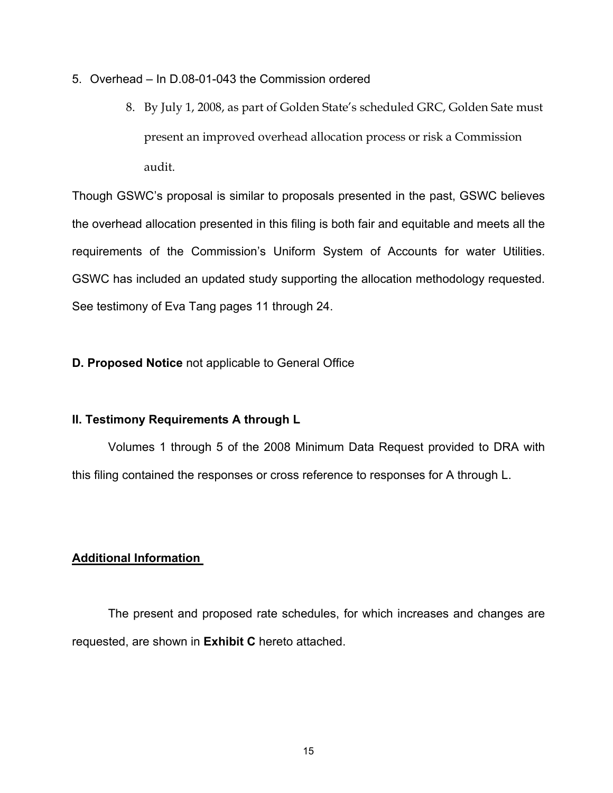- 5. Overhead In D.08-01-043 the Commission ordered
	- 8. By July 1, 2008, as part of Golden State's scheduled GRC, Golden Sate must present an improved overhead allocation process or risk a Commission audit.

Though GSWC's proposal is similar to proposals presented in the past, GSWC believes the overhead allocation presented in this filing is both fair and equitable and meets all the requirements of the Commission's Uniform System of Accounts for water Utilities. GSWC has included an updated study supporting the allocation methodology requested. See testimony of Eva Tang pages 11 through 24.

# **D. Proposed Notice** not applicable to General Office

# **II. Testimony Requirements A through L**

Volumes 1 through 5 of the 2008 Minimum Data Request provided to DRA with this filing contained the responses or cross reference to responses for A through L.

# **Additional Information**

The present and proposed rate schedules, for which increases and changes are requested, are shown in **Exhibit C** hereto attached.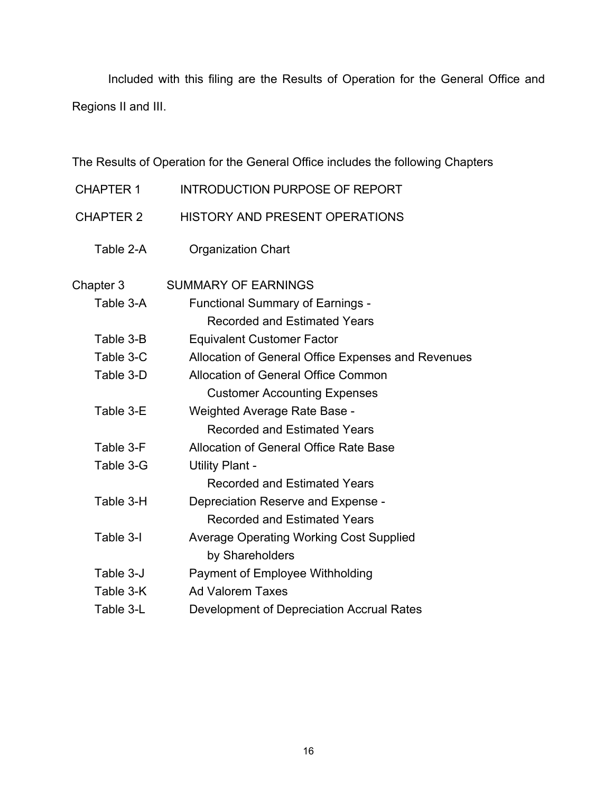Included with this filing are the Results of Operation for the General Office and Regions II and III.

The Results of Operation for the General Office includes the following Chapters

- CHAPTER 1 INTRODUCTION PURPOSE OF REPORT
- CHAPTER 2 HISTORY AND PRESENT OPERATIONS
	- Table 2-A Organization Chart

| Chapter 3 | <b>SUMMARY OF EARNINGS</b>                         |
|-----------|----------------------------------------------------|
| Table 3-A | <b>Functional Summary of Earnings -</b>            |
|           | Recorded and Estimated Years                       |
| Table 3-B | <b>Equivalent Customer Factor</b>                  |
| Table 3-C | Allocation of General Office Expenses and Revenues |
| Table 3-D | <b>Allocation of General Office Common</b>         |
|           | <b>Customer Accounting Expenses</b>                |
| Table 3-E | Weighted Average Rate Base -                       |
|           | Recorded and Estimated Years                       |
| Table 3-F | Allocation of General Office Rate Base             |
| Table 3-G | <b>Utility Plant -</b>                             |
|           | <b>Recorded and Estimated Years</b>                |
| Table 3-H | Depreciation Reserve and Expense -                 |
|           | <b>Recorded and Estimated Years</b>                |
| Table 3-I | <b>Average Operating Working Cost Supplied</b>     |
|           | by Shareholders                                    |
| Table 3-J | Payment of Employee Withholding                    |
| Table 3-K | <b>Ad Valorem Taxes</b>                            |
| Table 3-L | Development of Depreciation Accrual Rates          |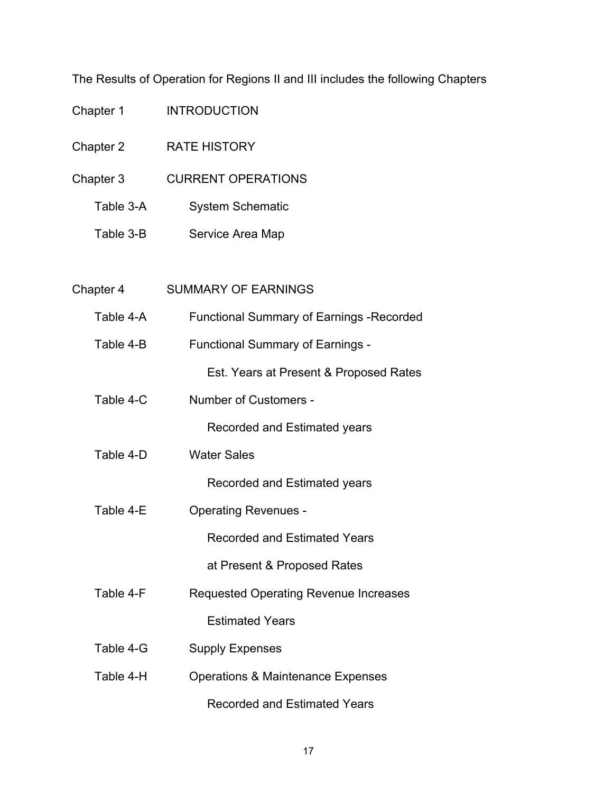The Results of Operation for Regions II and III includes the following Chapters

| Chapter 1 | <b>INTRODUCTION</b>                              |
|-----------|--------------------------------------------------|
| Chapter 2 | <b>RATE HISTORY</b>                              |
| Chapter 3 | <b>CURRENT OPERATIONS</b>                        |
| Table 3-A | <b>System Schematic</b>                          |
| Table 3-B | Service Area Map                                 |
|           |                                                  |
| Chapter 4 | <b>SUMMARY OF EARNINGS</b>                       |
| Table 4-A | <b>Functional Summary of Earnings - Recorded</b> |
| Table 4-B | <b>Functional Summary of Earnings -</b>          |
|           | Est. Years at Present & Proposed Rates           |
| Table 4-C | Number of Customers -                            |
|           | Recorded and Estimated years                     |
| Table 4-D | <b>Water Sales</b>                               |
|           | Recorded and Estimated years                     |
| Table 4-E | <b>Operating Revenues -</b>                      |
|           | <b>Recorded and Estimated Years</b>              |
|           | at Present & Proposed Rates                      |
| Table 4-F | <b>Requested Operating Revenue Increases</b>     |
|           | <b>Estimated Years</b>                           |
| Table 4-G | <b>Supply Expenses</b>                           |
| Table 4-H | <b>Operations &amp; Maintenance Expenses</b>     |
|           | <b>Recorded and Estimated Years</b>              |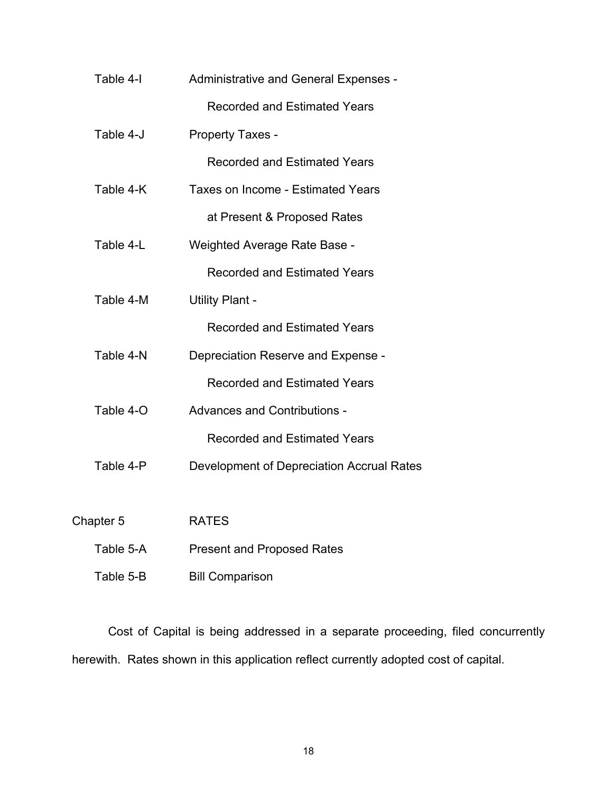| Table 4-I | Administrative and General Expenses -     |
|-----------|-------------------------------------------|
|           | <b>Recorded and Estimated Years</b>       |
| Table 4-J | Property Taxes -                          |
|           | <b>Recorded and Estimated Years</b>       |
| Table 4-K | Taxes on Income - Estimated Years         |
|           | at Present & Proposed Rates               |
| Table 4-L | <b>Weighted Average Rate Base -</b>       |
|           | <b>Recorded and Estimated Years</b>       |
| Table 4-M | <b>Utility Plant -</b>                    |
|           | <b>Recorded and Estimated Years</b>       |
| Table 4-N | Depreciation Reserve and Expense -        |
|           | <b>Recorded and Estimated Years</b>       |
| Table 4-O | <b>Advances and Contributions -</b>       |
|           | <b>Recorded and Estimated Years</b>       |
| Table 4-P | Development of Depreciation Accrual Rates |
|           |                                           |
| Chapter 5 | <b>RATES</b>                              |
| Table 5-A | <b>Present and Proposed Rates</b>         |
| Table 5-B | <b>Bill Comparison</b>                    |

Cost of Capital is being addressed in a separate proceeding, filed concurrently herewith. Rates shown in this application reflect currently adopted cost of capital.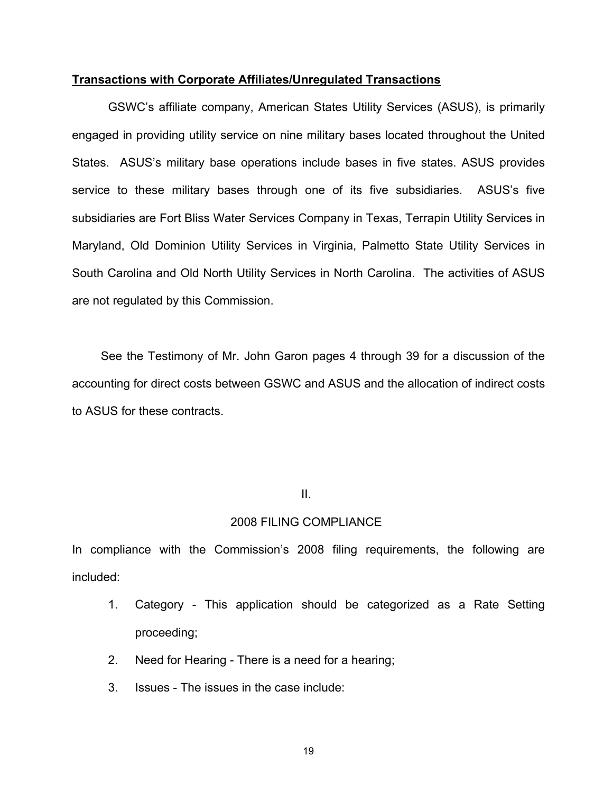# **Transactions with Corporate Affiliates/Unregulated Transactions**

GSWC's affiliate company, American States Utility Services (ASUS), is primarily engaged in providing utility service on nine military bases located throughout the United States. ASUS's military base operations include bases in five states. ASUS provides service to these military bases through one of its five subsidiaries. ASUS's five subsidiaries are Fort Bliss Water Services Company in Texas, Terrapin Utility Services in Maryland, Old Dominion Utility Services in Virginia, Palmetto State Utility Services in South Carolina and Old North Utility Services in North Carolina. The activities of ASUS are not regulated by this Commission.

 See the Testimony of Mr. John Garon pages 4 through 39 for a discussion of the accounting for direct costs between GSWC and ASUS and the allocation of indirect costs to ASUS for these contracts.

# **III. III.**

# 2008 FILING COMPLIANCE

In compliance with the Commission's 2008 filing requirements, the following are included:

- 1. Category This application should be categorized as a Rate Setting proceeding;
- 2. Need for Hearing There is a need for a hearing;
- 3. Issues The issues in the case include: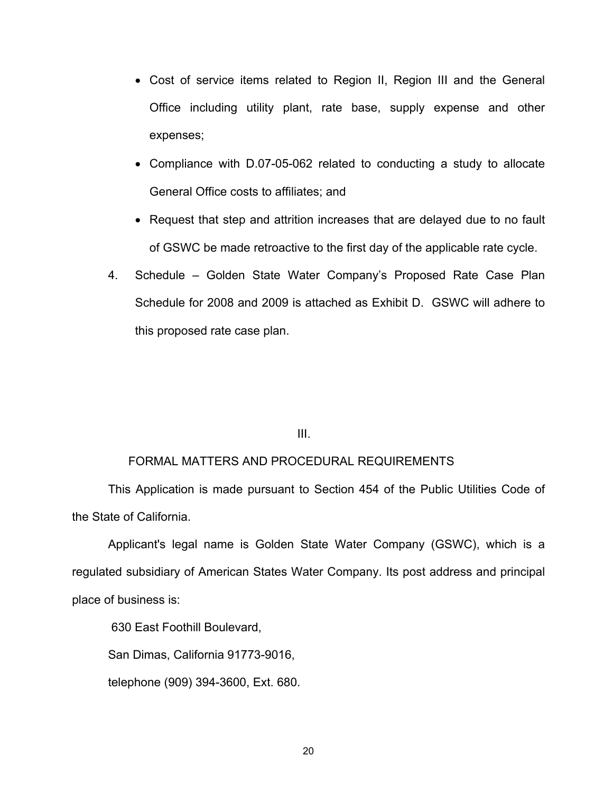- Cost of service items related to Region II, Region III and the General Office including utility plant, rate base, supply expense and other expenses;
- Compliance with D.07-05-062 related to conducting a study to allocate General Office costs to affiliates; and
- Request that step and attrition increases that are delayed due to no fault of GSWC be made retroactive to the first day of the applicable rate cycle.
- 4. Schedule Golden State Water Company's Proposed Rate Case Plan Schedule for 2008 and 2009 is attached as Exhibit D. GSWC will adhere to this proposed rate case plan.

# III.

# FORMAL MATTERS AND PROCEDURAL REQUIREMENTS

 This Application is made pursuant to Section 454 of the Public Utilities Code of the State of California.

 Applicant's legal name is Golden State Water Company (GSWC), which is a regulated subsidiary of American States Water Company. Its post address and principal place of business is:

630 East Foothill Boulevard,

San Dimas, California 91773-9016,

telephone (909) 394-3600, Ext. 680.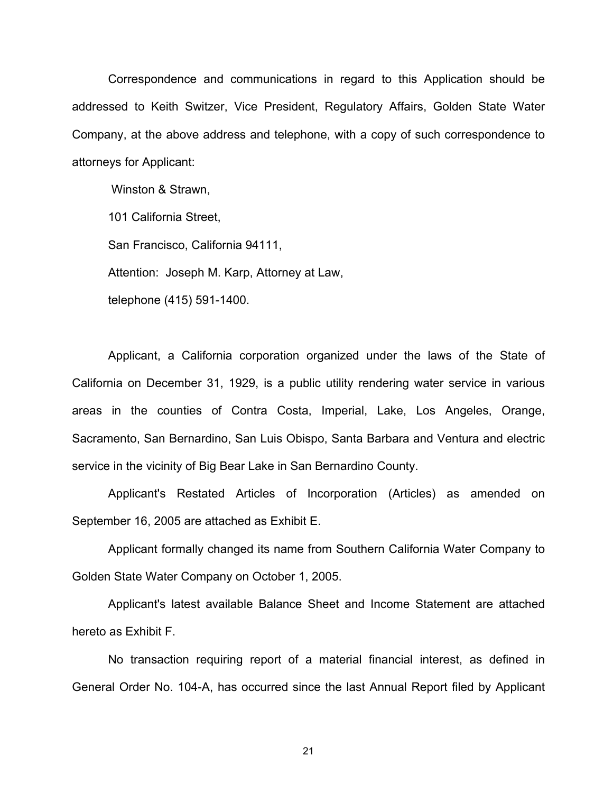Correspondence and communications in regard to this Application should be addressed to Keith Switzer, Vice President, Regulatory Affairs, Golden State Water Company, at the above address and telephone, with a copy of such correspondence to attorneys for Applicant:

 Winston & Strawn, 101 California Street, San Francisco, California 94111, Attention: Joseph M. Karp, Attorney at Law, telephone (415) 591-1400.

 Applicant, a California corporation organized under the laws of the State of California on December 31, 1929, is a public utility rendering water service in various areas in the counties of Contra Costa, Imperial, Lake, Los Angeles, Orange, Sacramento, San Bernardino, San Luis Obispo, Santa Barbara and Ventura and electric service in the vicinity of Big Bear Lake in San Bernardino County.

Applicant's Restated Articles of Incorporation (Articles) as amended on September 16, 2005 are attached as Exhibit E.

 Applicant formally changed its name from Southern California Water Company to Golden State Water Company on October 1, 2005.

 Applicant's latest available Balance Sheet and Income Statement are attached hereto as Exhibit F.

 No transaction requiring report of a material financial interest, as defined in General Order No. 104-A, has occurred since the last Annual Report filed by Applicant

21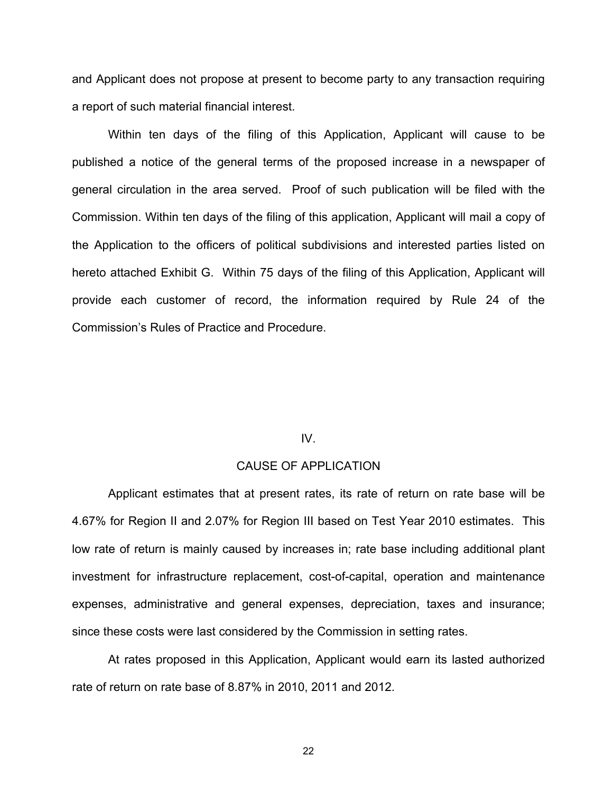and Applicant does not propose at present to become party to any transaction requiring a report of such material financial interest.

 Within ten days of the filing of this Application, Applicant will cause to be published a notice of the general terms of the proposed increase in a newspaper of general circulation in the area served. Proof of such publication will be filed with the Commission. Within ten days of the filing of this application, Applicant will mail a copy of the Application to the officers of political subdivisions and interested parties listed on hereto attached Exhibit G. Within 75 days of the filing of this Application, Applicant will provide each customer of record, the information required by Rule 24 of the Commission's Rules of Practice and Procedure.

# IV.

# CAUSE OF APPLICATION

Applicant estimates that at present rates, its rate of return on rate base will be 4.67% for Region II and 2.07% for Region III based on Test Year 2010 estimates. This low rate of return is mainly caused by increases in; rate base including additional plant investment for infrastructure replacement, cost-of-capital, operation and maintenance expenses, administrative and general expenses, depreciation, taxes and insurance; since these costs were last considered by the Commission in setting rates.

At rates proposed in this Application, Applicant would earn its lasted authorized rate of return on rate base of 8.87% in 2010, 2011 and 2012.

22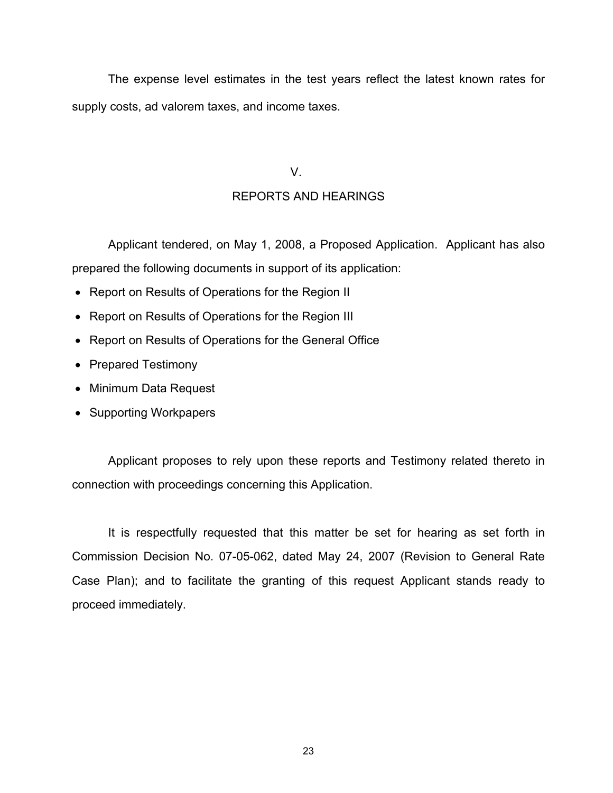The expense level estimates in the test years reflect the latest known rates for supply costs, ad valorem taxes, and income taxes.

# V.

# REPORTS AND HEARINGS

 Applicant tendered, on May 1, 2008, a Proposed Application. Applicant has also prepared the following documents in support of its application:

- Report on Results of Operations for the Region II
- Report on Results of Operations for the Region III
- Report on Results of Operations for the General Office
- Prepared Testimony
- Minimum Data Request
- Supporting Workpapers

 Applicant proposes to rely upon these reports and Testimony related thereto in connection with proceedings concerning this Application.

 It is respectfully requested that this matter be set for hearing as set forth in Commission Decision No. 07-05-062, dated May 24, 2007 (Revision to General Rate Case Plan); and to facilitate the granting of this request Applicant stands ready to proceed immediately.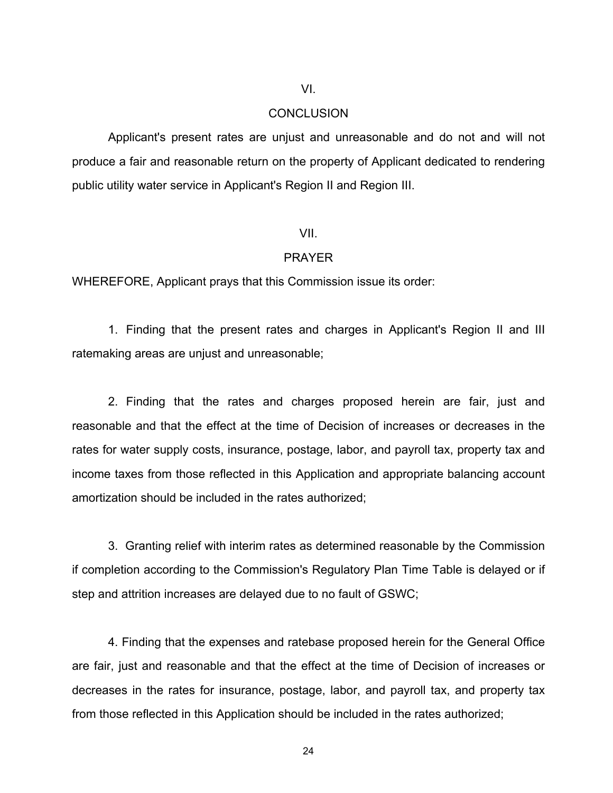# VI.

# **CONCLUSION**

 Applicant's present rates are unjust and unreasonable and do not and will not produce a fair and reasonable return on the property of Applicant dedicated to rendering public utility water service in Applicant's Region II and Region III.

# VII.

## PRAYER

WHEREFORE, Applicant prays that this Commission issue its order:

 1. Finding that the present rates and charges in Applicant's Region II and III ratemaking areas are unjust and unreasonable;

 2. Finding that the rates and charges proposed herein are fair, just and reasonable and that the effect at the time of Decision of increases or decreases in the rates for water supply costs, insurance, postage, labor, and payroll tax, property tax and income taxes from those reflected in this Application and appropriate balancing account amortization should be included in the rates authorized;

 3. Granting relief with interim rates as determined reasonable by the Commission if completion according to the Commission's Regulatory Plan Time Table is delayed or if step and attrition increases are delayed due to no fault of GSWC;

 4. Finding that the expenses and ratebase proposed herein for the General Office are fair, just and reasonable and that the effect at the time of Decision of increases or decreases in the rates for insurance, postage, labor, and payroll tax, and property tax from those reflected in this Application should be included in the rates authorized;

24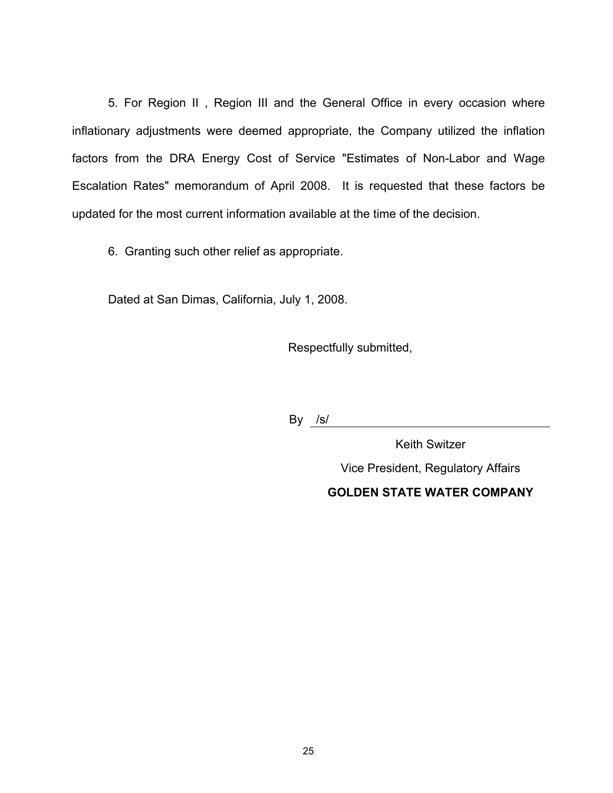5. For Region II , Region III and the General Office in every occasion where inflationary adjustments were deemed appropriate, the Company utilized the inflation factors from the DRA Energy Cost of Service "Estimates of Non-Labor and Wage Escalation Rates" memorandum of April 2008. It is requested that these factors be updated for the most current information available at the time of the decision.

6. Granting such other relief as appropriate.

Dated at San Dimas, California, July 1, 2008.

Respectfully submitted,

By /s/

Keith Switzer Vice President, Regulatory Affairs

# **GOLDEN STATE WATER COMPANY**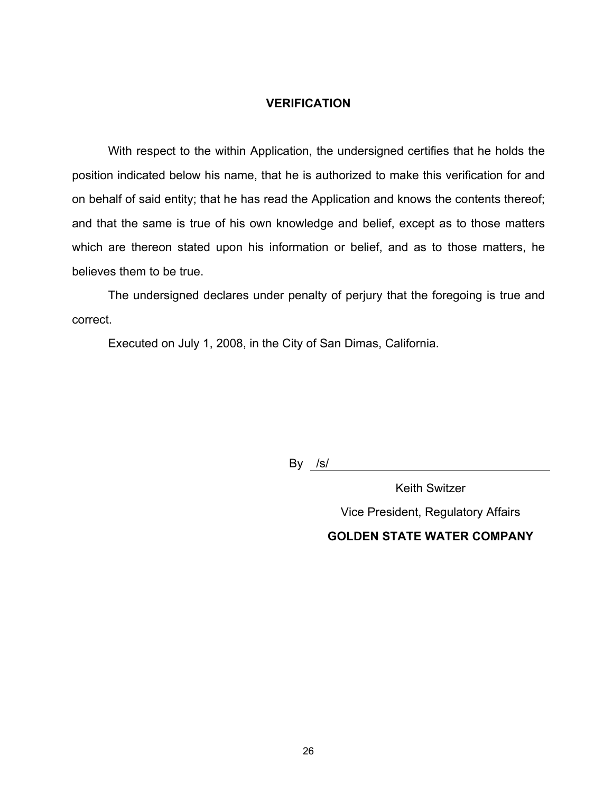# **VERIFICATION**

 With respect to the within Application, the undersigned certifies that he holds the position indicated below his name, that he is authorized to make this verification for and on behalf of said entity; that he has read the Application and knows the contents thereof; and that the same is true of his own knowledge and belief, except as to those matters which are thereon stated upon his information or belief, and as to those matters, he believes them to be true.

 The undersigned declares under penalty of perjury that the foregoing is true and correct.

Executed on July 1, 2008, in the City of San Dimas, California.

By <u>/s/</u>

Keith Switzer Vice President, Regulatory Affairs **GOLDEN STATE WATER COMPANY**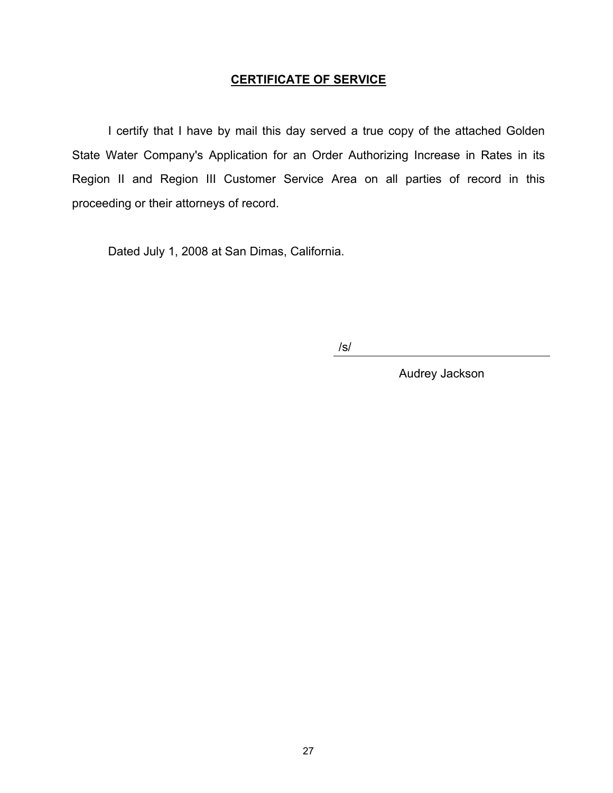# **CERTIFICATE OF SERVICE**

 I certify that I have by mail this day served a true copy of the attached Golden State Water Company's Application for an Order Authorizing Increase in Rates in its Region II and Region III Customer Service Area on all parties of record in this proceeding or their attorneys of record.

Dated July 1, 2008 at San Dimas, California.

/s/

Audrey Jackson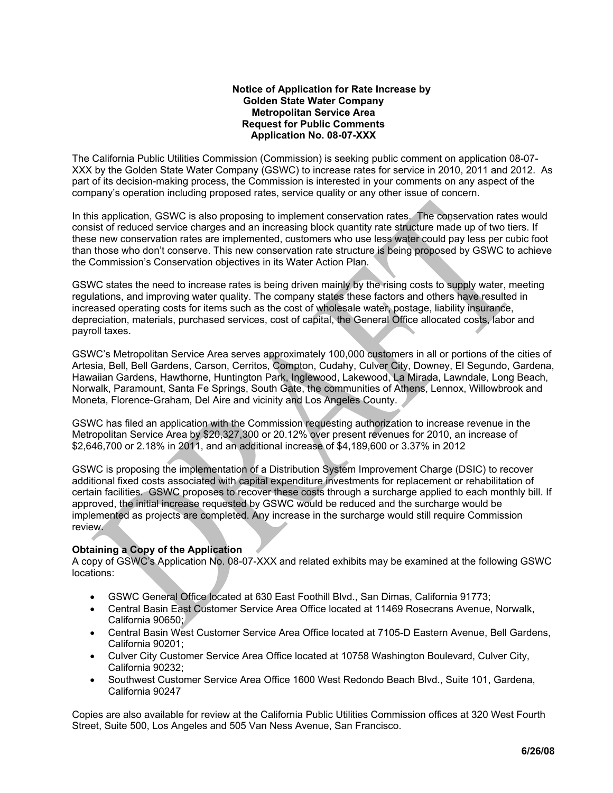## **Notice of Application for Rate Increase by Golden State Water Company Metropolitan Service Area Request for Public Comments Application No. 08-07-XXX**

The California Public Utilities Commission (Commission) is seeking public comment on application 08-07- XXX by the Golden State Water Company (GSWC) to increase rates for service in 2010, 2011 and 2012. As part of its decision-making process, the Commission is interested in your comments on any aspect of the company's operation including proposed rates, service quality or any other issue of concern.

In this application, GSWC is also proposing to implement conservation rates. The conservation rates would consist of reduced service charges and an increasing block quantity rate structure made up of two tiers. If these new conservation rates are implemented, customers who use less water could pay less per cubic foot than those who don't conserve. This new conservation rate structure is being proposed by GSWC to achieve the Commission's Conservation objectives in its Water Action Plan.

GSWC states the need to increase rates is being driven mainly by the rising costs to supply water, meeting regulations, and improving water quality. The company states these factors and others have resulted in increased operating costs for items such as the cost of wholesale water, postage, liability insurance, depreciation, materials, purchased services, cost of capital, the General Office allocated costs, labor and payroll taxes.

GSWC's Metropolitan Service Area serves approximately 100,000 customers in all or portions of the cities of Artesia, Bell, Bell Gardens, Carson, Cerritos, Compton, Cudahy, Culver City, Downey, El Segundo, Gardena, Hawaiian Gardens, Hawthorne, Huntington Park, Inglewood, Lakewood, La Mirada, Lawndale, Long Beach, Norwalk, Paramount, Santa Fe Springs, South Gate, the communities of Athens, Lennox, Willowbrook and Moneta, Florence-Graham, Del Aire and vicinity and Los Angeles County.

GSWC has filed an application with the Commission requesting authorization to increase revenue in the Metropolitan Service Area by \$20,327,300 or 20.12% over present revenues for 2010, an increase of \$2,646,700 or 2.18% in 2011, and an additional increase of \$4,189,600 or 3.37% in 2012

GSWC is proposing the implementation of a Distribution System Improvement Charge (DSIC) to recover additional fixed costs associated with capital expenditure investments for replacement or rehabilitation of certain facilities. GSWC proposes to recover these costs through a surcharge applied to each monthly bill. If approved, the initial increase requested by GSWC would be reduced and the surcharge would be implemented as projects are completed. Any increase in the surcharge would still require Commission review.

# **Obtaining a Copy of the Application**

A copy of GSWC's Application No. 08-07-XXX and related exhibits may be examined at the following GSWC locations:

- GSWC General Office located at 630 East Foothill Blvd., San Dimas, California 91773;
- Central Basin East Customer Service Area Office located at 11469 Rosecrans Avenue, Norwalk, California 90650;
- Central Basin West Customer Service Area Office located at 7105-D Eastern Avenue, Bell Gardens, California 90201;
- Culver City Customer Service Area Office located at 10758 Washington Boulevard, Culver City, California 90232;
- Southwest Customer Service Area Office 1600 West Redondo Beach Blvd., Suite 101, Gardena, California 90247

Copies are also available for review at the California Public Utilities Commission offices at 320 West Fourth Street, Suite 500, Los Angeles and 505 Van Ness Avenue, San Francisco.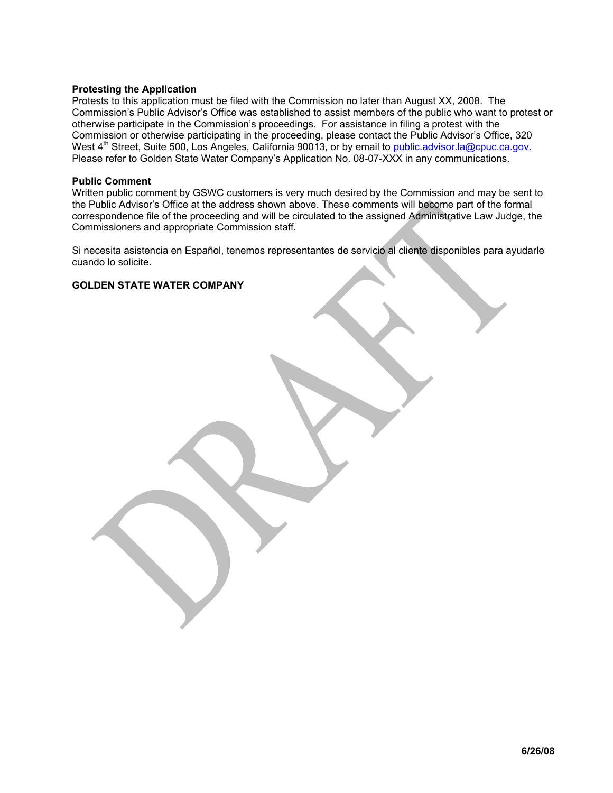## **Protesting the Application**

Protests to this application must be filed with the Commission no later than August XX, 2008. The Commission's Public Advisor's Office was established to assist members of the public who want to protest or otherwise participate in the Commission's proceedings. For assistance in filing a protest with the Commission or otherwise participating in the proceeding, please contact the Public Advisor's Office, 320 West 4<sup>th</sup> Street, Suite 500, Los Angeles, California 90013, or by email to **public.advisor.la@cpuc.ca.gov.** Please refer to Golden State Water Company's Application No. 08-07-XXX in any communications.

## **Public Comment**

Written public comment by GSWC customers is very much desired by the Commission and may be sent to the Public Advisor's Office at the address shown above. These comments will become part of the formal correspondence file of the proceeding and will be circulated to the assigned Administrative Law Judge, the Commissioners and appropriate Commission staff.

Si necesita asistencia en Español, tenemos representantes de servicio al cliente disponibles para ayudarle cuando lo solicite.

## **GOLDEN STATE WATER COMPANY**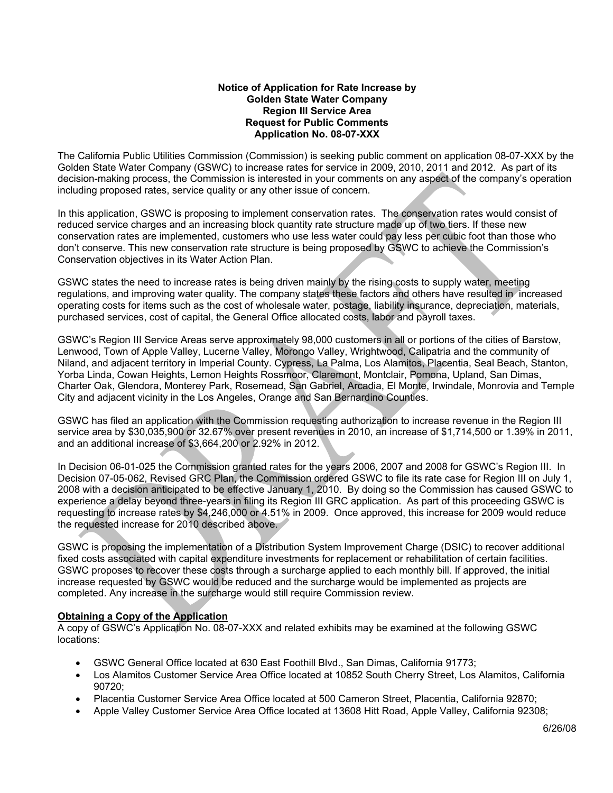## **Notice of Application for Rate Increase by Golden State Water Company Region III Service Area Request for Public Comments Application No. 08-07-XXX**

The California Public Utilities Commission (Commission) is seeking public comment on application 08-07-XXX by the Golden State Water Company (GSWC) to increase rates for service in 2009, 2010, 2011 and 2012. As part of its decision-making process, the Commission is interested in your comments on any aspect of the company's operation including proposed rates, service quality or any other issue of concern.

In this application, GSWC is proposing to implement conservation rates. The conservation rates would consist of reduced service charges and an increasing block quantity rate structure made up of two tiers. If these new conservation rates are implemented, customers who use less water could pay less per cubic foot than those who don't conserve. This new conservation rate structure is being proposed by GSWC to achieve the Commission's Conservation objectives in its Water Action Plan.

GSWC states the need to increase rates is being driven mainly by the rising costs to supply water, meeting regulations, and improving water quality. The company states these factors and others have resulted in increased operating costs for items such as the cost of wholesale water, postage, liability insurance, depreciation, materials, purchased services, cost of capital, the General Office allocated costs, labor and payroll taxes.

GSWC's Region III Service Areas serve approximately 98,000 customers in all or portions of the cities of Barstow, Lenwood, Town of Apple Valley, Lucerne Valley, Morongo Valley, Wrightwood, Calipatria and the community of Niland, and adjacent territory in Imperial County. Cypress, La Palma, Los Alamitos, Placentia, Seal Beach, Stanton, Yorba Linda, Cowan Heights, Lemon Heights Rossmoor, Claremont, Montclair, Pomona, Upland, San Dimas, Charter Oak, Glendora, Monterey Park, Rosemead, San Gabriel, Arcadia, El Monte, Irwindale, Monrovia and Temple City and adjacent vicinity in the Los Angeles, Orange and San Bernardino Counties.

GSWC has filed an application with the Commission requesting authorization to increase revenue in the Region III service area by \$30,035,900 or 32.67% over present revenues in 2010, an increase of \$1,714,500 or 1.39% in 2011, and an additional increase of \$3,664,200 or 2.92% in 2012.

In Decision 06-01-025 the Commission granted rates for the years 2006, 2007 and 2008 for GSWC's Region III. In Decision 07-05-062, Revised GRC Plan, the Commission ordered GSWC to file its rate case for Region III on July 1, 2008 with a decision anticipated to be effective January 1, 2010. By doing so the Commission has caused GSWC to experience a delay beyond three-years in filing its Region III GRC application. As part of this proceeding GSWC is requesting to increase rates by \$4,246,000 or 4.51% in 2009. Once approved, this increase for 2009 would reduce the requested increase for 2010 described above.

GSWC is proposing the implementation of a Distribution System Improvement Charge (DSIC) to recover additional fixed costs associated with capital expenditure investments for replacement or rehabilitation of certain facilities. GSWC proposes to recover these costs through a surcharge applied to each monthly bill. If approved, the initial increase requested by GSWC would be reduced and the surcharge would be implemented as projects are completed. Any increase in the surcharge would still require Commission review.

# **Obtaining a Copy of the Application**

A copy of GSWC's Application No. 08-07-XXX and related exhibits may be examined at the following GSWC locations:

- GSWC General Office located at 630 East Foothill Blvd., San Dimas, California 91773;
- Los Alamitos Customer Service Area Office located at 10852 South Cherry Street, Los Alamitos, California 90720;
- Placentia Customer Service Area Office located at 500 Cameron Street, Placentia, California 92870;
- Apple Valley Customer Service Area Office located at 13608 Hitt Road, Apple Valley, California 92308;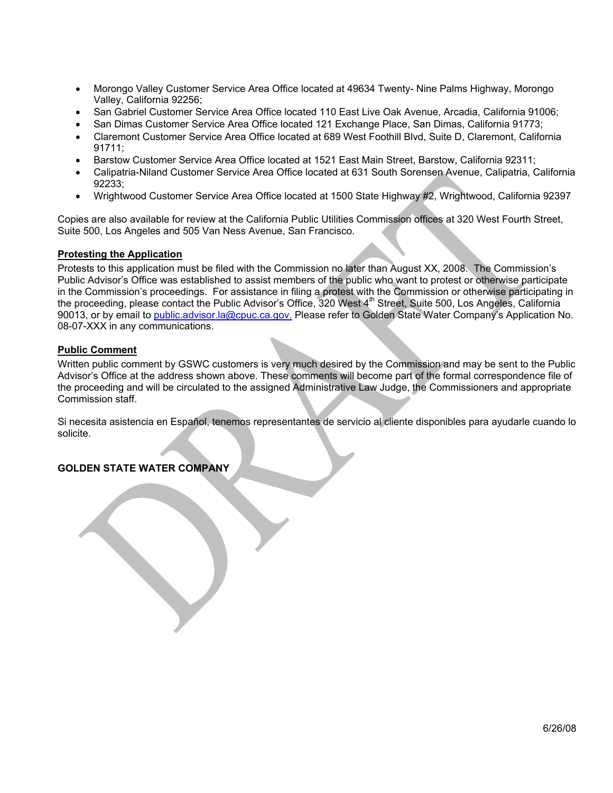- Morongo Valley Customer Service Area Office located at 49634 Twenty- Nine Palms Highway, Morongo Valley, California 92256;
- San Gabriel Customer Service Area Office located 110 East Live Oak Avenue, Arcadia, California 91006;
- San Dimas Customer Service Area Office located 121 Exchange Place, San Dimas, California 91773;
- Claremont Customer Service Area Office located at 689 West Foothill Blvd, Suite D, Claremont, California 91711;
- Barstow Customer Service Area Office located at 1521 East Main Street, Barstow, California 92311;
- Calipatria-Niland Customer Service Area Office located at 631 South Sorensen Avenue, Calipatria, California 92233;
- Wrightwood Customer Service Area Office located at 1500 State Highway #2, Wrightwood, California 92397

Copies are also available for review at the California Public Utilities Commission offices at 320 West Fourth Street, Suite 500, Los Angeles and 505 Van Ness Avenue, San Francisco.

## **Protesting the Application**

Protests to this application must be filed with the Commission no later than August XX, 2008. The Commission's Public Advisor's Office was established to assist members of the public who want to protest or otherwise participate in the Commission's proceedings. For assistance in filing a protest with the Commission or otherwise participating in the proceeding, please contact the Public Advisor's Office, 320 West 4<sup>th</sup> Street, Suite 500, Los Angeles, California 90013, or by email to public.advisor.la@cpuc.ca.gov. Please refer to Golden State Water Company's Application No. 08-07-XXX in any communications.

## **Public Comment**

Written public comment by GSWC customers is very much desired by the Commission and may be sent to the Public Advisor's Office at the address shown above. These comments will become part of the formal correspondence file of the proceeding and will be circulated to the assigned Administrative Law Judge, the Commissioners and appropriate Commission staff.

Si necesita asistencia en Español, tenemos representantes de servicio al cliente disponibles para ayudarle cuando lo solicite.

## **GOLDEN STATE WATER COMPANY**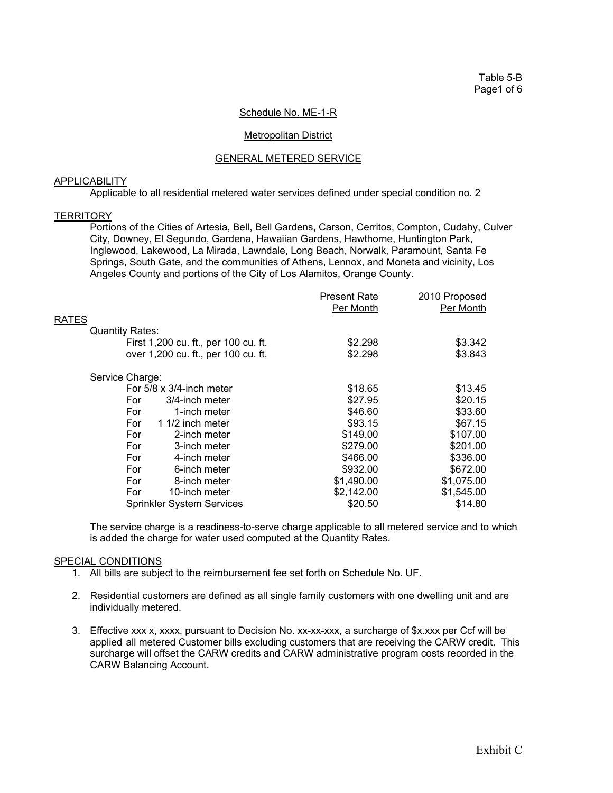Table 5-B Page1 of 6

#### Schedule No. ME-1-R

## Metropolitan District

## GENERAL METERED SERVICE

#### APPLICABILITY

Applicable to all residential metered water services defined under special condition no. 2

#### **TERRITORY**

 Portions of the Cities of Artesia, Bell, Bell Gardens, Carson, Cerritos, Compton, Cudahy, Culver City, Downey, El Segundo, Gardena, Hawaiian Gardens, Hawthorne, Huntington Park, Inglewood, Lakewood, La Mirada, Lawndale, Long Beach, Norwalk, Paramount, Santa Fe Springs, South Gate, and the communities of Athens, Lennox, and Moneta and vicinity, Los Angeles County and portions of the City of Los Alamitos, Orange County.

|                                      | <b>Present Rate</b> | 2010 Proposed |
|--------------------------------------|---------------------|---------------|
|                                      | Per Month           | Per Month     |
| <b>RATES</b>                         |                     |               |
| <b>Quantity Rates:</b>               |                     |               |
| First 1,200 cu. ft., per 100 cu. ft. | \$2.298             | \$3.342       |
| over 1,200 cu. ft., per 100 cu. ft.  | \$2.298             | \$3.843       |
| Service Charge:                      |                     |               |
| For $5/8 \times 3/4$ -inch meter     | \$18.65             | \$13.45       |
| 3/4-inch meter<br>For                | \$27.95             | \$20.15       |
| For<br>1-inch meter                  | \$46.60             | \$33.60       |
| For<br>1 1/2 inch meter              | \$93.15             | \$67.15       |
| For<br>2-inch meter                  | \$149.00            | \$107.00      |
| For<br>3-inch meter                  | \$279.00            | \$201.00      |
| For<br>4-inch meter                  | \$466.00            | \$336.00      |
| For<br>6-inch meter                  | \$932.00            | \$672.00      |
| For<br>8-inch meter                  | \$1,490.00          | \$1,075.00    |
| For<br>10-inch meter                 | \$2,142.00          | \$1,545.00    |
| <b>Sprinkler System Services</b>     | \$20.50             | \$14.80       |
|                                      |                     |               |

 The service charge is a readiness-to-serve charge applicable to all metered service and to which is added the charge for water used computed at the Quantity Rates.

- 1. All bills are subject to the reimbursement fee set forth on Schedule No. UF.
- 2. Residential customers are defined as all single family customers with one dwelling unit and are individually metered.
- 3. Effective xxx x, xxxx, pursuant to Decision No. xx-xx-xxx, a surcharge of \$x.xxx per Ccf will be applied all metered Customer bills excluding customers that are receiving the CARW credit. This surcharge will offset the CARW credits and CARW administrative program costs recorded in the CARW Balancing Account.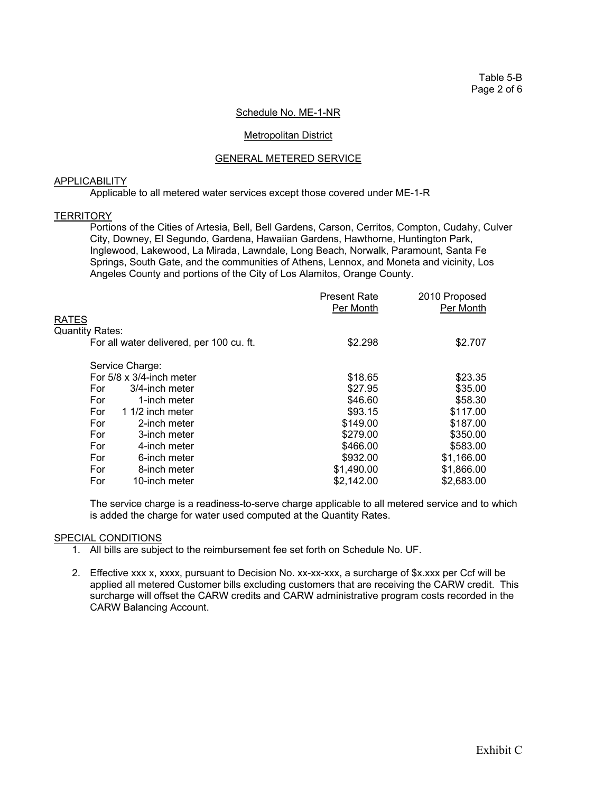Table 5-B Page 2 of 6

#### Schedule No. ME-1-NR

## Metropolitan District

## GENERAL METERED SERVICE

#### APPLICABILITY

Applicable to all metered water services except those covered under ME-1-R

#### **TERRITORY**

 Portions of the Cities of Artesia, Bell, Bell Gardens, Carson, Cerritos, Compton, Cudahy, Culver City, Downey, El Segundo, Gardena, Hawaiian Gardens, Hawthorne, Huntington Park, Inglewood, Lakewood, La Mirada, Lawndale, Long Beach, Norwalk, Paramount, Santa Fe Springs, South Gate, and the communities of Athens, Lennox, and Moneta and vicinity, Los Angeles County and portions of the City of Los Alamitos, Orange County.

|                                          | <b>Present Rate</b><br>Per Month | 2010 Proposed<br>Per Month |
|------------------------------------------|----------------------------------|----------------------------|
| RATES                                    |                                  |                            |
| Quantity Rates:                          |                                  |                            |
| For all water delivered, per 100 cu. ft. | \$2.298                          | \$2.707                    |
| Service Charge:                          |                                  |                            |
| For $5/8 \times 3/4$ -inch meter         | \$18.65                          | \$23.35                    |
| For<br>3/4-inch meter                    | \$27.95                          | \$35.00                    |
| For<br>1-inch meter                      | \$46.60                          | \$58.30                    |
| 1 1/2 inch meter<br>For                  | \$93.15                          | \$117.00                   |
| For<br>2-inch meter                      | \$149.00                         | \$187.00                   |
| For<br>3-inch meter                      | \$279.00                         | \$350.00                   |
| For<br>4-inch meter                      | \$466.00                         | \$583.00                   |
| For<br>6-inch meter                      | \$932.00                         | \$1,166.00                 |
| For<br>8-inch meter                      | \$1,490.00                       | \$1,866.00                 |
| For<br>10-inch meter                     | \$2,142.00                       | \$2,683.00                 |
|                                          |                                  |                            |

 The service charge is a readiness-to-serve charge applicable to all metered service and to which is added the charge for water used computed at the Quantity Rates.

- 1. All bills are subject to the reimbursement fee set forth on Schedule No. UF.
- 2. Effective xxx x, xxxx, pursuant to Decision No. xx-xx-xxx, a surcharge of \$x.xxx per Ccf will be applied all metered Customer bills excluding customers that are receiving the CARW credit. This surcharge will offset the CARW credits and CARW administrative program costs recorded in the CARW Balancing Account.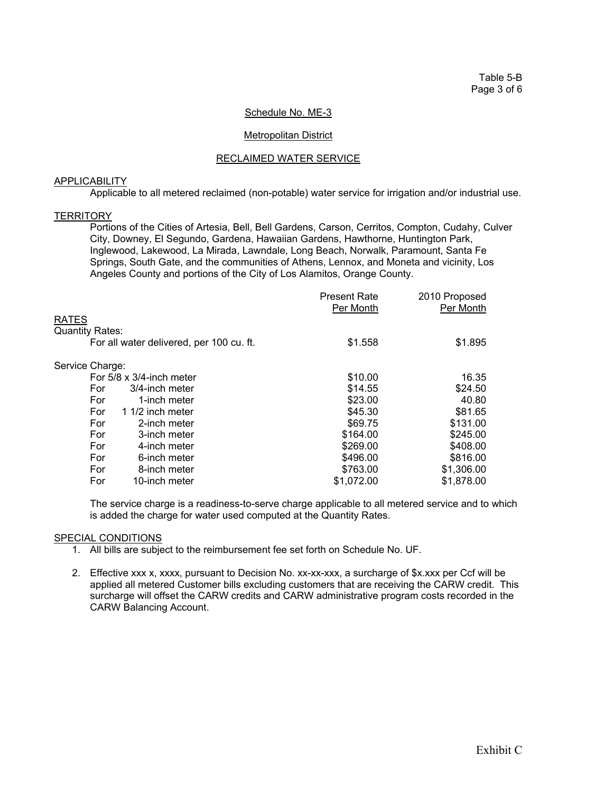Table 5-B Page 3 of 6

## Schedule No. ME-3

## Metropolitan District

## RECLAIMED WATER SERVICE

## **APPLICABILITY**

Applicable to all metered reclaimed (non-potable) water service for irrigation and/or industrial use.

#### **TERRITORY**

 Portions of the Cities of Artesia, Bell, Bell Gardens, Carson, Cerritos, Compton, Cudahy, Culver City, Downey, El Segundo, Gardena, Hawaiian Gardens, Hawthorne, Huntington Park, Inglewood, Lakewood, La Mirada, Lawndale, Long Beach, Norwalk, Paramount, Santa Fe Springs, South Gate, and the communities of Athens, Lennox, and Moneta and vicinity, Los Angeles County and portions of the City of Los Alamitos, Orange County.

|                                          | <b>Present Rate</b> | 2010 Proposed |
|------------------------------------------|---------------------|---------------|
|                                          | Per Month           | Per Month     |
| <b>RATES</b>                             |                     |               |
| <b>Quantity Rates:</b>                   |                     |               |
| For all water delivered, per 100 cu. ft. | \$1.558             | \$1.895       |
| Service Charge:                          |                     |               |
| For $5/8 \times 3/4$ -inch meter         | \$10.00             | 16.35         |
| For<br>3/4-inch meter                    | \$14.55             | \$24.50       |
| For<br>1-inch meter                      | \$23.00             | 40.80         |
| For<br>1 1/2 inch meter                  | \$45.30             | \$81.65       |
| For<br>2-inch meter                      | \$69.75             | \$131.00      |
| For<br>3-inch meter                      | \$164.00            | \$245.00      |
| For<br>4-inch meter                      | \$269.00            | \$408.00      |
| For<br>6-inch meter                      | \$496.00            | \$816.00      |
| For<br>8-inch meter                      | \$763.00            | \$1,306.00    |
| For<br>10-inch meter                     | \$1,072.00          | \$1,878.00    |

 The service charge is a readiness-to-serve charge applicable to all metered service and to which is added the charge for water used computed at the Quantity Rates.

- 1. All bills are subject to the reimbursement fee set forth on Schedule No. UF.
- 2. Effective xxx x, xxxx, pursuant to Decision No. xx-xx-xxx, a surcharge of \$x.xxx per Ccf will be applied all metered Customer bills excluding customers that are receiving the CARW credit. This surcharge will offset the CARW credits and CARW administrative program costs recorded in the CARW Balancing Account.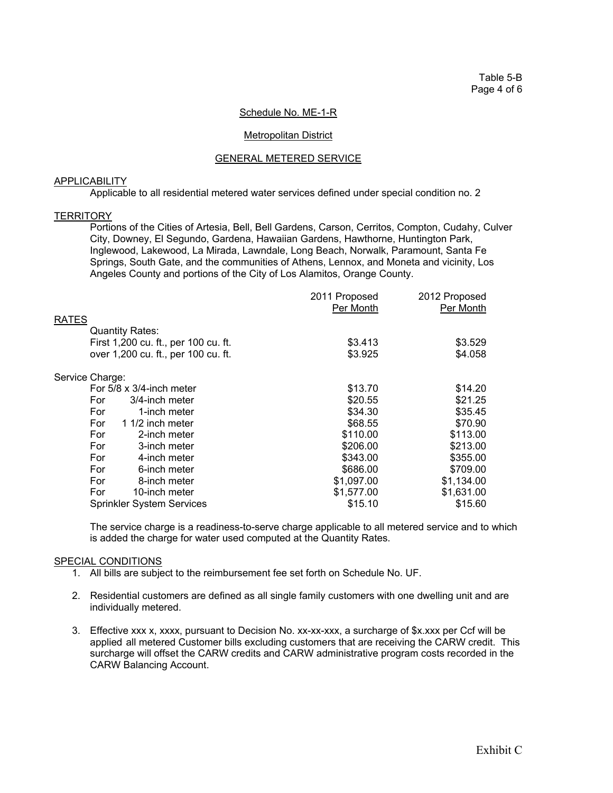Table 5-B Page 4 of 6

## Schedule No. ME-1-R

## Metropolitan District

## GENERAL METERED SERVICE

#### APPLICABILITY

Applicable to all residential metered water services defined under special condition no. 2

#### **TERRITORY**

 Portions of the Cities of Artesia, Bell, Bell Gardens, Carson, Cerritos, Compton, Cudahy, Culver City, Downey, El Segundo, Gardena, Hawaiian Gardens, Hawthorne, Huntington Park, Inglewood, Lakewood, La Mirada, Lawndale, Long Beach, Norwalk, Paramount, Santa Fe Springs, South Gate, and the communities of Athens, Lennox, and Moneta and vicinity, Los Angeles County and portions of the City of Los Alamitos, Orange County.

| 2011 Proposed | 2012 Proposed |
|---------------|---------------|
| Per Month     | Per Month     |
|               |               |
|               |               |
| \$3.413       | \$3.529       |
| \$3.925       | \$4.058       |
|               |               |
| \$13.70       | \$14.20       |
| \$20.55       | \$21.25       |
| \$34.30       | \$35.45       |
| \$68.55       | \$70.90       |
| \$110.00      | \$113.00      |
| \$206.00      | \$213.00      |
| \$343.00      | \$355.00      |
| \$686.00      | \$709.00      |
|               | \$1,134.00    |
| \$1,577.00    | \$1,631.00    |
| \$15.10       | \$15.60       |
|               | \$1,097.00    |

 The service charge is a readiness-to-serve charge applicable to all metered service and to which is added the charge for water used computed at the Quantity Rates.

- 1. All bills are subject to the reimbursement fee set forth on Schedule No. UF.
- 2. Residential customers are defined as all single family customers with one dwelling unit and are individually metered.
- 3. Effective xxx x, xxxx, pursuant to Decision No. xx-xx-xxx, a surcharge of \$x.xxx per Ccf will be applied all metered Customer bills excluding customers that are receiving the CARW credit. This surcharge will offset the CARW credits and CARW administrative program costs recorded in the CARW Balancing Account.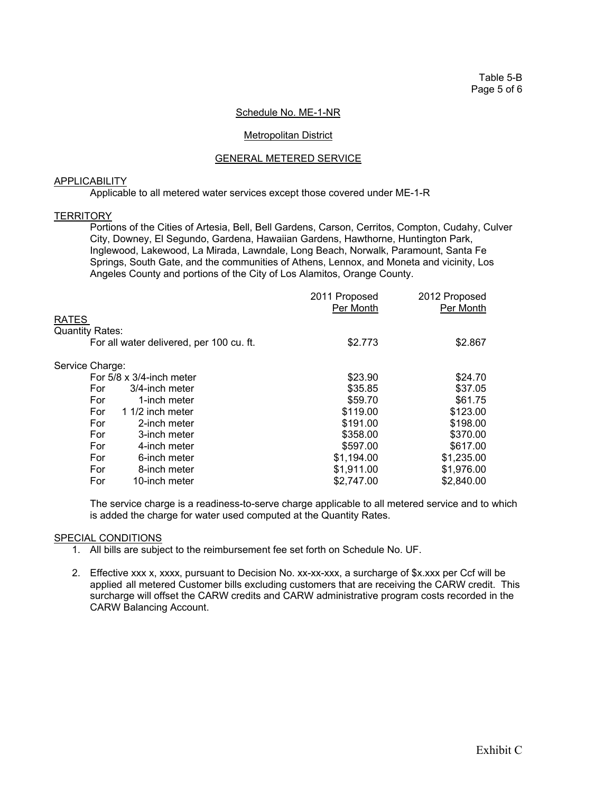Table 5-B Page 5 of 6

## Schedule No. ME-1-NR

## Metropolitan District

## GENERAL METERED SERVICE

## **APPLICABILITY**

Applicable to all metered water services except those covered under ME-1-R

#### **TERRITORY**

 Portions of the Cities of Artesia, Bell, Bell Gardens, Carson, Cerritos, Compton, Cudahy, Culver City, Downey, El Segundo, Gardena, Hawaiian Gardens, Hawthorne, Huntington Park, Inglewood, Lakewood, La Mirada, Lawndale, Long Beach, Norwalk, Paramount, Santa Fe Springs, South Gate, and the communities of Athens, Lennox, and Moneta and vicinity, Los Angeles County and portions of the City of Los Alamitos, Orange County.

| 2011 Proposed | 2012 Proposed |
|---------------|---------------|
|               | Per Month     |
|               |               |
|               |               |
| \$2.773       | \$2.867       |
|               |               |
| \$23.90       | \$24.70       |
| \$35.85       | \$37.05       |
| \$59.70       | \$61.75       |
| \$119.00      | \$123.00      |
| \$191.00      | \$198.00      |
| \$358.00      | \$370.00      |
| \$597.00      | \$617.00      |
| \$1,194.00    | \$1,235.00    |
| \$1,911.00    | \$1,976.00    |
| \$2,747.00    | \$2,840.00    |
|               | Per Month     |

 The service charge is a readiness-to-serve charge applicable to all metered service and to which is added the charge for water used computed at the Quantity Rates.

- 1. All bills are subject to the reimbursement fee set forth on Schedule No. UF.
- 2. Effective xxx x, xxxx, pursuant to Decision No. xx-xx-xxx, a surcharge of \$x.xxx per Ccf will be applied all metered Customer bills excluding customers that are receiving the CARW credit. This surcharge will offset the CARW credits and CARW administrative program costs recorded in the CARW Balancing Account.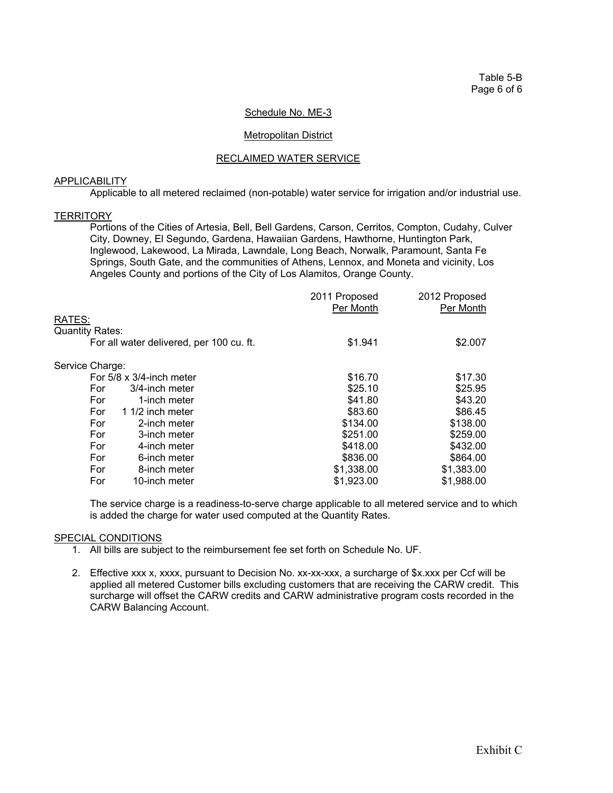Table 5-B Page 6 of 6

## Schedule No. ME-3

#### Metropolitan District

## RECLAIMED WATER SERVICE

## **APPLICABILITY**

Applicable to all metered reclaimed (non-potable) water service for irrigation and/or industrial use.

#### **TERRITORY**

 Portions of the Cities of Artesia, Bell, Bell Gardens, Carson, Cerritos, Compton, Cudahy, Culver City, Downey, El Segundo, Gardena, Hawaiian Gardens, Hawthorne, Huntington Park, Inglewood, Lakewood, La Mirada, Lawndale, Long Beach, Norwalk, Paramount, Santa Fe Springs, South Gate, and the communities of Athens, Lennox, and Moneta and vicinity, Los Angeles County and portions of the City of Los Alamitos, Orange County.

|                                          | 2011 Proposed | 2012 Proposed |
|------------------------------------------|---------------|---------------|
|                                          | Per Month     | Per Month     |
| RATES:                                   |               |               |
| <b>Quantity Rates:</b>                   |               |               |
| For all water delivered, per 100 cu. ft. | \$1.941       | \$2.007       |
| Service Charge:                          |               |               |
| For $5/8 \times 3/4$ -inch meter         | \$16.70       | \$17.30       |
| For<br>3/4-inch meter                    | \$25.10       | \$25.95       |
| For<br>1-inch meter                      | \$41.80       | \$43.20       |
| 1 1/2 inch meter<br>For                  | \$83.60       | \$86.45       |
| For<br>2-inch meter                      | \$134.00      | \$138.00      |
| For<br>3-inch meter                      | \$251.00      | \$259.00      |
| For<br>4-inch meter                      | \$418.00      | \$432.00      |
| For<br>6-inch meter                      | \$836.00      | \$864.00      |
| For<br>8-inch meter                      | \$1,338.00    | \$1,383.00    |
| For<br>10-inch meter                     | \$1,923.00    | \$1,988.00    |

 The service charge is a readiness-to-serve charge applicable to all metered service and to which is added the charge for water used computed at the Quantity Rates.

- 1. All bills are subject to the reimbursement fee set forth on Schedule No. UF.
- 2. Effective xxx x, xxxx, pursuant to Decision No. xx-xx-xxx, a surcharge of \$x.xxx per Ccf will be applied all metered Customer bills excluding customers that are receiving the CARW credit. This surcharge will offset the CARW credits and CARW administrative program costs recorded in the CARW Balancing Account.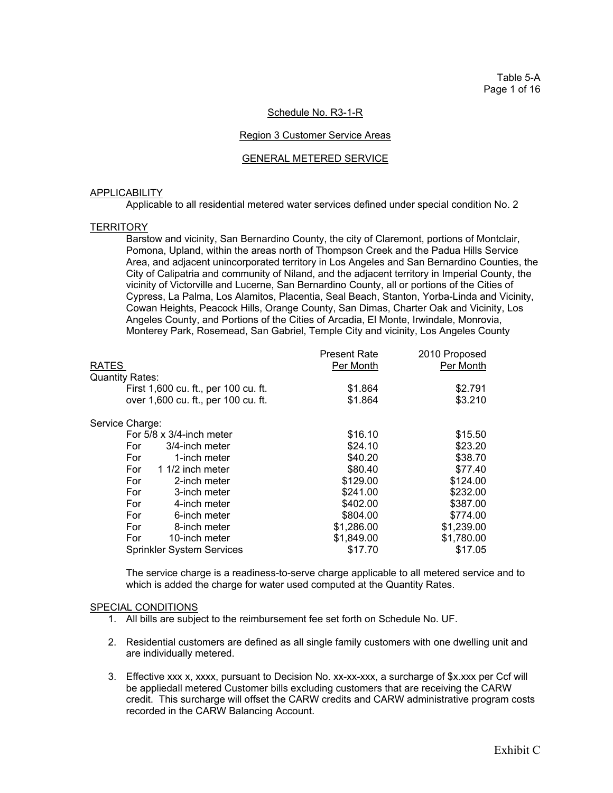Table 5-A Page 1 of 16

## Schedule No. R3-1-R

#### Region 3 Customer Service Areas

#### GENERAL METERED SERVICE

#### APPLICABILITY

Applicable to all residential metered water services defined under special condition No. 2

#### **TERRITORY**

Barstow and vicinity, San Bernardino County, the city of Claremont, portions of Montclair, Pomona, Upland, within the areas north of Thompson Creek and the Padua Hills Service Area, and adjacent unincorporated territory in Los Angeles and San Bernardino Counties, the City of Calipatria and community of Niland, and the adjacent territory in Imperial County, the vicinity of Victorville and Lucerne, San Bernardino County, all or portions of the Cities of Cypress, La Palma, Los Alamitos, Placentia, Seal Beach, Stanton, Yorba-Linda and Vicinity, Cowan Heights, Peacock Hills, Orange County, San Dimas, Charter Oak and Vicinity, Los Angeles County, and Portions of the Cities of Arcadia, El Monte, Irwindale, Monrovia, Monterey Park, Rosemead, San Gabriel, Temple City and vicinity, Los Angeles County

|                                      | <b>Present Rate</b> | 2010 Proposed |
|--------------------------------------|---------------------|---------------|
| RATES                                | Per Month           | Per Month     |
| Quantity Rates:                      |                     |               |
| First 1,600 cu. ft., per 100 cu. ft. | \$1.864             | \$2.791       |
| over 1,600 cu. ft., per 100 cu. ft.  | \$1.864             | \$3.210       |
| Service Charge:                      |                     |               |
| For $5/8 \times 3/4$ -inch meter     | \$16.10             | \$15.50       |
| 3/4-inch meter<br>For                | \$24.10             | \$23.20       |
| For<br>1-inch meter                  | \$40.20             | \$38.70       |
| 1 1/2 inch meter<br>For              | \$80.40             | \$77.40       |
| For<br>2-inch meter                  | \$129.00            | \$124.00      |
| For<br>3-inch meter                  | \$241.00            | \$232.00      |
| For<br>4-inch meter                  | \$402.00            | \$387.00      |
| For<br>6-inch meter                  | \$804.00            | \$774.00      |
| For<br>8-inch meter                  | \$1,286.00          | \$1,239.00    |
| For<br>10-inch meter                 | \$1,849.00          | \$1,780.00    |
| <b>Sprinkler System Services</b>     | \$17.70             | \$17.05       |
|                                      |                     |               |

The service charge is a readiness-to-serve charge applicable to all metered service and to which is added the charge for water used computed at the Quantity Rates.

- 1. All bills are subject to the reimbursement fee set forth on Schedule No. UF.
- 2. Residential customers are defined as all single family customers with one dwelling unit and are individually metered.
- 3. Effective xxx x, xxxx, pursuant to Decision No. xx-xx-xxx, a surcharge of \$x.xxx per Ccf will be appliedall metered Customer bills excluding customers that are receiving the CARW credit. This surcharge will offset the CARW credits and CARW administrative program costs recorded in the CARW Balancing Account.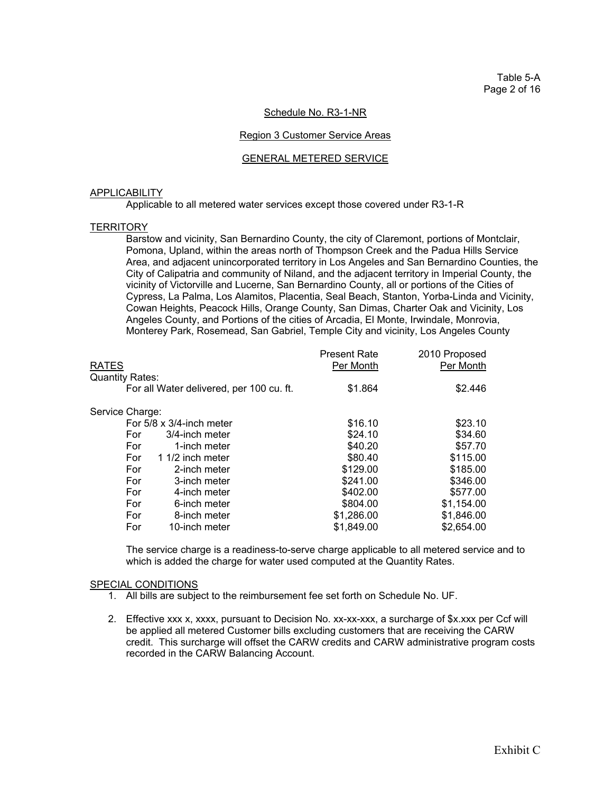## Schedule No. R3-1-NR

#### Region 3 Customer Service Areas

#### GENERAL METERED SERVICE

#### APPLICABILITY

Applicable to all metered water services except those covered under R3-1-R

#### **TERRITORY**

 Barstow and vicinity, San Bernardino County, the city of Claremont, portions of Montclair, Pomona, Upland, within the areas north of Thompson Creek and the Padua Hills Service Area, and adjacent unincorporated territory in Los Angeles and San Bernardino Counties, the City of Calipatria and community of Niland, and the adjacent territory in Imperial County, the vicinity of Victorville and Lucerne, San Bernardino County, all or portions of the Cities of Cypress, La Palma, Los Alamitos, Placentia, Seal Beach, Stanton, Yorba-Linda and Vicinity, Cowan Heights, Peacock Hills, Orange County, San Dimas, Charter Oak and Vicinity, Los Angeles County, and Portions of the cities of Arcadia, El Monte, Irwindale, Monrovia, Monterey Park, Rosemead, San Gabriel, Temple City and vicinity, Los Angeles County

| RATES                                    | <b>Present Rate</b><br>Per Month | 2010 Proposed<br>Per Month |
|------------------------------------------|----------------------------------|----------------------------|
| Quantity Rates:                          |                                  |                            |
| For all Water delivered, per 100 cu. ft. | \$1.864                          | \$2.446                    |
| Service Charge:                          |                                  |                            |
| For $5/8 \times 3/4$ -inch meter         | \$16.10                          | \$23.10                    |
| 3/4-inch meter<br>For                    | \$24.10                          | \$34.60                    |
| For<br>1-inch meter                      | \$40.20                          | \$57.70                    |
| 1 1/2 inch meter<br>For                  | \$80.40                          | \$115.00                   |
| For<br>2-inch meter                      | \$129.00                         | \$185.00                   |
| For<br>3-inch meter                      | \$241.00                         | \$346.00                   |
| For<br>4-inch meter                      | \$402.00                         | \$577.00                   |
| For<br>6-inch meter                      | \$804.00                         | \$1,154.00                 |
| For<br>8-inch meter                      | \$1,286.00                       | \$1,846.00                 |
| For<br>10-inch meter                     | \$1,849.00                       | \$2,654.00                 |
|                                          |                                  |                            |

The service charge is a readiness-to-serve charge applicable to all metered service and to which is added the charge for water used computed at the Quantity Rates.

- 1. All bills are subject to the reimbursement fee set forth on Schedule No. UF.
- 2. Effective xxx x, xxxx, pursuant to Decision No. xx-xx-xxx, a surcharge of \$x.xxx per Ccf will be applied all metered Customer bills excluding customers that are receiving the CARW credit. This surcharge will offset the CARW credits and CARW administrative program costs recorded in the CARW Balancing Account.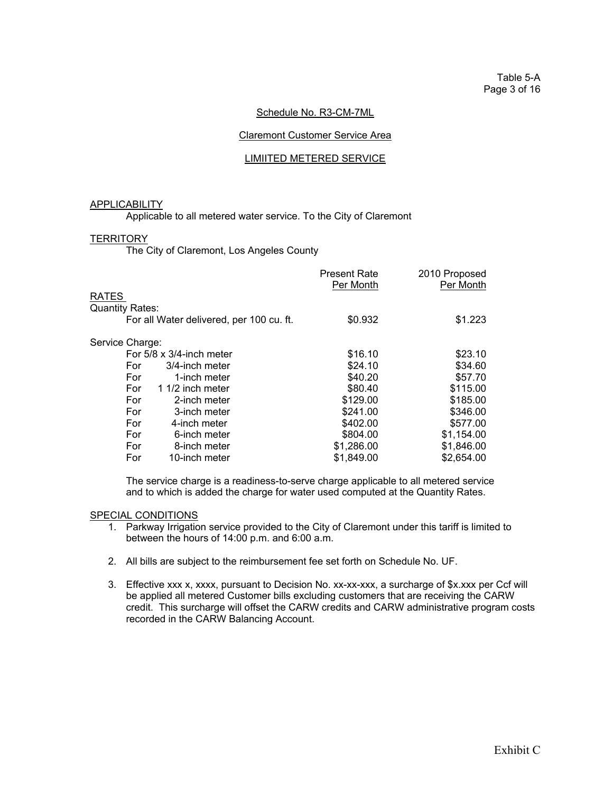## Schedule No. R3-CM-7ML

## Claremont Customer Service Area

## LIMIITED METERED SERVICE

#### APPLICABILITY

Applicable to all metered water service. To the City of Claremont

## **TERRITORY**

The City of Claremont, Los Angeles County

|                                          | <b>Present Rate</b><br>Per Month | 2010 Proposed<br>Per Month |
|------------------------------------------|----------------------------------|----------------------------|
| RATES                                    |                                  |                            |
| <b>Quantity Rates:</b>                   |                                  |                            |
| For all Water delivered, per 100 cu. ft. | \$0.932                          | \$1.223                    |
| Service Charge:                          |                                  |                            |
| For $5/8 \times 3/4$ -inch meter         | \$16.10                          | \$23.10                    |
| 3/4-inch meter<br>For                    | \$24.10                          | \$34.60                    |
| For<br>1-inch meter                      | \$40.20                          | \$57.70                    |
| For<br>1 1/2 inch meter                  | \$80.40                          | \$115.00                   |
| For<br>2-inch meter                      | \$129.00                         | \$185.00                   |
| For<br>3-inch meter                      | \$241.00                         | \$346.00                   |
| For<br>4-inch meter                      | \$402.00                         | \$577.00                   |
| For<br>6-inch meter                      | \$804.00                         | \$1,154.00                 |
| For<br>8-inch meter                      | \$1,286.00                       | \$1,846.00                 |
| For<br>10-inch meter                     | \$1,849.00                       | \$2,654.00                 |
|                                          |                                  |                            |

 The service charge is a readiness-to-serve charge applicable to all metered service and to which is added the charge for water used computed at the Quantity Rates.

- 1. Parkway Irrigation service provided to the City of Claremont under this tariff is limited to between the hours of 14:00 p.m. and 6:00 a.m.
- 2. All bills are subject to the reimbursement fee set forth on Schedule No. UF.
- 3. Effective xxx x, xxxx, pursuant to Decision No. xx-xx-xxx, a surcharge of \$x.xxx per Ccf will be applied all metered Customer bills excluding customers that are receiving the CARW credit. This surcharge will offset the CARW credits and CARW administrative program costs recorded in the CARW Balancing Account.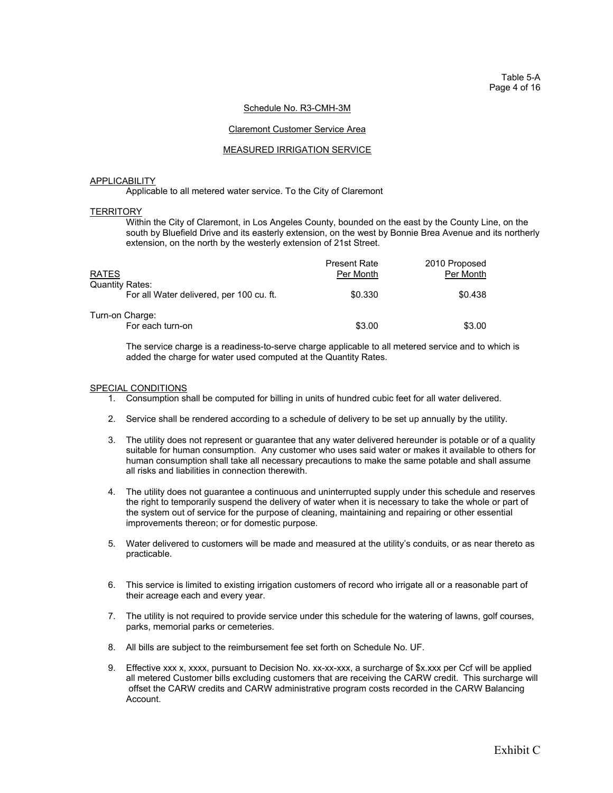Table 5-A Page 4 of 16

#### Schedule No. R3-CMH-3M

#### Claremont Customer Service Area

#### MEASURED IRRIGATION SERVICE

#### APPLICABILITY

Applicable to all metered water service. To the City of Claremont

#### **TERRITORY**

 Within the City of Claremont, in Los Angeles County, bounded on the east by the County Line, on the south by Bluefield Drive and its easterly extension, on the west by Bonnie Brea Avenue and its northerly extension, on the north by the westerly extension of 21st Street.

| <b>RATES</b><br><b>Quantity Rates:</b>   | <b>Present Rate</b><br>Per Month | 2010 Proposed<br>Per Month |
|------------------------------------------|----------------------------------|----------------------------|
| For all Water delivered, per 100 cu. ft. | \$0.330                          | \$0.438                    |
| Turn-on Charge:<br>For each turn-on      | \$3.00                           | \$3.00                     |

The service charge is a readiness-to-serve charge applicable to all metered service and to which is added the charge for water used computed at the Quantity Rates.

- 1. Consumption shall be computed for billing in units of hundred cubic feet for all water delivered.
- 2. Service shall be rendered according to a schedule of delivery to be set up annually by the utility.
- 3. The utility does not represent or guarantee that any water delivered hereunder is potable or of a quality suitable for human consumption. Any customer who uses said water or makes it available to others for human consumption shall take all necessary precautions to make the same potable and shall assume all risks and liabilities in connection therewith.
- 4. The utility does not guarantee a continuous and uninterrupted supply under this schedule and reserves the right to temporarily suspend the delivery of water when it is necessary to take the whole or part of the system out of service for the purpose of cleaning, maintaining and repairing or other essential improvements thereon; or for domestic purpose.
- 5. Water delivered to customers will be made and measured at the utility's conduits, or as near thereto as practicable.
- 6. This service is limited to existing irrigation customers of record who irrigate all or a reasonable part of their acreage each and every year.
- 7. The utility is not required to provide service under this schedule for the watering of lawns, golf courses, parks, memorial parks or cemeteries.
- 8. All bills are subject to the reimbursement fee set forth on Schedule No. UF.
- 9. Effective xxx x, xxxx, pursuant to Decision No. xx-xx-xxx, a surcharge of \$x.xxx per Ccf will be applied all metered Customer bills excluding customers that are receiving the CARW credit. This surcharge will offset the CARW credits and CARW administrative program costs recorded in the CARW Balancing Account.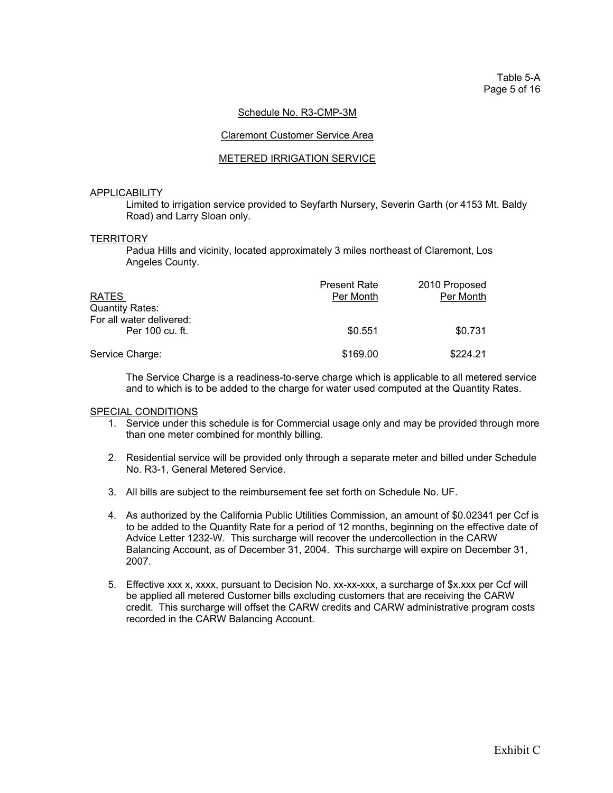## Schedule No. R3-CMP-3M

#### Claremont Customer Service Area

## METERED IRRIGATION SERVICE

#### APPLICABILITY

 Limited to irrigation service provided to Seyfarth Nursery, Severin Garth (or 4153 Mt. Baldy Road) and Larry Sloan only.

#### **TERRITORY**

 Padua Hills and vicinity, located approximately 3 miles northeast of Claremont, Los Angeles County.

| <b>RATES</b>                                | <b>Present Rate</b><br>Per Month | 2010 Proposed<br>Per Month |
|---------------------------------------------|----------------------------------|----------------------------|
| <b>Quantity Rates:</b>                      |                                  |                            |
| For all water delivered:<br>Per 100 cu. ft. | \$0.551                          | \$0.731                    |
| Service Charge:                             | \$169.00                         | \$224.21                   |

 The Service Charge is a readiness-to-serve charge which is applicable to all metered service and to which is to be added to the charge for water used computed at the Quantity Rates.

- 1. Service under this schedule is for Commercial usage only and may be provided through more than one meter combined for monthly billing.
- 2. Residential service will be provided only through a separate meter and billed under Schedule No. R3-1, General Metered Service.
- 3. All bills are subject to the reimbursement fee set forth on Schedule No. UF.
- 4. As authorized by the California Public Utilities Commission, an amount of \$0.02341 per Ccf is to be added to the Quantity Rate for a period of 12 months, beginning on the effective date of Advice Letter 1232-W. This surcharge will recover the undercollection in the CARW Balancing Account, as of December 31, 2004. This surcharge will expire on December 31, 2007.
- 5. Effective xxx x, xxxx, pursuant to Decision No. xx-xx-xxx, a surcharge of \$x.xxx per Ccf will be applied all metered Customer bills excluding customers that are receiving the CARW credit. This surcharge will offset the CARW credits and CARW administrative program costs recorded in the CARW Balancing Account.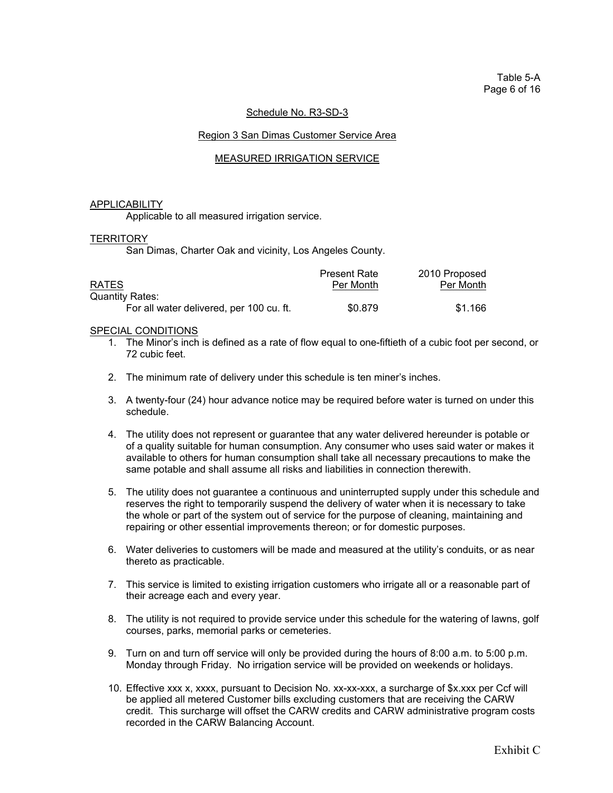Table 5-A Page 6 of 16

## Schedule No. R3-SD-3

## Region 3 San Dimas Customer Service Area

## MEASURED IRRIGATION SERVICE

#### APPLICABILITY

Applicable to all measured irrigation service.

#### **TERRITORY**

San Dimas, Charter Oak and vicinity, Los Angeles County.

|                                          | <b>Present Rate</b> | 2010 Proposed |
|------------------------------------------|---------------------|---------------|
| <b>RATES</b>                             | Per Month           | Per Month     |
| <b>Quantity Rates:</b>                   |                     |               |
| For all water delivered, per 100 cu. ft. | \$0.879             | \$1.166       |

- 1. The Minor's inch is defined as a rate of flow equal to one-fiftieth of a cubic foot per second, or 72 cubic feet.
- 2. The minimum rate of delivery under this schedule is ten miner's inches.
- 3. A twenty-four (24) hour advance notice may be required before water is turned on under this schedule.
- 4. The utility does not represent or guarantee that any water delivered hereunder is potable or of a quality suitable for human consumption. Any consumer who uses said water or makes it available to others for human consumption shall take all necessary precautions to make the same potable and shall assume all risks and liabilities in connection therewith.
- 5. The utility does not guarantee a continuous and uninterrupted supply under this schedule and reserves the right to temporarily suspend the delivery of water when it is necessary to take the whole or part of the system out of service for the purpose of cleaning, maintaining and repairing or other essential improvements thereon; or for domestic purposes.
- 6. Water deliveries to customers will be made and measured at the utility's conduits, or as near thereto as practicable.
- 7. This service is limited to existing irrigation customers who irrigate all or a reasonable part of their acreage each and every year.
- 8. The utility is not required to provide service under this schedule for the watering of lawns, golf courses, parks, memorial parks or cemeteries.
- 9. Turn on and turn off service will only be provided during the hours of 8:00 a.m. to 5:00 p.m. Monday through Friday. No irrigation service will be provided on weekends or holidays.
- 10. Effective xxx x, xxxx, pursuant to Decision No. xx-xx-xxx, a surcharge of \$x.xxx per Ccf will be applied all metered Customer bills excluding customers that are receiving the CARW credit. This surcharge will offset the CARW credits and CARW administrative program costs recorded in the CARW Balancing Account.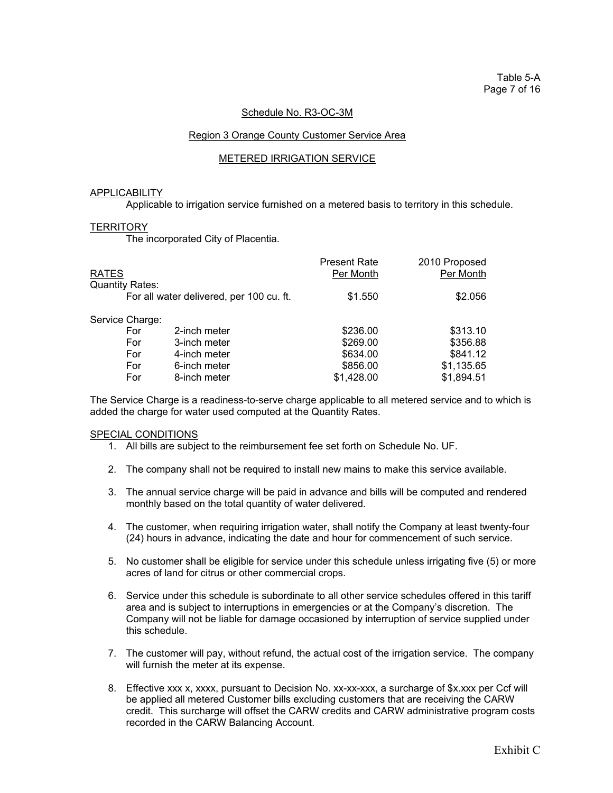## Schedule No. R3-OC-3M

#### Region 3 Orange County Customer Service Area

#### METERED IRRIGATION SERVICE

#### APPLICABILITY

Applicable to irrigation service furnished on a metered basis to territory in this schedule.

#### **TERRITORY**

The incorporated City of Placentia.

|                        |                                          | <b>Present Rate</b> | 2010 Proposed |
|------------------------|------------------------------------------|---------------------|---------------|
| <b>RATES</b>           |                                          | Per Month           | Per Month     |
| <b>Quantity Rates:</b> |                                          |                     |               |
|                        | For all water delivered, per 100 cu. ft. | \$1.550             | \$2.056       |
| Service Charge:        |                                          |                     |               |
| For                    | 2-inch meter                             | \$236.00            | \$313.10      |
| For                    | 3-inch meter                             | \$269.00            | \$356.88      |
| For                    | 4-inch meter                             | \$634.00            | \$841.12      |
| For                    | 6-inch meter                             | \$856.00            | \$1,135.65    |
| For                    | 8-inch meter                             | \$1,428.00          | \$1,894.51    |
|                        |                                          |                     |               |

 The Service Charge is a readiness-to-serve charge applicable to all metered service and to which is added the charge for water used computed at the Quantity Rates.

- 1. All bills are subject to the reimbursement fee set forth on Schedule No. UF.
- 2. The company shall not be required to install new mains to make this service available.
- 3. The annual service charge will be paid in advance and bills will be computed and rendered monthly based on the total quantity of water delivered.
- 4. The customer, when requiring irrigation water, shall notify the Company at least twenty-four (24) hours in advance, indicating the date and hour for commencement of such service.
- 5. No customer shall be eligible for service under this schedule unless irrigating five (5) or more acres of land for citrus or other commercial crops.
- 6. Service under this schedule is subordinate to all other service schedules offered in this tariff area and is subject to interruptions in emergencies or at the Company's discretion. The Company will not be liable for damage occasioned by interruption of service supplied under this schedule.
- 7. The customer will pay, without refund, the actual cost of the irrigation service. The company will furnish the meter at its expense.
- 8. Effective xxx x, xxxx, pursuant to Decision No. xx-xx-xxx, a surcharge of \$x.xxx per Ccf will be applied all metered Customer bills excluding customers that are receiving the CARW credit. This surcharge will offset the CARW credits and CARW administrative program costs recorded in the CARW Balancing Account.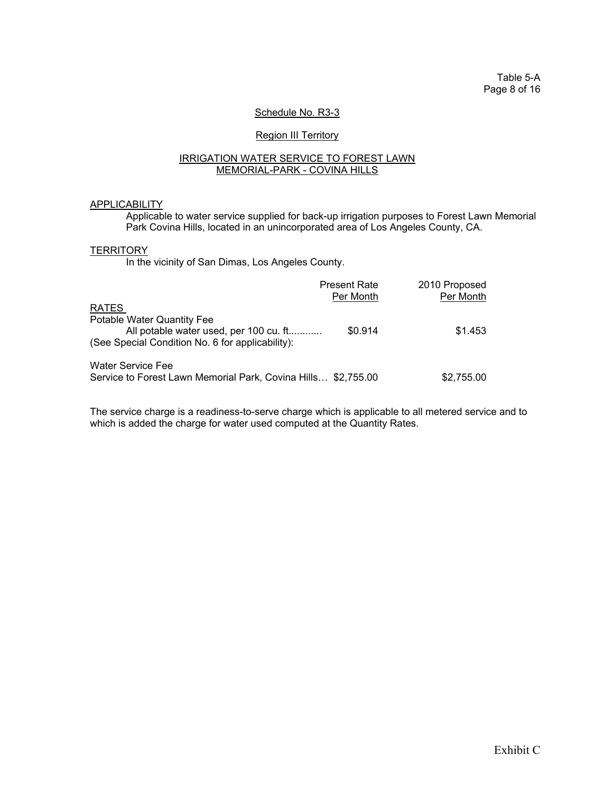Table 5-A Page 8 of 16

## Schedule No. R3-3

## **Region III Territory**

#### IRRIGATION WATER SERVICE TO FOREST LAWN MEMORIAL-PARK - COVINA HILLS

## **APPLICABILITY**

Applicable to water service supplied for back-up irrigation purposes to Forest Lawn Memorial Park Covina Hills, located in an unincorporated area of Los Angeles County, CA.

#### **TERRITORY**

In the vicinity of San Dimas, Los Angeles County.

|                                                                                                                          | <b>Present Rate</b><br>Per Month | 2010 Proposed<br>Per Month |
|--------------------------------------------------------------------------------------------------------------------------|----------------------------------|----------------------------|
| <b>RATES</b>                                                                                                             |                                  |                            |
| Potable Water Quantity Fee<br>All potable water used, per 100 cu. ft<br>(See Special Condition No. 6 for applicability): | \$0.914                          | \$1.453                    |
| <b>Water Service Fee</b><br>Service to Forest Lawn Memorial Park, Covina Hills \$2,755.00                                |                                  | \$2,755.00                 |

 The service charge is a readiness-to-serve charge which is applicable to all metered service and to which is added the charge for water used computed at the Quantity Rates.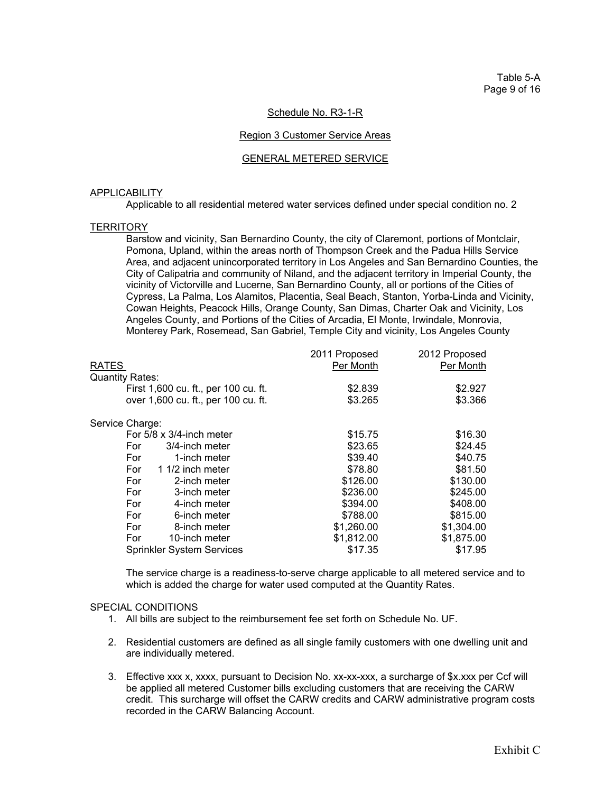Table 5-A Page 9 of 16

## Schedule No. R3-1-R

#### Region 3 Customer Service Areas

#### GENERAL METERED SERVICE

#### APPLICABILITY

Applicable to all residential metered water services defined under special condition no. 2

#### **TERRITORY**

Barstow and vicinity, San Bernardino County, the city of Claremont, portions of Montclair, Pomona, Upland, within the areas north of Thompson Creek and the Padua Hills Service Area, and adjacent unincorporated territory in Los Angeles and San Bernardino Counties, the City of Calipatria and community of Niland, and the adjacent territory in Imperial County, the vicinity of Victorville and Lucerne, San Bernardino County, all or portions of the Cities of Cypress, La Palma, Los Alamitos, Placentia, Seal Beach, Stanton, Yorba-Linda and Vicinity, Cowan Heights, Peacock Hills, Orange County, San Dimas, Charter Oak and Vicinity, Los Angeles County, and Portions of the Cities of Arcadia, El Monte, Irwindale, Monrovia, Monterey Park, Rosemead, San Gabriel, Temple City and vicinity, Los Angeles County

|                                      | 2011 Proposed | 2012 Proposed |
|--------------------------------------|---------------|---------------|
| RATES                                | Per Month     | Per Month     |
| <b>Quantity Rates:</b>               |               |               |
| First 1,600 cu. ft., per 100 cu. ft. | \$2.839       | \$2.927       |
| over 1,600 cu. ft., per 100 cu. ft.  | \$3.265       | \$3.366       |
| Service Charge:                      |               |               |
| For $5/8 \times 3/4$ -inch meter     | \$15.75       | \$16.30       |
| 3/4-inch meter<br>For                | \$23.65       | \$24.45       |
| For<br>1-inch meter                  | \$39.40       | \$40.75       |
| For<br>1 1/2 inch meter              | \$78.80       | \$81.50       |
| For<br>2-inch meter                  | \$126.00      | \$130.00      |
| For<br>3-inch meter                  | \$236.00      | \$245.00      |
| For<br>4-inch meter                  | \$394.00      | \$408.00      |
| For<br>6-inch meter                  | \$788.00      | \$815.00      |
| For<br>8-inch meter                  | \$1,260.00    | \$1,304.00    |
| For<br>10-inch meter                 | \$1,812.00    | \$1,875.00    |
| <b>Sprinkler System Services</b>     | \$17.35       | \$17.95       |

 The service charge is a readiness-to-serve charge applicable to all metered service and to which is added the charge for water used computed at the Quantity Rates.

- 1. All bills are subject to the reimbursement fee set forth on Schedule No. UF.
- 2. Residential customers are defined as all single family customers with one dwelling unit and are individually metered.
- 3. Effective xxx x, xxxx, pursuant to Decision No. xx-xx-xxx, a surcharge of \$x.xxx per Ccf will be applied all metered Customer bills excluding customers that are receiving the CARW credit. This surcharge will offset the CARW credits and CARW administrative program costs recorded in the CARW Balancing Account.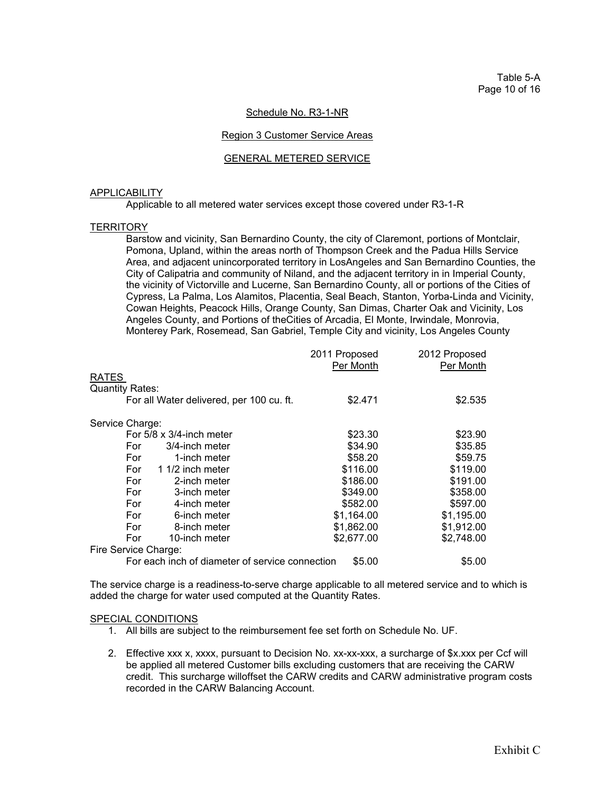Table 5-A Page 10 of 16

## Schedule No. R3-1-NR

#### Region 3 Customer Service Areas

#### GENERAL METERED SERVICE

#### APPLICABILITY

Applicable to all metered water services except those covered under R3-1-R

#### **TERRITORY**

 Barstow and vicinity, San Bernardino County, the city of Claremont, portions of Montclair, Pomona, Upland, within the areas north of Thompson Creek and the Padua Hills Service Area, and adjacent unincorporated territory in LosAngeles and San Bernardino Counties, the City of Calipatria and community of Niland, and the adjacent territory in in Imperial County, the vicinity of Victorville and Lucerne, San Bernardino County, all or portions of the Cities of Cypress, La Palma, Los Alamitos, Placentia, Seal Beach, Stanton, Yorba-Linda and Vicinity, Cowan Heights, Peacock Hills, Orange County, San Dimas, Charter Oak and Vicinity, Los Angeles County, and Portions of theCities of Arcadia, El Monte, Irwindale, Monrovia, Monterey Park, Rosemead, San Gabriel, Temple City and vicinity, Los Angeles County

|                                                 | 2011 Proposed<br>Per Month | 2012 Proposed<br>Per Month |
|-------------------------------------------------|----------------------------|----------------------------|
| <b>RATES</b>                                    |                            |                            |
| <b>Quantity Rates:</b>                          |                            |                            |
| For all Water delivered, per 100 cu. ft.        | \$2.471                    | \$2.535                    |
|                                                 |                            |                            |
| Service Charge:                                 |                            |                            |
| For $5/8 \times 3/4$ -inch meter                | \$23.30                    | \$23.90                    |
| For<br>3/4-inch meter                           | \$34.90                    | \$35.85                    |
| For<br>1-inch meter                             | \$58.20                    | \$59.75                    |
| For<br>1 1/2 inch meter                         | \$116.00                   | \$119.00                   |
| For<br>2-inch meter                             | \$186.00                   | \$191.00                   |
| For<br>3-inch meter                             | \$349.00                   | \$358.00                   |
| For<br>4-inch meter                             | \$582.00                   | \$597.00                   |
| For<br>6-inch meter                             | \$1,164.00                 | \$1,195.00                 |
| For<br>8-inch meter                             | \$1,862.00                 | \$1,912.00                 |
| For<br>10-inch meter                            | \$2,677.00                 | \$2,748.00                 |
| Fire Service Charge:                            |                            |                            |
| For each inch of diameter of service connection | \$5.00                     | \$5.00                     |

 The service charge is a readiness-to-serve charge applicable to all metered service and to which is added the charge for water used computed at the Quantity Rates.

- 1. All bills are subject to the reimbursement fee set forth on Schedule No. UF.
- 2. Effective xxx x, xxxx, pursuant to Decision No. xx-xx-xxx, a surcharge of \$x.xxx per Ccf will be applied all metered Customer bills excluding customers that are receiving the CARW credit. This surcharge willoffset the CARW credits and CARW administrative program costs recorded in the CARW Balancing Account.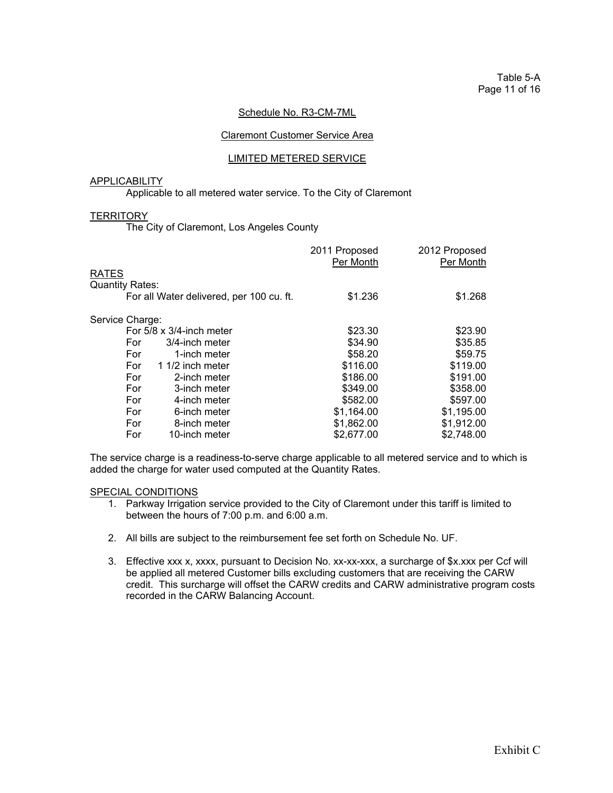#### Schedule No. R3-CM-7ML

## Claremont Customer Service Area

## LIMITED METERED SERVICE

## **APPLICABILITY**

Applicable to all metered water service. To the City of Claremont

#### **TERRITORY**

The City of Claremont, Los Angeles County

|                                          | 2011 Proposed<br>Per Month | 2012 Proposed<br>Per Month |
|------------------------------------------|----------------------------|----------------------------|
| <b>RATES</b>                             |                            |                            |
| <b>Quantity Rates:</b>                   |                            |                            |
| For all Water delivered, per 100 cu. ft. | \$1.236                    | \$1.268                    |
| Service Charge:                          |                            |                            |
| For 5/8 x 3/4-inch meter                 | \$23.30                    | \$23.90                    |
| For<br>3/4-inch meter                    | \$34.90                    | \$35.85                    |
| For<br>1-inch meter                      | \$58.20                    | \$59.75                    |
| For<br>1 1/2 inch meter                  | \$116.00                   | \$119.00                   |
| For<br>2-inch meter                      | \$186.00                   | \$191.00                   |
| For<br>3-inch meter                      | \$349.00                   | \$358.00                   |
| For<br>4-inch meter                      | \$582.00                   | \$597.00                   |
| For<br>6-inch meter                      | \$1,164.00                 | \$1,195.00                 |
| For<br>8-inch meter                      | \$1,862.00                 | \$1,912.00                 |
| For<br>10-inch meter                     | \$2,677.00                 | \$2,748.00                 |

 The service charge is a readiness-to-serve charge applicable to all metered service and to which is added the charge for water used computed at the Quantity Rates.

- 1. Parkway Irrigation service provided to the City of Claremont under this tariff is limited to between the hours of 7:00 p.m. and 6:00 a.m.
- 2. All bills are subject to the reimbursement fee set forth on Schedule No. UF.
- 3. Effective xxx x, xxxx, pursuant to Decision No. xx-xx-xxx, a surcharge of \$x.xxx per Ccf will be applied all metered Customer bills excluding customers that are receiving the CARW credit. This surcharge will offset the CARW credits and CARW administrative program costs recorded in the CARW Balancing Account.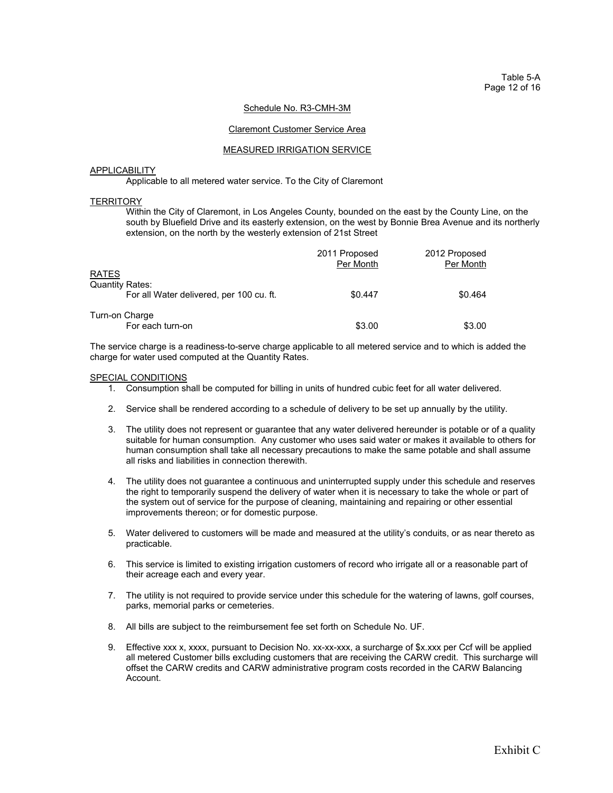Table 5-A Page 12 of 16

#### Schedule No. R3-CMH-3M

#### Claremont Customer Service Area

#### MEASURED IRRIGATION SERVICE

#### **APPLICABILITY**

Applicable to all metered water service. To the City of Claremont

#### **TERRITORY**

 Within the City of Claremont, in Los Angeles County, bounded on the east by the County Line, on the south by Bluefield Drive and its easterly extension, on the west by Bonnie Brea Avenue and its northerly extension, on the north by the westerly extension of 21st Street

|                                          | 2011 Proposed<br>Per Month | 2012 Proposed<br>Per Month |
|------------------------------------------|----------------------------|----------------------------|
| <b>RATES</b><br><b>Quantity Rates:</b>   |                            |                            |
| For all Water delivered, per 100 cu. ft. | \$0.447                    | \$0.464                    |
| Turn-on Charge<br>For each turn-on       | \$3.00                     | \$3.00                     |

 The service charge is a readiness-to-serve charge applicable to all metered service and to which is added the charge for water used computed at the Quantity Rates.

- 1. Consumption shall be computed for billing in units of hundred cubic feet for all water delivered.
- 2. Service shall be rendered according to a schedule of delivery to be set up annually by the utility.
- 3. The utility does not represent or guarantee that any water delivered hereunder is potable or of a quality suitable for human consumption. Any customer who uses said water or makes it available to others for human consumption shall take all necessary precautions to make the same potable and shall assume all risks and liabilities in connection therewith.
- 4. The utility does not guarantee a continuous and uninterrupted supply under this schedule and reserves the right to temporarily suspend the delivery of water when it is necessary to take the whole or part of the system out of service for the purpose of cleaning, maintaining and repairing or other essential improvements thereon; or for domestic purpose.
- 5. Water delivered to customers will be made and measured at the utility's conduits, or as near thereto as practicable.
- 6. This service is limited to existing irrigation customers of record who irrigate all or a reasonable part of their acreage each and every year.
- 7. The utility is not required to provide service under this schedule for the watering of lawns, golf courses, parks, memorial parks or cemeteries.
- 8. All bills are subject to the reimbursement fee set forth on Schedule No. UF.
- 9. Effective xxx x, xxxx, pursuant to Decision No. xx-xx-xxx, a surcharge of \$x.xxx per Ccf will be applied all metered Customer bills excluding customers that are receiving the CARW credit. This surcharge will offset the CARW credits and CARW administrative program costs recorded in the CARW Balancing Account.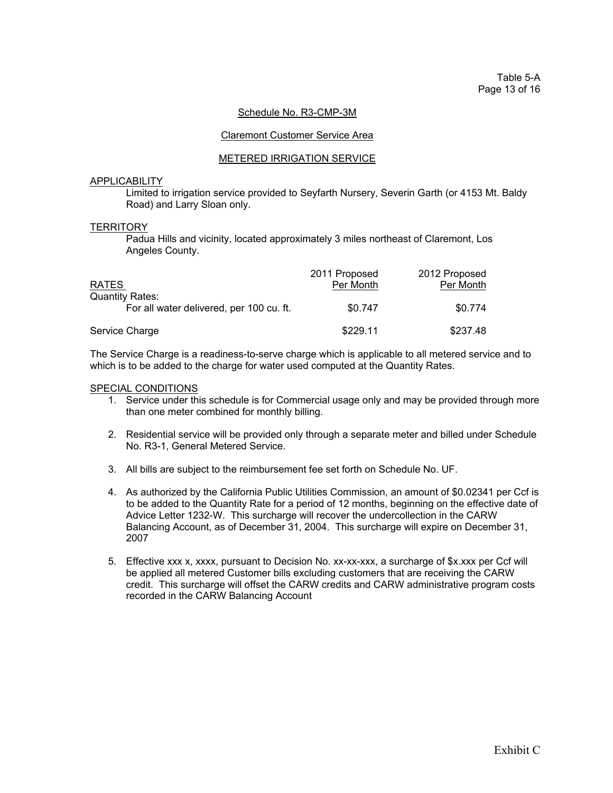## Schedule No. R3-CMP-3M

#### Claremont Customer Service Area

#### METERED IRRIGATION SERVICE

## **APPLICABILITY**

 Limited to irrigation service provided to Seyfarth Nursery, Severin Garth (or 4153 Mt. Baldy Road) and Larry Sloan only.

#### **TERRITORY**

 Padua Hills and vicinity, located approximately 3 miles northeast of Claremont, Los Angeles County.

| <b>RATES</b>                                                       | 2011 Proposed<br>Per Month | 2012 Proposed<br>Per Month |
|--------------------------------------------------------------------|----------------------------|----------------------------|
| <b>Quantity Rates:</b><br>For all water delivered, per 100 cu. ft. | \$0.747                    | \$0.774                    |
| Service Charge                                                     | \$229.11                   | \$237.48                   |

 The Service Charge is a readiness-to-serve charge which is applicable to all metered service and to which is to be added to the charge for water used computed at the Quantity Rates.

- 1. Service under this schedule is for Commercial usage only and may be provided through more than one meter combined for monthly billing.
- 2. Residential service will be provided only through a separate meter and billed under Schedule No. R3-1, General Metered Service.
- 3. All bills are subject to the reimbursement fee set forth on Schedule No. UF.
- 4. As authorized by the California Public Utilities Commission, an amount of \$0.02341 per Ccf is to be added to the Quantity Rate for a period of 12 months, beginning on the effective date of Advice Letter 1232-W. This surcharge will recover the undercollection in the CARW Balancing Account, as of December 31, 2004. This surcharge will expire on December 31, 2007
- 5. Effective xxx x, xxxx, pursuant to Decision No. xx-xx-xxx, a surcharge of \$x.xxx per Ccf will be applied all metered Customer bills excluding customers that are receiving the CARW credit. This surcharge will offset the CARW credits and CARW administrative program costs recorded in the CARW Balancing Account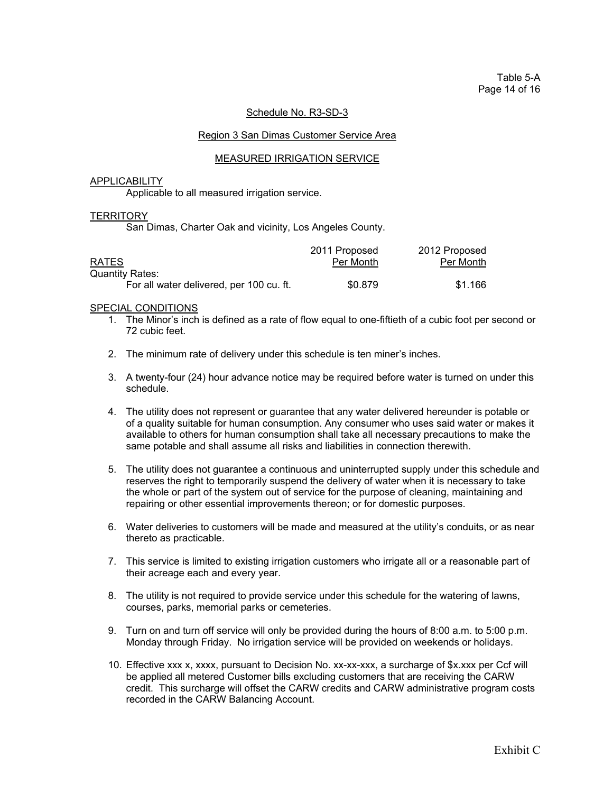## Schedule No. R3-SD-3

#### Region 3 San Dimas Customer Service Area

#### MEASURED IRRIGATION SERVICE

## **APPLICABILITY**

Applicable to all measured irrigation service.

#### **TERRITORY**

San Dimas, Charter Oak and vicinity, Los Angeles County.

|                                          | 2011 Proposed | 2012 Proposed |
|------------------------------------------|---------------|---------------|
| <b>RATES</b>                             | Per Month     | Per Month     |
| Quantity Rates:                          |               |               |
| For all water delivered, per 100 cu. ft. | \$0.879       | \$1.166       |

- 1. The Minor's inch is defined as a rate of flow equal to one-fiftieth of a cubic foot per second or 72 cubic feet.
- 2. The minimum rate of delivery under this schedule is ten miner's inches.
- 3. A twenty-four (24) hour advance notice may be required before water is turned on under this schedule.
- 4. The utility does not represent or guarantee that any water delivered hereunder is potable or of a quality suitable for human consumption. Any consumer who uses said water or makes it available to others for human consumption shall take all necessary precautions to make the same potable and shall assume all risks and liabilities in connection therewith.
- 5. The utility does not guarantee a continuous and uninterrupted supply under this schedule and reserves the right to temporarily suspend the delivery of water when it is necessary to take the whole or part of the system out of service for the purpose of cleaning, maintaining and repairing or other essential improvements thereon; or for domestic purposes.
- 6. Water deliveries to customers will be made and measured at the utility's conduits, or as near thereto as practicable.
- 7. This service is limited to existing irrigation customers who irrigate all or a reasonable part of their acreage each and every year.
- 8. The utility is not required to provide service under this schedule for the watering of lawns, courses, parks, memorial parks or cemeteries.
- 9. Turn on and turn off service will only be provided during the hours of 8:00 a.m. to 5:00 p.m. Monday through Friday. No irrigation service will be provided on weekends or holidays.
- 10. Effective xxx x, xxxx, pursuant to Decision No. xx-xx-xxx, a surcharge of \$x.xxx per Ccf will be applied all metered Customer bills excluding customers that are receiving the CARW credit. This surcharge will offset the CARW credits and CARW administrative program costs recorded in the CARW Balancing Account.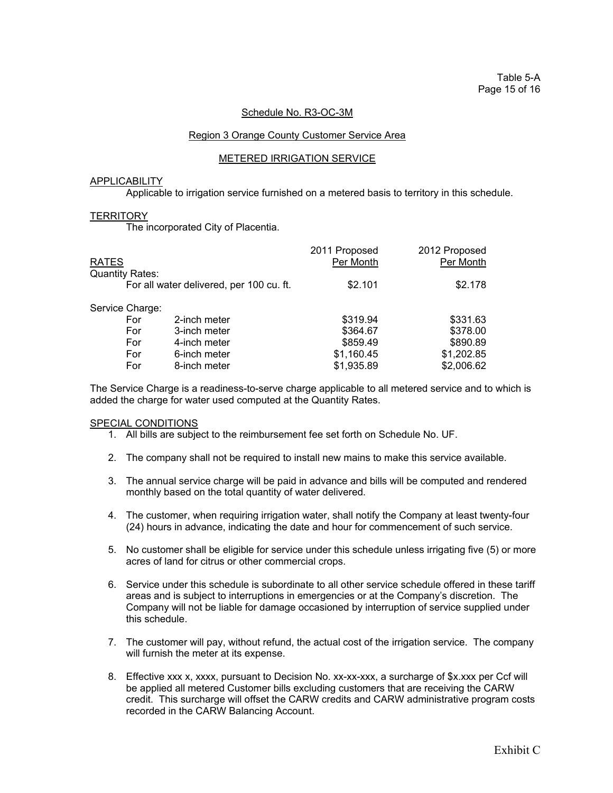## Schedule No. R3-OC-3M

#### Region 3 Orange County Customer Service Area

#### METERED IRRIGATION SERVICE

## **APPLICABILITY**

Applicable to irrigation service furnished on a metered basis to territory in this schedule.

#### **TERRITORY**

The incorporated City of Placentia.

| 2012 Proposed<br>Per Month |
|----------------------------|
|                            |
| \$2.178                    |
|                            |
| \$331.63                   |
| \$378.00                   |
| \$890.89                   |
| \$1,202.85                 |
| \$2,006.62                 |
|                            |

 The Service Charge is a readiness-to-serve charge applicable to all metered service and to which is added the charge for water used computed at the Quantity Rates.

- 1. All bills are subject to the reimbursement fee set forth on Schedule No. UF.
- 2. The company shall not be required to install new mains to make this service available.
- 3. The annual service charge will be paid in advance and bills will be computed and rendered monthly based on the total quantity of water delivered.
- 4. The customer, when requiring irrigation water, shall notify the Company at least twenty-four (24) hours in advance, indicating the date and hour for commencement of such service.
- 5. No customer shall be eligible for service under this schedule unless irrigating five (5) or more acres of land for citrus or other commercial crops.
- 6. Service under this schedule is subordinate to all other service schedule offered in these tariff areas and is subject to interruptions in emergencies or at the Company's discretion. The Company will not be liable for damage occasioned by interruption of service supplied under this schedule.
- 7. The customer will pay, without refund, the actual cost of the irrigation service. The company will furnish the meter at its expense.
- 8. Effective xxx x, xxxx, pursuant to Decision No. xx-xx-xxx, a surcharge of \$x.xxx per Ccf will be applied all metered Customer bills excluding customers that are receiving the CARW credit. This surcharge will offset the CARW credits and CARW administrative program costs recorded in the CARW Balancing Account.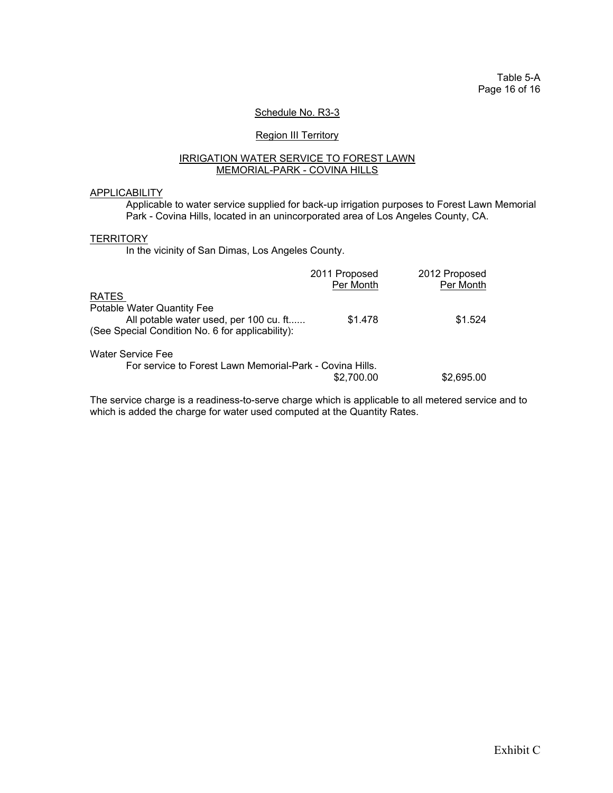Table 5-A Page 16 of 16

## Schedule No. R3-3

## **Region III Territory**

#### IRRIGATION WATER SERVICE TO FOREST LAWN MEMORIAL-PARK - COVINA HILLS

#### APPLICABILITY

 Applicable to water service supplied for back-up irrigation purposes to Forest Lawn Memorial Park - Covina Hills, located in an unincorporated area of Los Angeles County, CA.

## **TERRITORY**

In the vicinity of San Dimas, Los Angeles County.

|                                                                                            | 2011 Proposed<br>Per Month | 2012 Proposed<br>Per Month |
|--------------------------------------------------------------------------------------------|----------------------------|----------------------------|
| <b>RATES</b>                                                                               |                            |                            |
| Potable Water Quantity Fee                                                                 |                            |                            |
| All potable water used, per 100 cu. ft<br>(See Special Condition No. 6 for applicability): | \$1.478                    | \$1.524                    |
| <b>Water Service Fee</b><br>For service to Forest Lawn Memorial-Park - Covina Hills.       |                            |                            |
|                                                                                            | \$2,700.00                 | \$2,695,00                 |

 The service charge is a readiness-to-serve charge which is applicable to all metered service and to which is added the charge for water used computed at the Quantity Rates.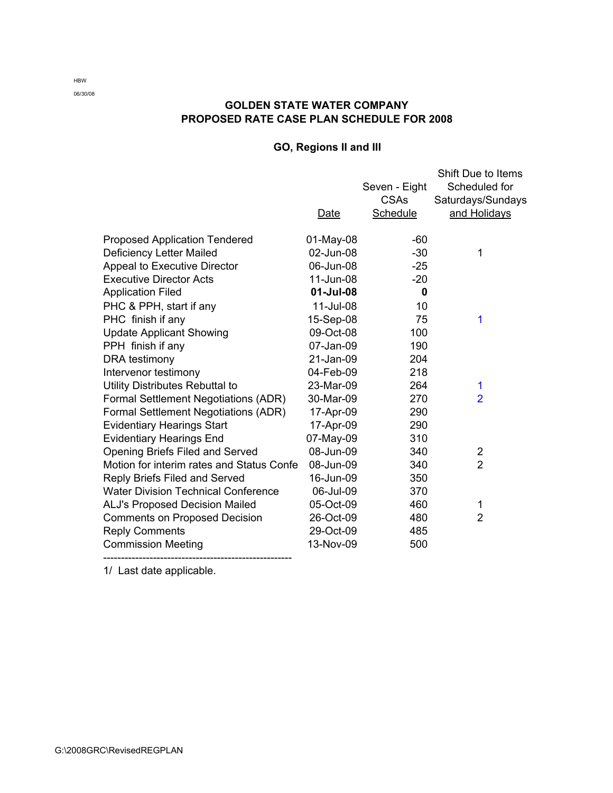# **GOLDEN STATE WATER COMPANY PROPOSED RATE CASE PLAN SCHEDULE FOR 2008**

# **GO, Regions II and III**

|                                            | Date      | Seven - Eight<br><b>CSAs</b><br><b>Schedule</b> | Shift Due to Items<br>Scheduled for<br>Saturdays/Sundays<br>and Holidays |
|--------------------------------------------|-----------|-------------------------------------------------|--------------------------------------------------------------------------|
| <b>Proposed Application Tendered</b>       | 01-May-08 | $-60$                                           |                                                                          |
| <b>Deficiency Letter Mailed</b>            | 02-Jun-08 | $-30$                                           | 1                                                                        |
| <b>Appeal to Executive Director</b>        | 06-Jun-08 | $-25$                                           |                                                                          |
| <b>Executive Director Acts</b>             | 11-Jun-08 | $-20$                                           |                                                                          |
| <b>Application Filed</b>                   | 01-Jul-08 | 0                                               |                                                                          |
| PHC & PPH, start if any                    | 11-Jul-08 | 10                                              |                                                                          |
| PHC finish if any                          | 15-Sep-08 | 75                                              | 1                                                                        |
| <b>Update Applicant Showing</b>            | 09-Oct-08 | 100                                             |                                                                          |
| PPH finish if any                          | 07-Jan-09 | 190                                             |                                                                          |
| DRA testimony                              | 21-Jan-09 | 204                                             |                                                                          |
| Intervenor testimony                       | 04-Feb-09 | 218                                             |                                                                          |
| Utility Distributes Rebuttal to            | 23-Mar-09 | 264                                             | 1                                                                        |
| Formal Settlement Negotiations (ADR)       | 30-Mar-09 | 270                                             | $\overline{2}$                                                           |
| Formal Settlement Negotiations (ADR)       | 17-Apr-09 | 290                                             |                                                                          |
| <b>Evidentiary Hearings Start</b>          | 17-Apr-09 | 290                                             |                                                                          |
| <b>Evidentiary Hearings End</b>            | 07-May-09 | 310                                             |                                                                          |
| Opening Briefs Filed and Served            | 08-Jun-09 | 340                                             | 2                                                                        |
| Motion for interim rates and Status Confe  | 08-Jun-09 | 340                                             | $\overline{2}$                                                           |
| Reply Briefs Filed and Served              | 16-Jun-09 | 350                                             |                                                                          |
| <b>Water Division Technical Conference</b> | 06-Jul-09 | 370                                             |                                                                          |
| <b>ALJ's Proposed Decision Mailed</b>      | 05-Oct-09 | 460                                             | 1                                                                        |
| <b>Comments on Proposed Decision</b>       | 26-Oct-09 | 480                                             | $\overline{2}$                                                           |
| <b>Reply Comments</b>                      | 29-Oct-09 | 485                                             |                                                                          |
| <b>Commission Meeting</b>                  | 13-Nov-09 | 500                                             |                                                                          |

1/ Last date applicable.

HBW 06/30/08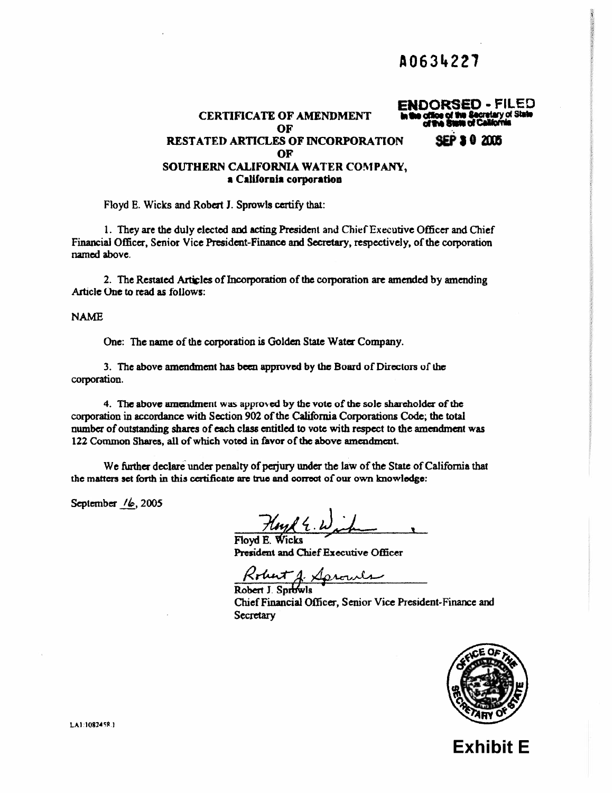# A0634227

#### **ENDORSED - FILED CERTIFICATE OF AMENDMENT** OF **30205 RESTATED ARTICLES OF INCORPORATION** OF SOUTHERN CALIFORNIA WATER COMPANY. a California corporation

Floyd E. Wicks and Robert J. Sprowls certify that:

1. They are the duly elected and acting President and Chief Executive Officer and Chief Financial Officer, Senior Vice President-Finance and Secretary, respectively, of the corporation named above.

2. The Restated Articles of Incorporation of the corporation are amended by amending Article One to read as follows:

**NAME** 

One: The name of the corporation is Golden State Water Company.

3. The above amendment has been approved by the Board of Directors of the corporation.

4. The above amendment was approved by the vote of the sole shareholder of the corporation in accordance with Section 902 of the California Corporations Code; the total number of outstanding shares of each class entitled to vote with respect to the amendment was 122 Common Shares, all of which voted in favor of the above amendment.

We further declare under penalty of perjury under the law of the State of California that the matters set forth in this certificate are true and correct of our own knowledge:

September  $/6$ , 2005

Hoyd E. W.

Floyd E. Wicks President and Chief Executive Officer

Robert J. Sprouls

Chief Financial Officer, Senior Vice President-Finance and Secretary



**Exhibit E** 

LA1:1082458.1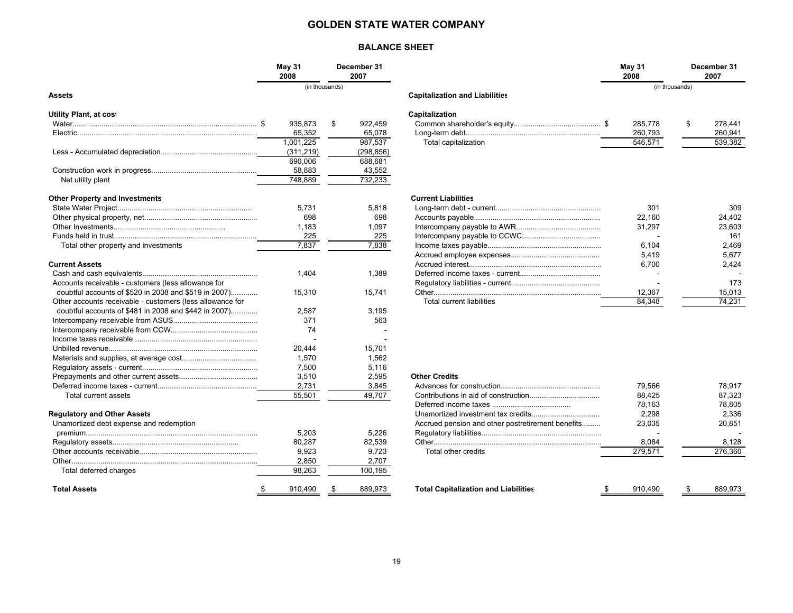#### **GOLDEN STATE WATER COMPANY**

#### **BALANCE SHEET**

|                                                           | <b>May 31</b><br>2008 | December 31<br>2007 |                                                   | May 31<br>2008 | December 31<br>2007 |
|-----------------------------------------------------------|-----------------------|---------------------|---------------------------------------------------|----------------|---------------------|
| Assets                                                    | (in thousands)        |                     | <b>Capitalization and Liabilities</b>             |                | (in thousands)      |
|                                                           |                       |                     |                                                   |                |                     |
| <b>Utility Plant, at cost</b>                             |                       |                     | Capitalization                                    |                |                     |
|                                                           | 935.873               | 922.459<br>\$       |                                                   | 285.778        | \$<br>278.441       |
|                                                           | 65,352                | 65,078              |                                                   | 260,793        | 260,941             |
|                                                           | 1,001,225             | 987,537             | Total capitalization                              | 546,571        | 539,382             |
|                                                           | (311, 219)            | (298, 856)          |                                                   |                |                     |
|                                                           | 690,006               | 688,681             |                                                   |                |                     |
|                                                           | 58,883                | 43,552              |                                                   |                |                     |
| Net utility plant                                         | 748,889               | 732,233             |                                                   |                |                     |
| <b>Other Property and Investments</b>                     |                       |                     | <b>Current Liabilities</b>                        |                |                     |
|                                                           | 5.731                 | 5.818               |                                                   | 301            | 309                 |
|                                                           | 698                   | 698                 |                                                   | 22,160         | 24.402              |
|                                                           | 1,183                 | 1,097               |                                                   | 31,297         | 23,603              |
|                                                           | 225                   | 225                 |                                                   |                | 161                 |
| Total other property and investments                      | 7,837                 | 7,838               |                                                   | 6.104          | 2.469               |
|                                                           |                       |                     |                                                   | 5,419          | 5,677               |
| <b>Current Assets</b>                                     |                       |                     |                                                   | 6,700          | 2,424               |
|                                                           | 1.404                 | 1,389               |                                                   |                |                     |
| Accounts receivable - customers (less allowance for       |                       |                     |                                                   |                | 173                 |
| doubtful accounts of \$520 in 2008 and \$519 in 2007)     | 15.310                | 15,741              |                                                   | 12,367         | 15,013              |
| Other accounts receivable - customers (less allowance for |                       |                     | Total current liabilities                         | 84.348         | 74,231              |
| doubtful accounts of \$481 in 2008 and \$442 in 2007)     | 2,587                 | 3.195               |                                                   |                |                     |
|                                                           | 371                   | 563                 |                                                   |                |                     |
|                                                           | 74                    |                     |                                                   |                |                     |
|                                                           |                       |                     |                                                   |                |                     |
|                                                           | 20,444                | 15,701              |                                                   |                |                     |
|                                                           | 1,570                 | 1,562               |                                                   |                |                     |
|                                                           | 7,500                 | 5,116               |                                                   |                |                     |
|                                                           | 3,510                 | 2,595               | <b>Other Credits</b>                              |                |                     |
|                                                           | 2,731                 | 3,845               |                                                   | 79.566         | 78.917              |
| Total current assets                                      | 55,501                | 49,707              |                                                   | 88,425         | 87,323              |
|                                                           |                       |                     |                                                   | 78.163         | 78,805              |
| <b>Regulatory and Other Assets</b>                        |                       |                     |                                                   | 2,298          | 2,336               |
| Unamortized debt expense and redemption                   |                       |                     | Accrued pension and other postretirement benefits | 23,035         | 20,851              |
|                                                           | 5,203                 | 5,226               |                                                   |                |                     |
|                                                           | 80.287                | 82,539              |                                                   | 8,084          | 8,128               |
|                                                           | 9,923                 | 9,723               | Total other credits                               | 279,571        | 276,360             |
|                                                           | 2.850                 | 2.707               |                                                   |                |                     |

Total deferred charges and the state of the state of the state of the state of the state of the state of the state of the state of the state of the state of the state of the state of the state of the state of the state of

 **Total Assets**

| May 31<br>December 31<br>2008<br>2007 |            |    |            | May 31<br>2008                        |         | December 31<br>2007 |         |
|---------------------------------------|------------|----|------------|---------------------------------------|---------|---------------------|---------|
| (in thousands)                        |            |    |            | (in thousands)                        |         |                     |         |
|                                       |            |    |            | <b>Capitalization and Liabilities</b> |         |                     |         |
|                                       |            |    |            | Capitalization                        |         |                     |         |
| \$                                    | 935.873    | \$ | 922.459    |                                       | 285,778 | \$                  | 278.441 |
|                                       | 65.352     |    | 65.078     |                                       | 260,793 |                     | 260,941 |
|                                       | 1,001,225  |    | 987.537    | Total capitalization                  | 546.571 |                     | 539,382 |
|                                       | (311, 219) |    | (298, 856) |                                       |         |                     |         |
|                                       | 690.006    |    | 688,681    |                                       |         |                     |         |
|                                       | 58,883     |    | 43,552     |                                       |         |                     |         |
|                                       | 748,889    |    | 732,233    |                                       |         |                     |         |
|                                       |            |    |            | <b>Current Liabilities</b>            |         |                     |         |

| литепс старшиеs                  |        |        |
|----------------------------------|--------|--------|
|                                  | 301    | 309    |
|                                  | 22.160 | 24.402 |
|                                  | 31.297 | 23.603 |
|                                  |        | 161    |
|                                  | 6.104  | 2.469  |
|                                  | 5.419  | 5.677  |
|                                  | 6.700  | 2.424  |
|                                  |        |        |
|                                  |        | 173    |
|                                  | 12,367 | 15,013 |
| <b>Total current liabilities</b> | 84.348 | 74.231 |
|                                  |        |        |

#### **Other Credits.**

| rent assets                   | 2.731<br>55,501 | 3,845<br>49,707 |                                                   | 79.566<br>88.425 | 78.917<br>87.323 |
|-------------------------------|-----------------|-----------------|---------------------------------------------------|------------------|------------------|
|                               |                 |                 |                                                   | 78.163           | 78.805           |
| ınd Other Assets              |                 |                 |                                                   | 2.298            | 2.336            |
| d debt expense and redemption |                 |                 | Accrued pension and other postretirement benefits | 23.035           | 20.851           |
|                               | 5.203           | 5.226           |                                                   |                  |                  |
|                               | 80.287          | 82.539          |                                                   | 8.084            | 8.128            |
|                               | 9.923           | 9.723           | Total other credits                               | 279.571          | 276,360          |
|                               | 2.850           | 2.707           |                                                   |                  |                  |
| rred charges                  | 98.263          | 100,195         |                                                   |                  |                  |
|                               | 910.490         | 889.973         | <b>Total Capitalization and Liabilities</b>       | 910.490          | 889.973          |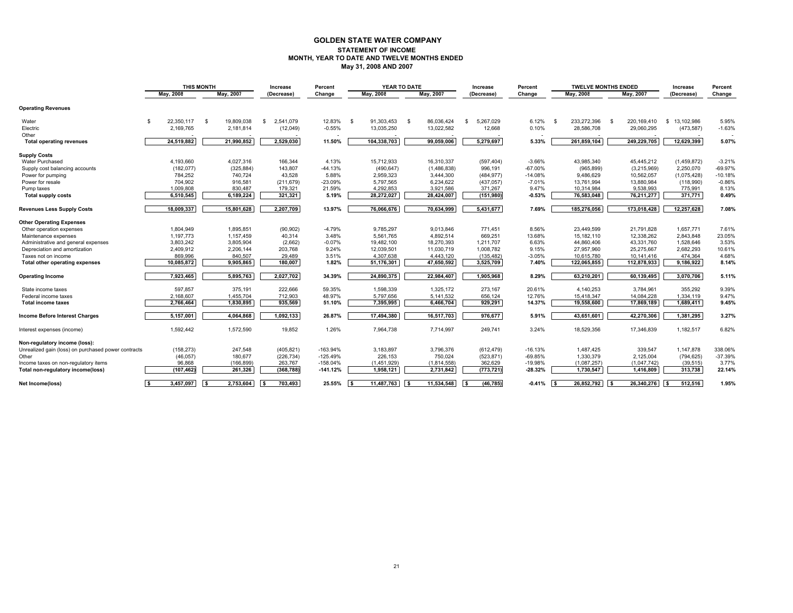#### **GOLDEN STATE WATER COMPANY STATEMENT OF INCOME MONTH, YEAR TO DATE AND TWELVE MONTHS ENDED May 31, 2008 AND 2007**

|                                                     | <b>THIS MONTH</b>  |                    | Increase        | Percent    |             | YEAR TO DATE           | Increase         | Percent    | <b>TWELVE MONTHS ENDED</b> |                     | Increase         | Percent   |
|-----------------------------------------------------|--------------------|--------------------|-----------------|------------|-------------|------------------------|------------------|------------|----------------------------|---------------------|------------------|-----------|
|                                                     | May, 2008          | May, 2007          | (Decrease)      | Change     | May, 2008   | May, 2007              | (Decrease)       | Change     | May, 2008                  | May, 2007           | (Decrease)       | Change    |
| <b>Operating Revenues</b>                           |                    |                    |                 |            |             |                        |                  |            |                            |                     |                  |           |
| Water                                               | 22.350.117<br>- \$ | 19.809.038<br>- \$ | 2.541.079<br>£. | 12.83%     | 91.303.453  | 86.036.424<br>- \$     | 5.267.029<br>\$. | 6.12%      | 233.272.396<br>- \$        | 220.169.410<br>- \$ | 13.102.986<br>S. | 5.95%     |
| Electric                                            | 2,169,765          | 2,181,814          | (12,049)        | $-0.55%$   | 13,035,250  | 13,022,582             | 12,668           | 0.10%      | 28,586,708                 | 29,060,295          | (473, 587)       | $-1.63%$  |
| Other                                               |                    |                    |                 |            |             |                        |                  |            |                            |                     |                  |           |
| <b>Total operating revenues</b>                     | 24,519,882         | 21,990,852         | 2,529,030       | 11.50%     | 104,338,703 | 99,059,006             | 5,279,697        | 5.33%      | 261,859,104                | 249,229,705         | 12,629,399       | 5.07%     |
| <b>Supply Costs</b>                                 |                    |                    |                 |            |             |                        |                  |            |                            |                     |                  |           |
| Water Purchased                                     | 4,193,660          | 4,027,316          | 166,344         | 4.13%      | 15,712,933  | 16,310,337             | (597, 404)       | $-3.66%$   | 43,985,340                 | 45,445,212          | (1,459,872)      | $-3.21%$  |
| Supply cost balancing accounts                      | (182, 077)         | (325, 884)         | 143,807         | $-44.13%$  | (490, 647)  | (1,486,838)            | 996,191          | $-67.00\%$ | (965, 899)                 | (3,215,969)         | 2,250,070        | $-69.97%$ |
| Power for pumping                                   | 784,252            | 740,724            | 43,528          | 5.88%      | 2,959,323   | 3,444,300              | (484, 977)       | $-14.08%$  | 9,486,629                  | 10,562,057          | (1,075,428)      | $-10.18%$ |
| Power for resale                                    | 704,902            | 916,581            | (211, 679)      | $-23.09%$  | 5,797,565   | 6,234,622              | (437, 057)       | $-7.01%$   | 13,761,994                 | 13,880,984          | (118,990)        | $-0.86%$  |
| Pump taxes                                          | 1,009,808          | 830,487            | 179,321         | 21.59%     | 4,292,853   | 3,921,586              | 371,267          | 9.47%      | 10,314,984                 | 9,538,993           | 775,991          | 8.13%     |
| <b>Total supply costs</b>                           | 6,510,545          | 6,189,224          | 321,321         | 5.19%      | 28,272,027  | 28,424,007             | (151,980)        | $-0.53%$   | 76,583,048                 | 76,211,277          | 371,771          | 0.49%     |
| <b>Revenues Less Supply Costs</b>                   | 18,009,337         | 15,801,628         | 2,207,709       | 13.97%     | 76,066,676  | 70,634,999             | 5,431,677        | 7.69%      | 185,276,056                | 173,018,428         | 12,257,628       | 7.08%     |
| <b>Other Operating Expenses</b>                     |                    |                    |                 |            |             |                        |                  |            |                            |                     |                  |           |
| Other operation expenses                            | 1,804,949          | 1,895,851          | (90, 902)       | $-4.79%$   | 9,785,297   | 9,013,846              | 771,451          | 8.56%      | 23.449.599                 | 21,791,828          | 1,657,771        | 7.61%     |
| Maintenance expenses                                | 1.197.773          | 1.157.459          | 40.314          | 3.48%      | 5.561.765   | 4.892.514              | 669.251          | 13.68%     | 15.182.110                 | 12.338.262          | 2.843.848        | 23.05%    |
| Administrative and general expenses                 | 3,803,242          | 3,805,904          | (2,662)         | $-0.07%$   | 19,482,100  | 18,270,393             | 1,211,707        | 6.63%      | 44,860,406                 | 43,331,760          | 1,528,646        | 3.53%     |
| Depreciation and amortization                       | 2,409,912          | 2,206,144          | 203,768         | 9.24%      | 12,039,501  | 11,030,719             | 1,008,782        | 9.15%      | 27,957,960                 | 25,275,667          | 2,682,293        | 10.61%    |
| Taxes not on income                                 | 869,996            | 840,507            | 29,489          | 3.51%      | 4,307,638   | 4,443,120              | (135, 482)       | $-3.05%$   | 10,615,780                 | 10,141,416          | 474,364          | 4.68%     |
| Total other operating expenses                      | 10,085,872         | 9,905,865          | 180,007         | 1.82%      | 51,176,301  | 47,650,592             | 3,525,709        | 7.40%      | 122,065,855                | 112,878,933         | 9,186,922        | 8.14%     |
| <b>Operating Income</b>                             | 7,923,465          | 5,895,763          | 2,027,702       | 34.39%     | 24,890,375  | 22,984,407             | 1,905,968        | 8.29%      | 63,210,201                 | 60,139,495          | 3,070,706        | 5.11%     |
| State income taxes                                  | 597,857            | 375,191            | 222,666         | 59.35%     | 1,598,339   | 1,325,172              | 273,167          | 20.61%     | 4,140,253                  | 3,784,961           | 355.292          | 9.39%     |
| Federal income taxes                                | 2,168,607          | 1,455,704          | 712,903         | 48.97%     | 5,797,656   | 5,141,532              | 656,124          | 12.76%     | 15,418,347                 | 14,084,228          | 1,334,119        | 9.47%     |
| <b>Total income taxes</b>                           | 2,766,464          | 1,830,895          | 935,569         | 51.10%     | 7,395,995   | 6,466,704              | 929,291          | 14.37%     | 19,558,600                 | 17,869,189          | 1,689,411        | 9.45%     |
| Income Before Interest Charges                      | 5,157,001          | 4,064,868          | 1,092,133       | 26.87%     | 17,494,380  | 16,517,703             | 976,677          | 5.91%      | 43,651,601                 | 42,270,306          | 1,381,295        | 3.27%     |
| Interest expenses (income)                          | 1,592,442          | 1,572,590          | 19,852          | 1.26%      | 7,964,738   | 7,714,997              | 249,741          | 3.24%      | 18,529,356                 | 17,346,839          | 1,182,517        | 6.82%     |
| Non-regulatory income (loss):                       |                    |                    |                 |            |             |                        |                  |            |                            |                     |                  |           |
| Unrealized gain (loss) on purchased power contracts | (158, 273)         | 247,548            | (405, 821)      | $-163.94%$ | 3,183,897   | 3,796,376              | (612, 479)       | $-16.13%$  | 1,487,425                  | 339,547             | 1.147.878        | 338.06%   |
| Other                                               | (46, 057)          | 180,677            | (226, 734)      | $-125.49%$ | 226,153     | 750,024                | (523, 871)       | $-69.85%$  | 1,330,379                  | 2,125,004           | (794, 625)       | $-37.39%$ |
| Income taxes on non-regulatory items                | 96,868             | (166, 899)         | 263,767         | $-158.04%$ | (1,451,929) | (1,814,558)            | 362,629          | $-19.98%$  | (1,087,257)                | (1,047,742)         | (39, 515)        | 3.77%     |
| Total non-regulatory income(loss)                   | (107, 462)         | 261,326            | (368, 788)      | $-141.12%$ | 1,958,121   | 2,731,842              | (773, 721)       | $-28.32%$  | 1,730,547                  | 1,416,809           | 313,738          | 22.14%    |
| Net Income(loss)                                    | 3,457,097          | 2.753.604<br>l \$  | 703.493         | 25.55%     | 11.487.763  | 11.534.548<br><b>S</b> | (46.785)<br>l s  | $-0.41%$   | 26.852.792                 | 26.340.276          | 512.516<br>-S    | 1.95%     |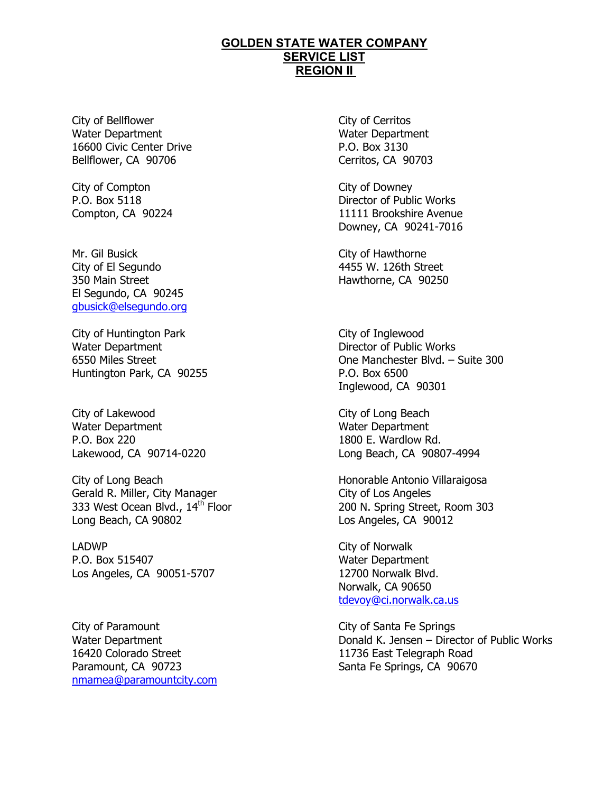City of Bellflower Water Department 16600 Civic Center Drive Bellflower, CA 90706

City of Compton P.O. Box 5118 Compton, CA 90224

Mr. Gil Busick City of El Segundo 350 Main Street El Segundo, CA 90245 gbusick@elsegundo.org

City of Huntington Park Water Department 6550 Miles Street Huntington Park, CA 90255

City of Lakewood Water Department P.O. Box 220 Lakewood, CA 90714-0220

City of Long Beach Gerald R. Miller, City Manager 333 West Ocean Blvd., 14<sup>th</sup> Floor Long Beach, CA 90802

LADWP P.O. Box 515407 Los Angeles, CA 90051-5707

City of Paramount Water Department 16420 Colorado Street Paramount, CA 90723 nmamea@paramountcity.com

 City of Cerritos Water Department P.O. Box 3130 Cerritos, CA 90703

 City of Downey Director of Public Works 11111 Brookshire Avenue Downey, CA 90241-7016

 City of Hawthorne 4455 W. 126th Street Hawthorne, CA 90250

 City of Inglewood Director of Public Works One Manchester Blvd. – Suite 300 P.O. Box 6500 Inglewood, CA 90301

 City of Long Beach Water Department 1800 E. Wardlow Rd. Long Beach, CA 90807-4994

 Honorable Antonio Villaraigosa City of Los Angeles 200 N. Spring Street, Room 303 Los Angeles, CA 90012

 City of Norwalk Water Department 12700 Norwalk Blvd. Norwalk, CA 90650 tdevoy@ci.norwalk.ca.us

 City of Santa Fe Springs Donald K. Jensen – Director of Public Works 11736 East Telegraph Road Santa Fe Springs, CA 90670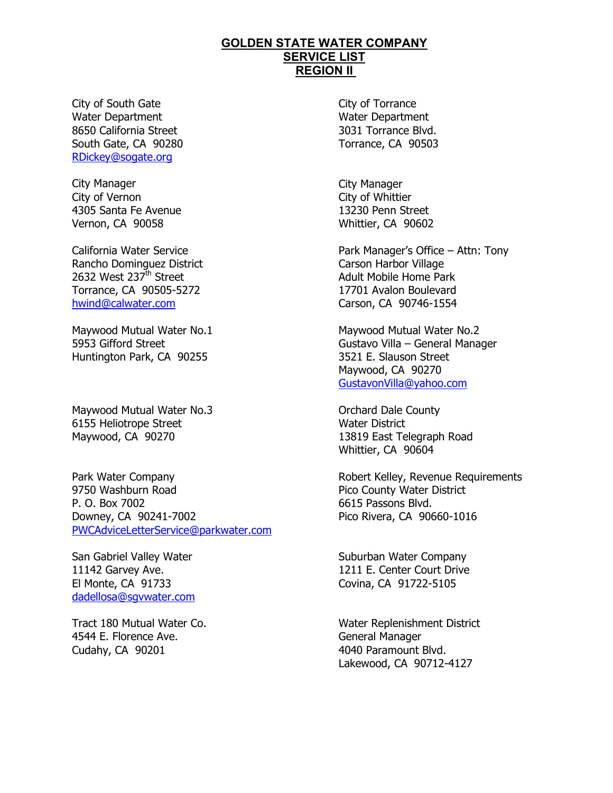City of South Gate Water Department 8650 California Street South Gate, CA 90280 RDickey@sogate.org

City Manager City of Vernon 4305 Santa Fe Avenue Vernon, CA 90058

California Water Service Rancho Dominguez District 2632 West 237<sup>th</sup> Street Torrance, CA 90505-5272 hwind@calwater.com

Maywood Mutual Water No.1 5953 Gifford Street Huntington Park, CA 90255

Maywood Mutual Water No.3 6155 Heliotrope Street Maywood, CA 90270

Park Water Company 9750 Washburn Road P. O. Box 7002 Downey, CA 90241-7002 PWCAdviceLetterService@parkwater.com

San Gabriel Valley Water 11142 Garvey Ave. El Monte, CA 91733 dadellosa@sgvwater.com

Tract 180 Mutual Water Co. 4544 E. Florence Ave. Cudahy, CA 90201

 City of Torrance Water Department 3031 Torrance Blvd. Torrance, CA 90503

 City Manager City of Whittier 13230 Penn Street Whittier, CA 90602

 Park Manager's Office – Attn: Tony Carson Harbor Village Adult Mobile Home Park 17701 Avalon Boulevard Carson, CA 90746-1554

 Maywood Mutual Water No.2 Gustavo Villa – General Manager 3521 E. Slauson Street Maywood, CA 90270 GustavonVilla@yahoo.com

 Orchard Dale County Water District 13819 East Telegraph Road Whittier, CA 90604

 Robert Kelley, Revenue Requirements Pico County Water District 6615 Passons Blvd. Pico Rivera, CA 90660-1016

 Suburban Water Company 1211 E. Center Court Drive Covina, CA 91722-5105

 Water Replenishment District General Manager 4040 Paramount Blvd. Lakewood, CA 90712-4127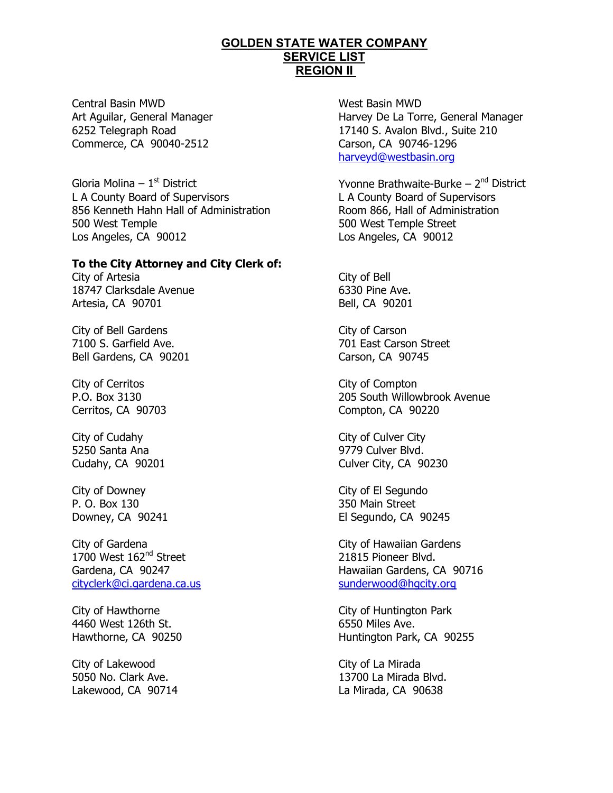Central Basin MWD Art Aguilar, General Manager 6252 Telegraph Road Commerce, CA 90040-2512

Gloria Molina –  $1<sup>st</sup>$  District L A County Board of Supervisors 856 Kenneth Hahn Hall of Administration 500 West Temple Los Angeles, CA 90012

## **To the City Attorney and City Clerk of:**

City of Artesia 18747 Clarksdale Avenue Artesia, CA 90701

City of Bell Gardens 7100 S. Garfield Ave. Bell Gardens, CA 90201

City of Cerritos P.O. Box 3130 Cerritos, CA 90703

City of Cudahy 5250 Santa Ana Cudahy, CA 90201

City of Downey P. O. Box 130 Downey, CA 90241

City of Gardena 1700 West 162<sup>nd</sup> Street Gardena, CA 90247 cityclerk@ci.gardena.ca.us

City of Hawthorne 4460 West 126th St. Hawthorne, CA 90250

City of Lakewood 5050 No. Clark Ave. Lakewood, CA 90714  West Basin MWD Harvey De La Torre, General Manager 17140 S. Avalon Blvd., Suite 210 Carson, CA 90746-1296 harveyd@westbasin.org

Yvonne Brathwaite-Burke –  $2<sup>nd</sup>$  District L A County Board of Supervisors Room 866, Hall of Administration 500 West Temple Street Los Angeles, CA 90012

 City of Bell 6330 Pine Ave. Bell, CA 90201

 City of Carson 701 East Carson Street Carson, CA 90745

 City of Compton 205 South Willowbrook Avenue Compton, CA 90220

 City of Culver City 9779 Culver Blvd. Culver City, CA 90230

 City of El Segundo 350 Main Street El Segundo, CA 90245

 City of Hawaiian Gardens 21815 Pioneer Blvd. Hawaiian Gardens, CA 90716 sunderwood@hgcity.org

 City of Huntington Park 6550 Miles Ave. Huntington Park, CA 90255

 City of La Mirada 13700 La Mirada Blvd. La Mirada, CA 90638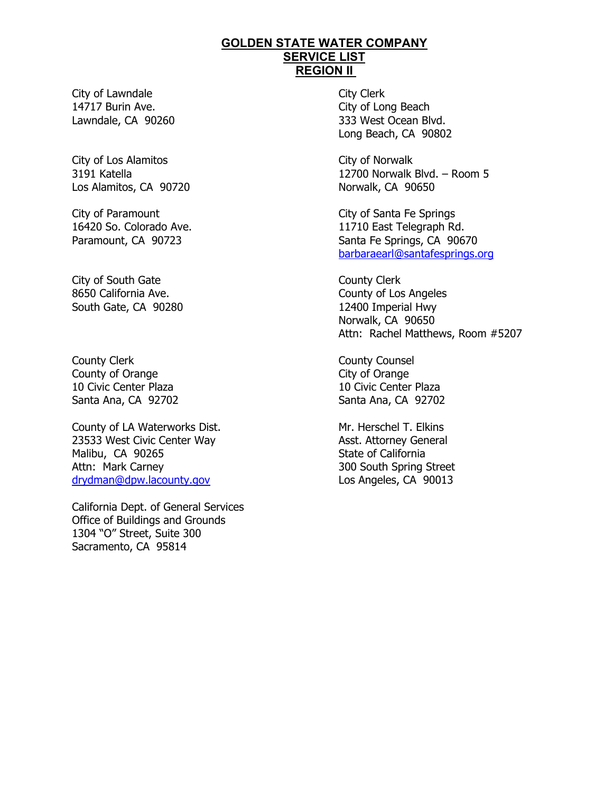City of Lawndale 14717 Burin Ave. Lawndale, CA 90260

City of Los Alamitos 3191 Katella Los Alamitos, CA 90720

City of Paramount 16420 So. Colorado Ave. Paramount, CA 90723

City of South Gate 8650 California Ave. South Gate, CA 90280

County Clerk County of Orange 10 Civic Center Plaza Santa Ana, CA 92702

County of LA Waterworks Dist. 23533 West Civic Center Way Malibu, CA 90265 Attn: Mark Carney drydman@dpw.lacounty.gov

California Dept. of General Services Office of Buildings and Grounds 1304 "O" Street, Suite 300 Sacramento, CA 95814

 City Clerk City of Long Beach 333 West Ocean Blvd. Long Beach, CA 90802

 City of Norwalk 12700 Norwalk Blvd. – Room 5 Norwalk, CA 90650

 City of Santa Fe Springs 11710 East Telegraph Rd. Santa Fe Springs, CA 90670 barbaraearl@santafesprings.org

 County Clerk County of Los Angeles 12400 Imperial Hwy Norwalk, CA 90650 Attn: Rachel Matthews, Room #5207

 County Counsel City of Orange 10 Civic Center Plaza Santa Ana, CA 92702

 Mr. Herschel T. Elkins Asst. Attorney General State of California 300 South Spring Street Los Angeles, CA 90013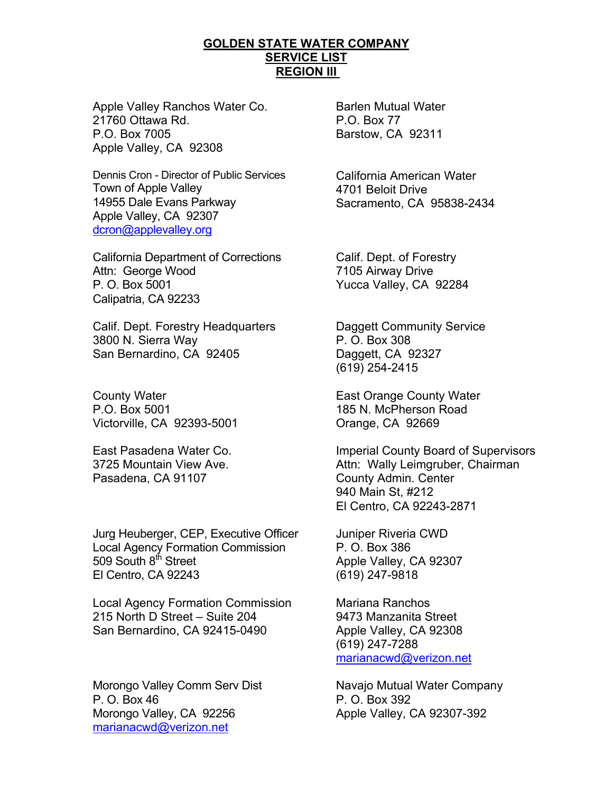Apple Valley Ranchos Water Co. 21760 Ottawa Rd. P.O. Box 7005 Apple Valley, CA 92308

Dennis Cron - Director of Public Services Town of Apple Valley 14955 Dale Evans Parkway Apple Valley, CA 92307 dcron@applevalley.org

California Department of Corrections Attn: George Wood P. O. Box 5001 Calipatria, CA 92233

Calif. Dept. Forestry Headquarters 3800 N. Sierra Way San Bernardino, CA 92405

County Water P.O. Box 5001 Victorville, CA 92393-5001

East Pasadena Water Co. 3725 Mountain View Ave. Pasadena, CA 91107

Jurg Heuberger, CEP, Executive Officer Local Agency Formation Commission 509 South 8<sup>th</sup> Street El Centro, CA 92243

Local Agency Formation Commission 215 North D Street – Suite 204 San Bernardino, CA 92415-0490

Morongo Valley Comm Serv Dist P. O. Box 46 Morongo Valley, CA 92256 marianacwd@verizon.net

Barlen Mutual Water P.O. Box 77 Barstow, CA 92311

California American Water 4701 Beloit Drive Sacramento, CA 95838-2434

Calif. Dept. of Forestry 7105 Airway Drive Yucca Valley, CA 92284

Daggett Community Service P. O. Box 308 Daggett, CA 92327 (619) 254-2415

East Orange County Water 185 N. McPherson Road Orange, CA 92669

Imperial County Board of Supervisors Attn: Wally Leimgruber, Chairman County Admin. Center 940 Main St, #212 El Centro, CA 92243-2871

Juniper Riveria CWD P. O. Box 386 Apple Valley, CA 92307 (619) 247-9818

Mariana Ranchos 9473 Manzanita Street Apple Valley, CA 92308 (619) 247-7288 marianacwd@verizon.net

Navajo Mutual Water Company P. O. Box 392 Apple Valley, CA 92307-392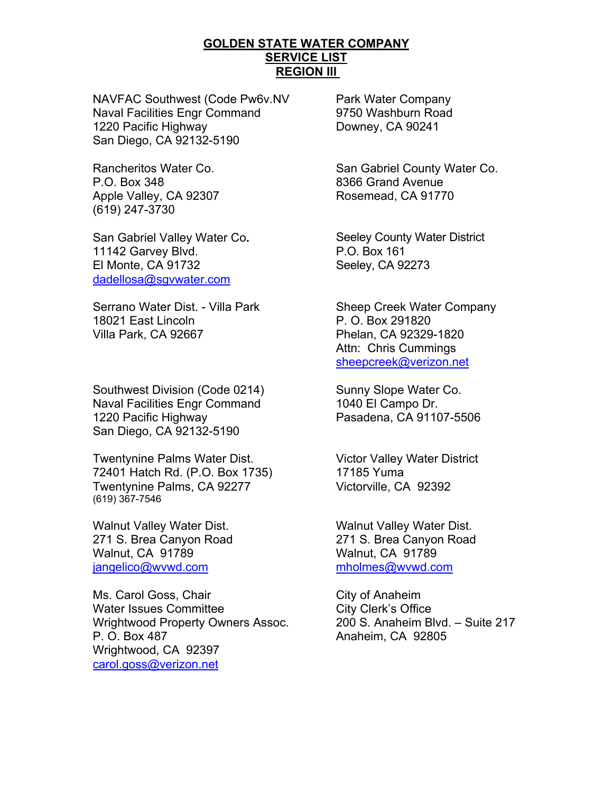NAVFAC Southwest (Code Pw6v.NV Naval Facilities Engr Command 1220 Pacific Highway San Diego, CA 92132-5190

Rancheritos Water Co. P.O. Box 348 Apple Valley, CA 92307 (619) 247-3730

San Gabriel Valley Water Co**.**  11142 Garvey Blvd. El Monte, CA 91732 dadellosa@sgvwater.com

Serrano Water Dist. - Villa Park 18021 East Lincoln Villa Park, CA 92667

Southwest Division (Code 0214) Naval Facilities Engr Command 1220 Pacific Highway San Diego, CA 92132-5190

Twentynine Palms Water Dist. 72401 Hatch Rd. (P.O. Box 1735) Twentynine Palms, CA 92277 (619) 367-7546

Walnut Valley Water Dist. 271 S. Brea Canyon Road Walnut, CA 91789 jangelico@wvwd.com

Ms. Carol Goss, Chair Water Issues Committee Wrightwood Property Owners Assoc. P. O. Box 487 Wrightwood, CA 92397 carol.goss@verizon.net

Park Water Company 9750 Washburn Road Downey, CA 90241

San Gabriel County Water Co. 8366 Grand Avenue Rosemead, CA 91770

Seeley County Water District P.O. Box 161 Seeley, CA 92273

Sheep Creek Water Company P. O. Box 291820 Phelan, CA 92329-1820 Attn: Chris Cummings sheepcreek@verizon.net

Sunny Slope Water Co. 1040 El Campo Dr. Pasadena, CA 91107-5506

Victor Valley Water District 17185 Yuma Victorville, CA 92392

Walnut Valley Water Dist. 271 S. Brea Canyon Road Walnut, CA 91789 mholmes@wvwd.com

City of Anaheim City Clerk's Office 200 S. Anaheim Blvd. – Suite 217 Anaheim, CA 92805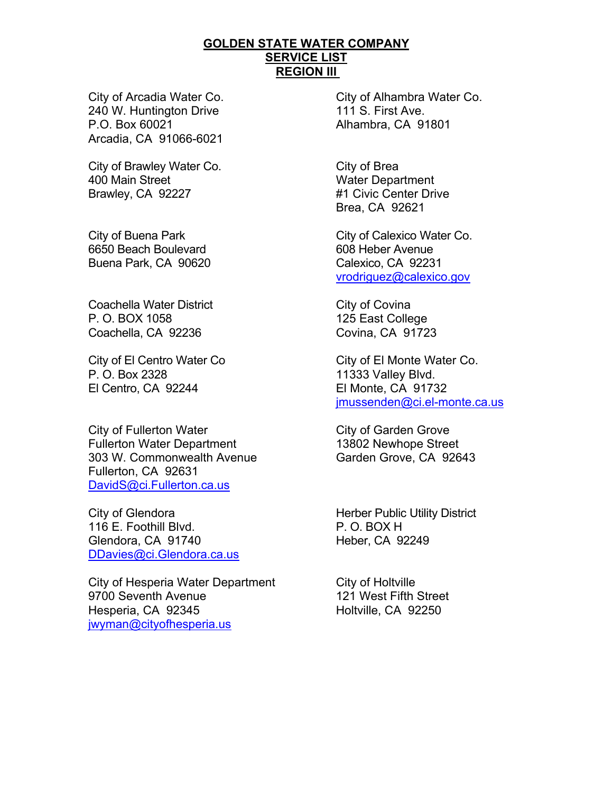City of Arcadia Water Co. 240 W. Huntington Drive P.O. Box 60021 Arcadia, CA 91066-6021

City of Brawley Water Co. 400 Main Street Brawley, CA 92227

City of Buena Park 6650 Beach Boulevard Buena Park, CA 90620

Coachella Water District P. O. BOX 1058 Coachella, CA 92236

City of El Centro Water Co P. O. Box 2328 El Centro, CA 92244

City of Fullerton Water Fullerton Water Department 303 W. Commonwealth Avenue Fullerton, CA 92631 DavidS@ci.Fullerton.ca.us

City of Glendora 116 E. Foothill Blvd. Glendora, CA 91740 DDavies@ci.Glendora.ca.us

City of Hesperia Water Department 9700 Seventh Avenue Hesperia, CA 92345 jwyman@cityofhesperia.us

City of Alhambra Water Co. 111 S. First Ave. Alhambra, CA 91801

City of Brea Water Department #1 Civic Center Drive Brea, CA 92621

City of Calexico Water Co. 608 Heber Avenue Calexico, CA 92231 vrodriguez@calexico.gov

City of Covina 125 East College Covina, CA 91723

City of El Monte Water Co. 11333 Valley Blvd. El Monte, CA 91732 jmussenden@ci.el-monte.ca.us

City of Garden Grove 13802 Newhope Street Garden Grove, CA 92643

Herber Public Utility District P. O. BOX H Heber, CA 92249

City of Holtville 121 West Fifth Street Holtville, CA 92250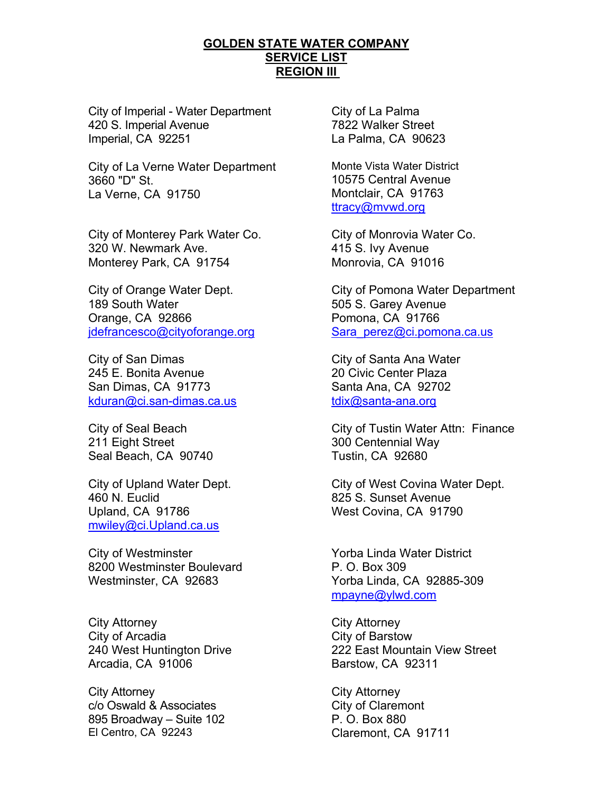City of Imperial - Water Department 420 S. Imperial Avenue Imperial, CA 92251

City of La Verne Water Department 3660 "D" St. La Verne, CA 91750

City of Monterey Park Water Co. 320 W. Newmark Ave. Monterey Park, CA 91754

City of Orange Water Dept. 189 South Water Orange, CA 92866 jdefrancesco@cityoforange.org

City of San Dimas 245 E. Bonita Avenue San Dimas, CA 91773 kduran@ci.san-dimas.ca.us

City of Seal Beach 211 Eight Street Seal Beach, CA 90740

City of Upland Water Dept. 460 N. Euclid Upland, CA 91786 mwiley@ci.Upland.ca.us

City of Westminster 8200 Westminster Boulevard Westminster, CA 92683

City Attorney City of Arcadia 240 West Huntington Drive Arcadia, CA 91006

City Attorney c/o Oswald & Associates 895 Broadway – Suite 102 El Centro, CA 92243

City of La Palma 7822 Walker Street La Palma, CA 90623

Monte Vista Water District 10575 Central Avenue Montclair, CA 91763 ttracy@mvwd.org

City of Monrovia Water Co. 415 S. Ivy Avenue Monrovia, CA 91016

City of Pomona Water Department 505 S. Garey Avenue Pomona, CA 91766 Sara\_perez@ci.pomona.ca.us

City of Santa Ana Water 20 Civic Center Plaza Santa Ana, CA 92702 tdix@santa-ana.org

City of Tustin Water Attn: Finance 300 Centennial Way Tustin, CA 92680

City of West Covina Water Dept. 825 S. Sunset Avenue West Covina, CA 91790

Yorba Linda Water District P. O. Box 309 Yorba Linda, CA 92885-309 mpayne@ylwd.com

City Attorney City of Barstow 222 East Mountain View Street Barstow, CA 92311

City Attorney City of Claremont P. O. Box 880 Claremont, CA 91711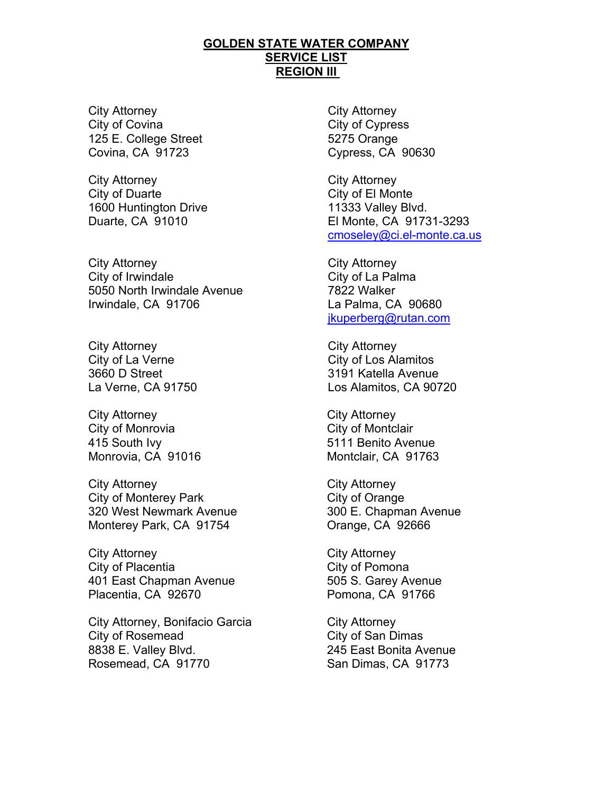City Attorney City of Covina 125 E. College Street Covina, CA 91723

City Attorney City of Duarte 1600 Huntington Drive Duarte, CA 91010

City Attorney City of Irwindale 5050 North Irwindale Avenue Irwindale, CA 91706

City Attorney City of La Verne 3660 D Street La Verne, CA 91750

City Attorney City of Monrovia 415 South Ivy Monrovia, CA 91016

City Attorney City of Monterey Park 320 West Newmark Avenue Monterey Park, CA 91754

City Attorney City of Placentia 401 East Chapman Avenue Placentia, CA 92670

City Attorney, Bonifacio Garcia City of Rosemead 8838 E. Valley Blvd. Rosemead, CA 91770

City Attorney City of Cypress 5275 Orange Cypress, CA 90630

City Attorney City of El Monte 11333 Valley Blvd. El Monte, CA 91731-3293 cmoseley@ci.el-monte.ca.us

City Attorney City of La Palma 7822 Walker La Palma, CA 90680 jkuperberg@rutan.com

City Attorney City of Los Alamitos 3191 Katella Avenue Los Alamitos, CA 90720

City Attorney City of Montclair 5111 Benito Avenue Montclair, CA 91763

City Attorney City of Orange 300 E. Chapman Avenue Orange, CA 92666

City Attorney City of Pomona 505 S. Garey Avenue Pomona, CA 91766

City Attorney City of San Dimas 245 East Bonita Avenue San Dimas, CA 91773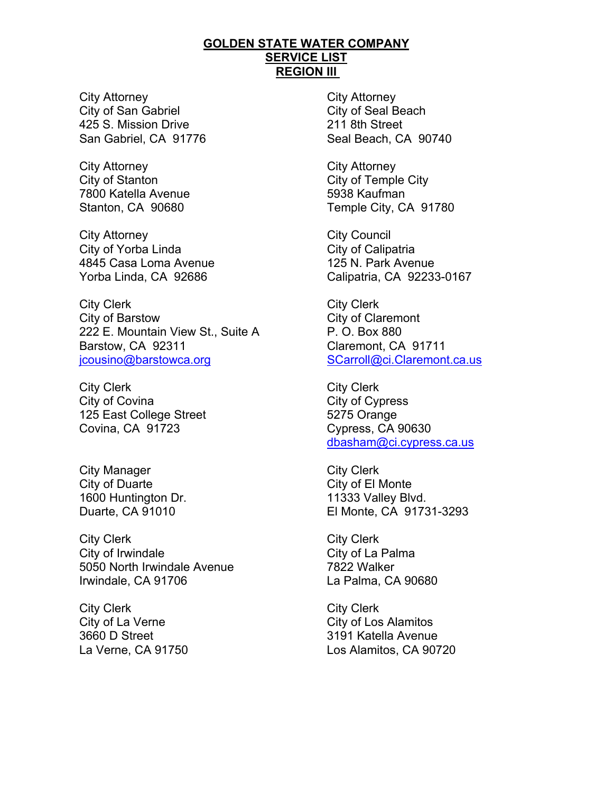City Attorney City of San Gabriel 425 S. Mission Drive San Gabriel, CA 91776

City Attorney City of Stanton 7800 Katella Avenue Stanton, CA 90680

City Attorney City of Yorba Linda 4845 Casa Loma Avenue Yorba Linda, CA 92686

City Clerk City of Barstow 222 E. Mountain View St., Suite A Barstow, CA 92311 jcousino@barstowca.org

City Clerk City of Covina 125 East College Street Covina, CA 91723

City Manager City of Duarte 1600 Huntington Dr. Duarte, CA 91010

City Clerk City of Irwindale 5050 North Irwindale Avenue Irwindale, CA 91706

City Clerk City of La Verne 3660 D Street La Verne, CA 91750 City Attorney City of Seal Beach 211 8th Street Seal Beach, CA 90740

City Attorney City of Temple City 5938 Kaufman Temple City, CA 91780

City Council City of Calipatria 125 N. Park Avenue Calipatria, CA 92233-0167

City Clerk City of Claremont P. O. Box 880 Claremont, CA 91711 SCarroll@ci.Claremont.ca.us

City Clerk City of Cypress 5275 Orange Cypress, CA 90630 dbasham@ci.cypress.ca.us

City Clerk City of El Monte 11333 Valley Blvd. El Monte, CA 91731-3293

City Clerk City of La Palma 7822 Walker La Palma, CA 90680

City Clerk City of Los Alamitos 3191 Katella Avenue Los Alamitos, CA 90720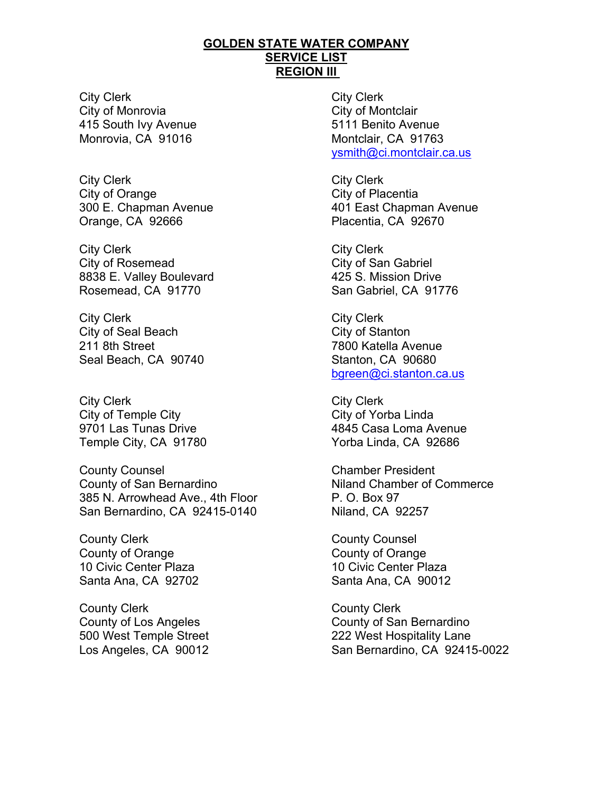City Clerk City of Monrovia 415 South Ivy Avenue Monrovia, CA 91016

City Clerk City of Orange 300 E. Chapman Avenue Orange, CA 92666

City Clerk City of Rosemead 8838 E. Valley Boulevard Rosemead, CA 91770

City Clerk City of Seal Beach 211 8th Street Seal Beach, CA 90740

City Clerk City of Temple City 9701 Las Tunas Drive Temple City, CA 91780

County Counsel County of San Bernardino 385 N. Arrowhead Ave., 4th Floor San Bernardino, CA 92415-0140

County Clerk County of Orange 10 Civic Center Plaza Santa Ana, CA 92702

County Clerk County of Los Angeles 500 West Temple Street Los Angeles, CA 90012

City Clerk City of Montclair 5111 Benito Avenue Montclair, CA 91763 ysmith@ci.montclair.ca.us

City Clerk City of Placentia 401 East Chapman Avenue Placentia, CA 92670

City Clerk City of San Gabriel 425 S. Mission Drive San Gabriel, CA 91776

City Clerk City of Stanton 7800 Katella Avenue Stanton, CA 90680 bgreen@ci.stanton.ca.us

City Clerk City of Yorba Linda 4845 Casa Loma Avenue Yorba Linda, CA 92686

Chamber President Niland Chamber of Commerce P. O. Box 97 Niland, CA 92257

County Counsel County of Orange 10 Civic Center Plaza Santa Ana, CA 90012

County Clerk County of San Bernardino 222 West Hospitality Lane San Bernardino, CA 92415-0022